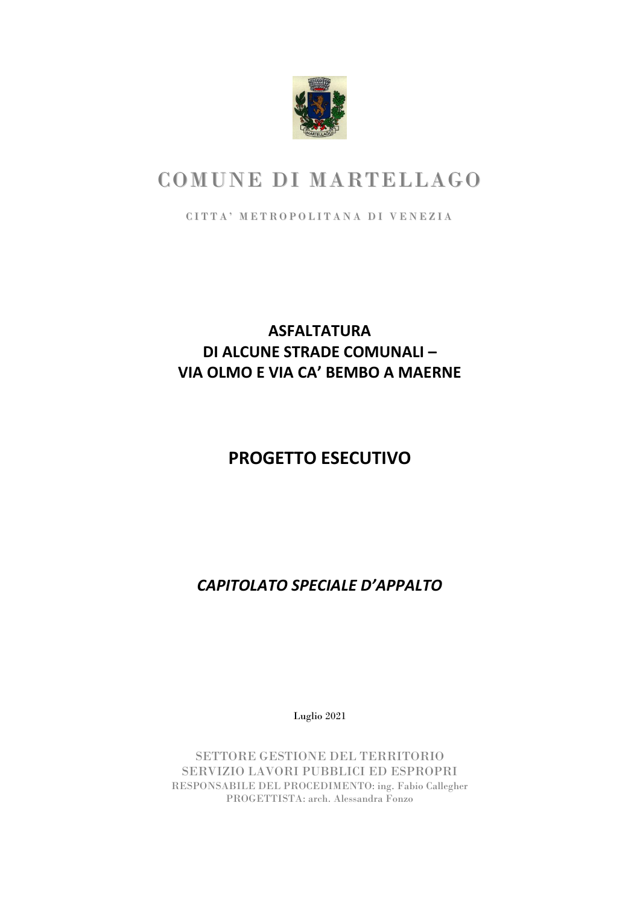

# COMUNE DI MARTELLAGO

CITTA' METROPOLITANA DI VENEZIA

# **ASFALTATURA DI ALCUNE STRADE COMUNALI – VIA OLMO E VIA CA' BEMBO A MAERNE**

# **PROGETTO ESECUTIVO**

*CAPITOLATO SPECIALE D'APPALTO*

Luglio 2021

SETTORE GESTIONE DEL TERRITORIO SERVIZIO LAVORI PUBBLICI ED ESPROPRI RESPONSABILE DEL PROCEDIMENTO: ing. Fabio Callegher PROGETTISTA: arch. Alessandra Fonzo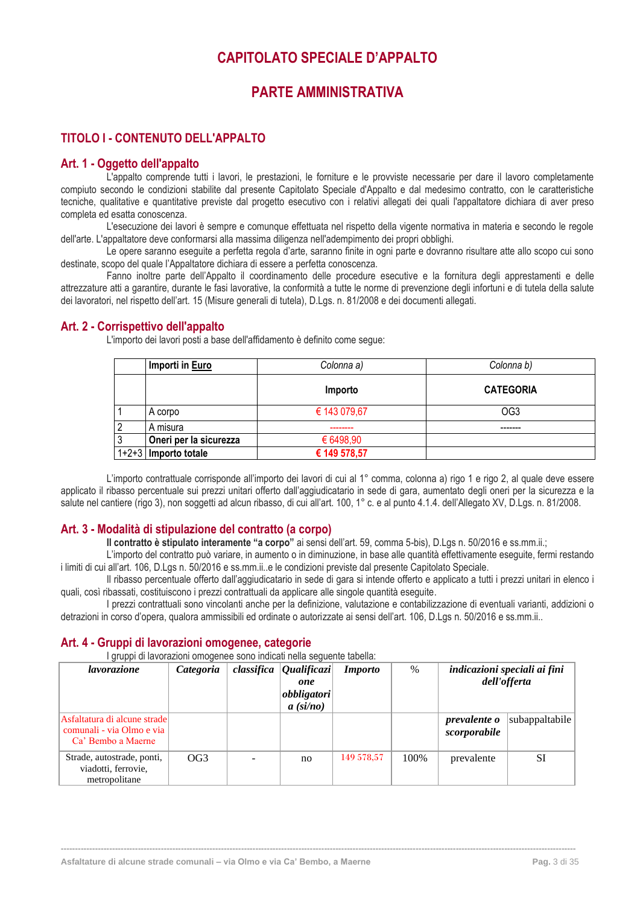# **CAPITOLATO SPECIALE D'APPALTO**

# **PARTE AMMINISTRATIVA**

# <span id="page-3-2"></span><span id="page-3-1"></span><span id="page-3-0"></span>**TITOLO I - CONTENUTO DELL'APPALTO**

# <span id="page-3-3"></span>**Art. 1 - Oggetto dell'appalto**

L'appalto comprende tutti i lavori, le prestazioni, le forniture e le provviste necessarie per dare il lavoro completamente compiuto secondo le condizioni stabilite dal presente Capitolato Speciale d'Appalto e dal medesimo contratto, con le caratteristiche tecniche, qualitative e quantitative previste dal progetto esecutivo con i relativi allegati dei quali l'appaltatore dichiara di aver preso completa ed esatta conoscenza.

L'esecuzione dei lavori è sempre e comunque effettuata nel rispetto della vigente normativa in materia e secondo le regole dell'arte. L'appaltatore deve conformarsi alla massima diligenza nell'adempimento dei propri obblighi.

Le opere saranno eseguite a perfetta regola d'arte, saranno finite in ogni parte e dovranno risultare atte allo scopo cui sono destinate, scopo del quale l'Appaltatore dichiara di essere a perfetta conoscenza.

Fanno inoltre parte dell'Appalto il coordinamento delle procedure esecutive e la fornitura degli apprestamenti e delle attrezzature atti a garantire, durante le fasi lavorative, la conformità a tutte le norme di prevenzione degli infortuni e di tutela della salute dei lavoratori, nel rispetto dell'art. 15 (Misure generali di tutela), D.Lgs. n. 81/2008 e dei documenti allegati.

# <span id="page-3-4"></span>**Art. 2 - Corrispettivo dell'appalto**

L'importo dei lavori posti a base dell'affidamento è definito come segue:

| Importi in Euro        | Colonna a)   | Colonna b)       |
|------------------------|--------------|------------------|
|                        | Importo      | <b>CATEGORIA</b> |
| A corpo                | € 143 079,67 | OG <sub>3</sub>  |
| A misura               |              |                  |
| Oneri per la sicurezza | € 6498,90    |                  |
| $1+2+3$ Importo totale | € 149 578,57 |                  |

L'importo contrattuale corrisponde all'importo dei lavori di cui al 1° comma, colonna a) rigo 1 e rigo 2, al quale deve essere applicato il ribasso percentuale sui prezzi unitari offerto dall'aggiudicatario in sede di gara, aumentato degli oneri per la sicurezza e la salute nel cantiere (rigo 3), non soggetti ad alcun ribasso, di cui all'art. 100, 1° c. e al punto 4.1.4. dell'Allegato XV, D.Lgs. n. 81/2008.

# <span id="page-3-5"></span>**Art. 3 - Modalità di stipulazione del contratto (a corpo)**

**Il contratto è stipulato interamente "a corpo"** ai sensi dell'art. 59, comma 5-bis), D.Lgs n. 50/2016 e ss.mm.ii.;

L'importo del contratto può variare, in aumento o in diminuzione, in base alle quantità effettivamente eseguite, fermi restando i limiti di cui all'art. 106, D.Lgs n. 50/2016 e ss.mm.ii..e le condizioni previste dal presente Capitolato Speciale.

Il ribasso percentuale offerto dall'aggiudicatario in sede di gara si intende offerto e applicato a tutti i prezzi unitari in elenco i quali, così ribassati, costituiscono i prezzi contrattuali da applicare alle singole quantità eseguite.

I prezzi contrattuali sono vincolanti anche per la definizione, valutazione e contabilizzazione di eventuali varianti, addizioni o detrazioni in corso d'opera, qualora ammissibili ed ordinate o autorizzate ai sensi dell'art. 106, D.Lgs n. 50/2016 e ss.mm.ii..

# <span id="page-3-6"></span>**Art. 4 - Gruppi di lavorazioni omogenee, categorie**

<span id="page-3-7"></span>

| gruppi di lavorazioni omogenee sono indicati nella seguente tabella:            |           |  |                                                                       |                |       |                                     |                                              |
|---------------------------------------------------------------------------------|-----------|--|-----------------------------------------------------------------------|----------------|-------|-------------------------------------|----------------------------------------------|
| <i>lavorazione</i>                                                              | Categoria |  | $classifica$ <i>Qualificazi</i><br>one<br>obbligatori<br>$a\ (si/no)$ | <i>Importo</i> | $\%$  |                                     | indicazioni speciali ai fini<br>dell'offerta |
| Asfaltatura di alcune strade<br>comunali - via Olmo e via<br>Ca' Bembo a Maerne |           |  |                                                                       |                |       | <i>prevalente o</i><br>scorporabile | subappaltabile                               |
| Strade, autostrade, ponti,<br>viadotti, ferrovie,<br>metropolitane              | OG3       |  | no.                                                                   | 149 578.57     | 100\% | prevalente                          | <b>SI</b>                                    |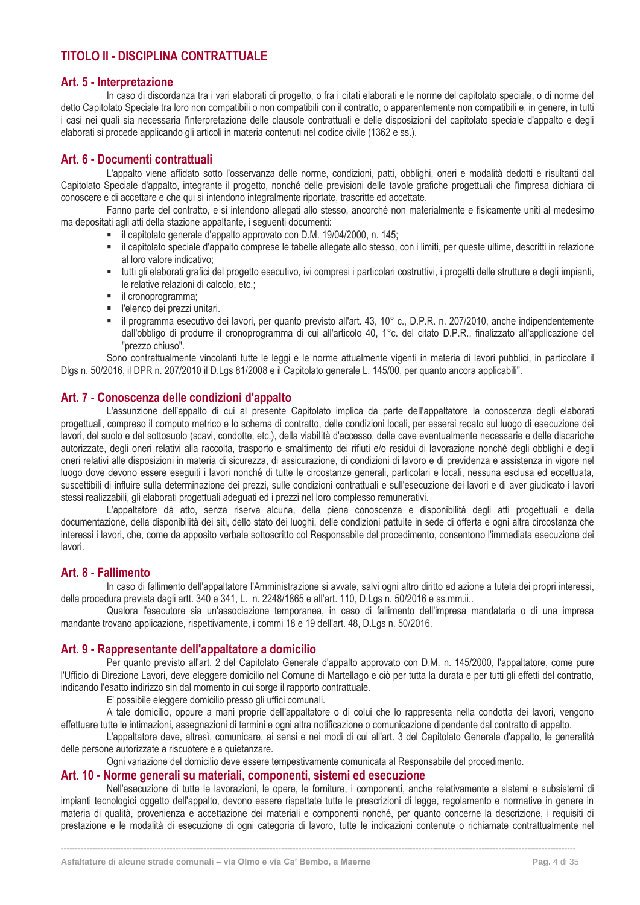# **TITOLO II - DISCIPLINA CONTRATTUALE**

# <span id="page-4-0"></span>**Art. 5 - Interpretazione**

In caso di discordanza tra i vari elaborati di progetto, o fra i citati elaborati e le norme del capitolato speciale, o di norme del detto Capitolato Speciale tra loro non compatibili o non compatibili con il contratto, o apparentemente non compatibili e, in genere, in tutti i casi nei quali sia necessaria l'interpretazione delle clausole contrattuali e delle disposizioni del capitolato speciale d'appalto e degli elaborati si procede applicando gli articoli in materia contenuti nel codice civile (1362 e ss.).

# <span id="page-4-1"></span>**Art. 6 - Documenti contrattuali**

L'appalto viene affidato sotto l'osservanza delle norme, condizioni, patti, obblighi, oneri e modalità dedotti e risultanti dal Capitolato Speciale d'appalto, integrante il progetto, nonché delle previsioni delle tavole grafiche progettuali che l'impresa dichiara di conoscere e di accettare e che qui si intendono integralmente riportate, trascritte ed accettate.

Fanno parte del contratto, e si intendono allegati allo stesso, ancorché non materialmente e fisicamente uniti al medesimo ma depositati agli atti della stazione appaltante, i seguenti documenti:

- il capitolato generale d'appalto approvato con D.M. 19/04/2000, n. 145;
- il capitolato speciale d'appalto comprese le tabelle allegate allo stesso, con i limiti, per queste ultime, descritti in relazione al loro valore indicativo;
- tutti gli elaborati grafici del progetto esecutivo, ivi compresi i particolari costruttivi, i progetti delle strutture e degli impianti, le relative relazioni di calcolo, etc.;
- **·** il cronoprogramma;
- l'elenco dei prezzi unitari.
- il programma esecutivo dei lavori, per quanto previsto all'art. 43, 10° c., D.P.R. n. 207/2010, anche indipendentemente dall'obbligo di produrre il cronoprogramma di cui all'articolo 40, 1°c. del citato D.P.R., finalizzato all'applicazione del "prezzo chiuso".

Sono contrattualmente vincolanti tutte le leggi e le norme attualmente vigenti in materia di lavori pubblici, in particolare il Dlgs n. 50/2016, il DPR n. 207/2010 il D.Lgs 81/2008 e il Capitolato generale L. 145/00, per quanto ancora applicabili".

# <span id="page-4-2"></span>**Art. 7 - Conoscenza delle condizioni d'appalto**

L'assunzione dell'appalto di cui al presente Capitolato implica da parte dell'appaltatore la conoscenza degli elaborati progettuali, compreso il computo metrico e lo schema di contratto, delle condizioni locali, per essersi recato sul luogo di esecuzione dei lavori, del suolo e del sottosuolo (scavi, condotte, etc.), della viabilità d'accesso, delle cave eventualmente necessarie e delle discariche autorizzate, degli oneri relativi alla raccolta, trasporto e smaltimento dei rifiuti e/o residui di lavorazione nonché degli obblighi e degli oneri relativi alle disposizioni in materia di sicurezza, di assicurazione, di condizioni di lavoro e di previdenza e assistenza in vigore nel luogo dove devono essere eseguiti i lavori nonché di tutte le circostanze generali, particolari e locali, nessuna esclusa ed eccettuata, suscettibili di influire sulla determinazione dei prezzi, sulle condizioni contrattuali e sull'esecuzione dei lavori e di aver giudicato i lavori stessi realizzabili, gli elaborati progettuali adeguati ed i prezzi nel loro complesso remunerativi.

L'appaltatore dà atto, senza riserva alcuna, della piena conoscenza e disponibilità degli atti progettuali e della documentazione, della disponibilità dei siti, dello stato dei luoghi, delle condizioni pattuite in sede di offerta e ogni altra circostanza che interessi i lavori, che, come da apposito verbale sottoscritto col Responsabile del procedimento, consentono l'immediata esecuzione dei lavori.

# <span id="page-4-3"></span>**Art. 8 - Fallimento**

In caso di fallimento dell'appaltatore l'Amministrazione si avvale, salvi ogni altro diritto ed azione a tutela dei propri interessi, della procedura prevista dagli artt. 340 e 341, L. n. 2248/1865 e all'art. 110, D.Lgs n. 50/2016 e ss.mm.ii..

Qualora l'esecutore sia un'associazione temporanea, in caso di fallimento dell'impresa mandataria o di una impresa mandante trovano applicazione, rispettivamente, i commi 18 e 19 dell'art. 48, D.Lgs n. 50/2016.

# <span id="page-4-4"></span>**Art. 9 - Rappresentante dell'appaltatore a domicilio**

Per quanto previsto all'art. 2 del Capitolato Generale d'appalto approvato con D.M. n. 145/2000, l'appaltatore, come pure l'Ufficio di Direzione Lavori, deve eleggere domicilio nel Comune di Martellago e ciò per tutta la durata e per tutti gli effetti del contratto, indicando l'esatto indirizzo sin dal momento in cui sorge il rapporto contrattuale.

E' possibile eleggere domicilio presso gli uffici comunali.

A tale domicilio, oppure a mani proprie dell'appaltatore o di colui che lo rappresenta nella condotta dei lavori, vengono effettuare tutte le intimazioni, assegnazioni di termini e ogni altra notificazione o comunicazione dipendente dal contratto di appalto.

L'appaltatore deve, altresì, comunicare, ai sensi e nei modi di cui all'art. 3 del Capitolato Generale d'appalto, le generalità delle persone autorizzate a riscuotere e a quietanzare.

Ogni variazione del domicilio deve essere tempestivamente comunicata al Responsabile del procedimento.

#### <span id="page-4-5"></span>**Art. 10 - Norme generali su materiali, componenti, sistemi ed esecuzione**

Nell'esecuzione di tutte le lavorazioni, le opere, le forniture, i componenti, anche relativamente a sistemi e subsistemi di impianti tecnologici oggetto dell'appalto, devono essere rispettate tutte le prescrizioni di legge, regolamento e normative in genere in materia di qualità, provenienza e accettazione dei materiali e componenti nonché, per quanto concerne la descrizione, i requisiti di prestazione e le modalità di esecuzione di ogni categoria di lavoro, tutte le indicazioni contenute o richiamate contrattualmente nel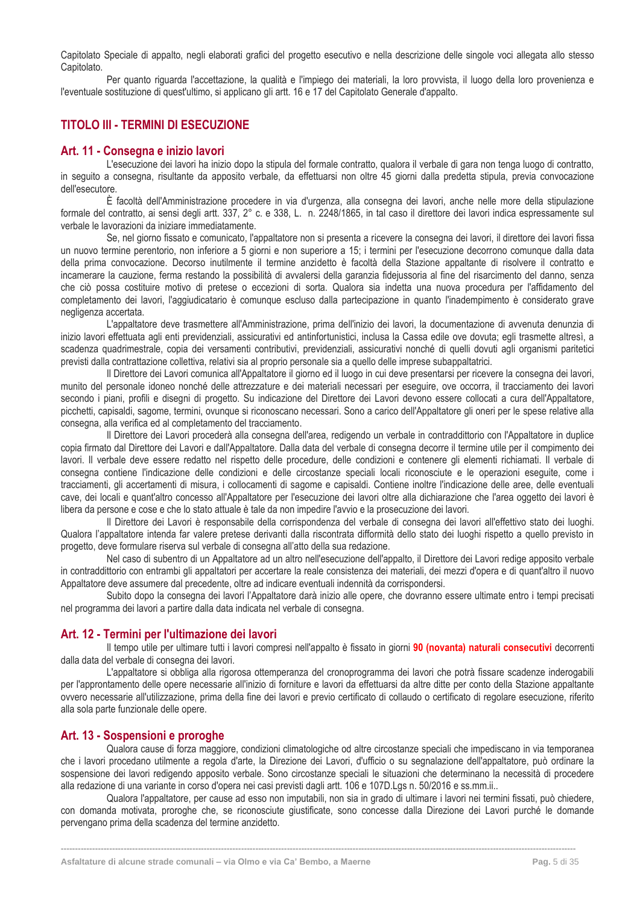Capitolato Speciale di appalto, negli elaborati grafici del progetto esecutivo e nella descrizione delle singole voci allegata allo stesso Capitolato.

Per quanto riguarda l'accettazione, la qualità e l'impiego dei materiali, la loro provvista, il luogo della loro provenienza e l'eventuale sostituzione di quest'ultimo, si applicano gli artt. 16 e 17 del Capitolato Generale d'appalto.

# <span id="page-5-0"></span>**TITOLO III - TERMINI DI ESECUZIONE**

### <span id="page-5-1"></span>**Art. 11 - Consegna e inizio lavori**

L'esecuzione dei lavori ha inizio dopo la stipula del formale contratto, qualora il verbale di gara non tenga luogo di contratto, in seguito a consegna, risultante da apposito verbale, da effettuarsi non oltre 45 giorni dalla predetta stipula, previa convocazione dell'esecutore.

È facoltà dell'Amministrazione procedere in via d'urgenza, alla consegna dei lavori, anche nelle more della stipulazione formale del contratto, ai sensi degli artt. 337, 2° c. e 338, L. n. 2248/1865, in tal caso il direttore dei lavori indica espressamente sul verbale le lavorazioni da iniziare immediatamente.

Se, nel giorno fissato e comunicato, l'appaltatore non si presenta a ricevere la consegna dei lavori, il direttore dei lavori fissa un nuovo termine perentorio, non inferiore a 5 giorni e non superiore a 15; i termini per l'esecuzione decorrono comunque dalla data della prima convocazione. Decorso inutilmente il termine anzidetto è facoltà della Stazione appaltante di risolvere il contratto e incamerare la cauzione, ferma restando la possibilità di avvalersi della garanzia fidejussoria al fine del risarcimento del danno, senza che ciò possa costituire motivo di pretese o eccezioni di sorta. Qualora sia indetta una nuova procedura per l'affidamento del completamento dei lavori, l'aggiudicatario è comunque escluso dalla partecipazione in quanto l'inadempimento è considerato grave negligenza accertata.

L'appaltatore deve trasmettere all'Amministrazione, prima dell'inizio dei lavori, la documentazione di avvenuta denunzia di inizio lavori effettuata agli enti previdenziali, assicurativi ed antinfortunistici, inclusa la Cassa edile ove dovuta; egli trasmette altresì, a scadenza quadrimestrale, copia dei versamenti contributivi, previdenziali, assicurativi nonché di quelli dovuti agli organismi paritetici previsti dalla contrattazione collettiva, relativi sia al proprio personale sia a quello delle imprese subappaltatrici.

Il Direttore dei Lavori comunica all'Appaltatore il giorno ed il luogo in cui deve presentarsi per ricevere la consegna dei lavori, munito del personale idoneo nonché delle attrezzature e dei materiali necessari per eseguire, ove occorra, il tracciamento dei lavori secondo i piani, profili e disegni di progetto. Su indicazione del Direttore dei Lavori devono essere collocati a cura dell'Appaltatore, picchetti, capisaldi, sagome, termini, ovunque si riconoscano necessari. Sono a carico dell'Appaltatore gli oneri per le spese relative alla consegna, alla verifica ed al completamento del tracciamento.

Il Direttore dei Lavori procederà alla consegna dell'area, redigendo un verbale in contraddittorio con l'Appaltatore in duplice copia firmato dal Direttore dei Lavori e dall'Appaltatore. Dalla data del verbale di consegna decorre il termine utile per il compimento dei lavori. Il verbale deve essere redatto nel rispetto delle procedure, delle condizioni e contenere gli elementi richiamati. Il verbale di consegna contiene l'indicazione delle condizioni e delle circostanze speciali locali riconosciute e le operazioni eseguite, come i tracciamenti, gli accertamenti di misura, i collocamenti di sagome e capisaldi. Contiene inoltre l'indicazione delle aree, delle eventuali cave, dei locali e quant'altro concesso all'Appaltatore per l'esecuzione dei lavori oltre alla dichiarazione che l'area oggetto dei lavori è libera da persone e cose e che lo stato attuale è tale da non impedire l'avvio e la prosecuzione dei lavori.

Il Direttore dei Lavori è responsabile della corrispondenza del verbale di consegna dei lavori all'effettivo stato dei luoghi. Qualora l'appaltatore intenda far valere pretese derivanti dalla riscontrata difformità dello stato dei luoghi rispetto a quello previsto in progetto, deve formulare riserva sul verbale di consegna all'atto della sua redazione.

Nel caso di subentro di un Appaltatore ad un altro nell'esecuzione dell'appalto, il Direttore dei Lavori redige apposito verbale in contraddittorio con entrambi gli appaltatori per accertare la reale consistenza dei materiali, dei mezzi d'opera e di quant'altro il nuovo Appaltatore deve assumere dal precedente, oltre ad indicare eventuali indennità da corrispondersi.

Subito dopo la consegna dei lavori l'Appaltatore darà inizio alle opere, che dovranno essere ultimate entro i tempi precisati nel programma dei lavori a partire dalla data indicata nel verbale di consegna.

# <span id="page-5-2"></span>**Art. 12 - Termini per l'ultimazione dei lavori**

Il tempo utile per ultimare tutti i lavori compresi nell'appalto è fissato in giorni **90 (novanta) naturali consecutivi** decorrenti dalla data del verbale di consegna dei lavori.

L'appaltatore si obbliga alla rigorosa ottemperanza del cronoprogramma dei lavori che potrà fissare scadenze inderogabili per l'approntamento delle opere necessarie all'inizio di forniture e lavori da effettuarsi da altre ditte per conto della Stazione appaltante ovvero necessarie all'utilizzazione, prima della fine dei lavori e previo certificato di collaudo o certificato di regolare esecuzione, riferito alla sola parte funzionale delle opere.

# <span id="page-5-3"></span>**Art. 13 - Sospensioni e proroghe**

Qualora cause di forza maggiore, condizioni climatologiche od altre circostanze speciali che impediscano in via temporanea che i lavori procedano utilmente a regola d'arte, la Direzione dei Lavori, d'ufficio o su segnalazione dell'appaltatore, può ordinare la sospensione dei lavori redigendo apposito verbale. Sono circostanze speciali le situazioni che determinano la necessità di procedere alla redazione di una variante in corso d'opera nei casi previsti dagli artt. 106 e 107D.Lgs n. 50/2016 e ss.mm.ii..

Qualora l'appaltatore, per cause ad esso non imputabili, non sia in grado di ultimare i lavori nei termini fissati, può chiedere, con domanda motivata, proroghe che, se riconosciute giustificate, sono concesse dalla Direzione dei Lavori purché le domande pervengano prima della scadenza del termine anzidetto.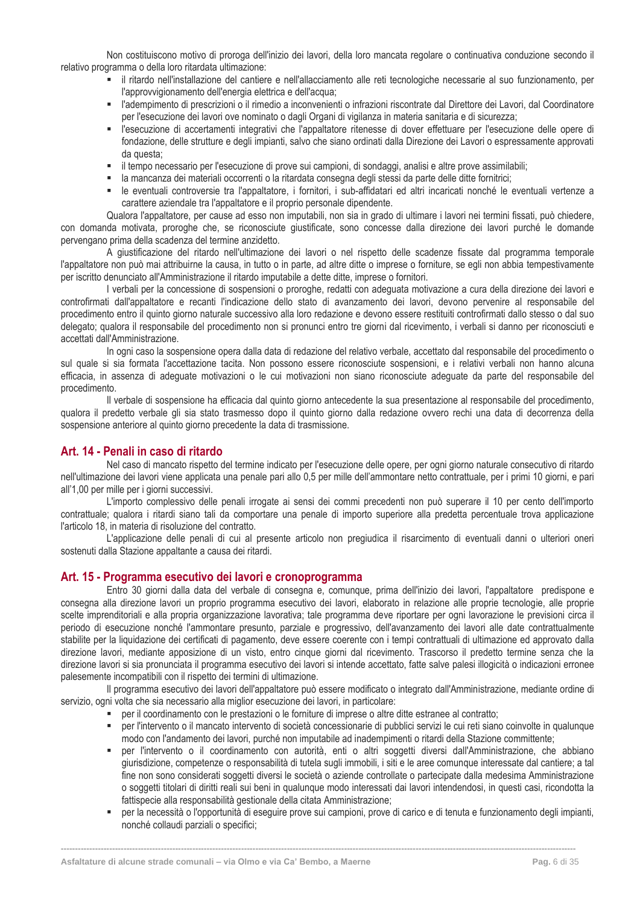Non costituiscono motivo di proroga dell'inizio dei lavori, della loro mancata regolare o continuativa conduzione secondo il relativo programma o della loro ritardata ultimazione:

- il ritardo nell'installazione del cantiere e nell'allacciamento alle reti tecnologiche necessarie al suo funzionamento, per l'approvvigionamento dell'energia elettrica e dell'acqua;
- l'adempimento di prescrizioni o il rimedio a inconvenienti o infrazioni riscontrate dal Direttore dei Lavori, dal Coordinatore per l'esecuzione dei lavori ove nominato o dagli Organi di vigilanza in materia sanitaria e di sicurezza;
- l'esecuzione di accertamenti integrativi che l'appaltatore ritenesse di dover effettuare per l'esecuzione delle opere di fondazione, delle strutture e degli impianti, salvo che siano ordinati dalla Direzione dei Lavori o espressamente approvati da questa;
- il tempo necessario per l'esecuzione di prove sui campioni, di sondaggi, analisi e altre prove assimilabili;
- la mancanza dei materiali occorrenti o la ritardata consegna degli stessi da parte delle ditte fornitrici;
- le eventuali controversie tra l'appaltatore, i fornitori, i sub-affidatari ed altri incaricati nonché le eventuali vertenze a carattere aziendale tra l'appaltatore e il proprio personale dipendente.

Qualora l'appaltatore, per cause ad esso non imputabili, non sia in grado di ultimare i lavori nei termini fissati, può chiedere, con domanda motivata, proroghe che, se riconosciute giustificate, sono concesse dalla direzione dei lavori purché le domande pervengano prima della scadenza del termine anzidetto.

A giustificazione del ritardo nell'ultimazione dei lavori o nel rispetto delle scadenze fissate dal programma temporale l'appaltatore non può mai attribuirne la causa, in tutto o in parte, ad altre ditte o imprese o forniture, se egli non abbia tempestivamente per iscritto denunciato all'Amministrazione il ritardo imputabile a dette ditte, imprese o fornitori.

I verbali per la concessione di sospensioni o proroghe, redatti con adeguata motivazione a cura della direzione dei lavori e controfirmati dall'appaltatore e recanti l'indicazione dello stato di avanzamento dei lavori, devono pervenire al responsabile del procedimento entro il quinto giorno naturale successivo alla loro redazione e devono essere restituiti controfirmati dallo stesso o dal suo delegato; qualora il responsabile del procedimento non si pronunci entro tre giorni dal ricevimento, i verbali si danno per riconosciuti e accettati dall'Amministrazione.

In ogni caso la sospensione opera dalla data di redazione del relativo verbale, accettato dal responsabile del procedimento o sul quale si sia formata l'accettazione tacita. Non possono essere riconosciute sospensioni, e i relativi verbali non hanno alcuna efficacia, in assenza di adeguate motivazioni o le cui motivazioni non siano riconosciute adeguate da parte del responsabile del procedimento.

Il verbale di sospensione ha efficacia dal quinto giorno antecedente la sua presentazione al responsabile del procedimento, qualora il predetto verbale gli sia stato trasmesso dopo il quinto giorno dalla redazione ovvero rechi una data di decorrenza della sospensione anteriore al quinto giorno precedente la data di trasmissione.

# <span id="page-6-0"></span>**Art. 14 - Penali in caso di ritardo**

Nel caso di mancato rispetto del termine indicato per l'esecuzione delle opere, per ogni giorno naturale consecutivo di ritardo nell'ultimazione dei lavori viene applicata una penale pari allo 0,5 per mille dell'ammontare netto contrattuale, per i primi 10 giorni, e pari all'1,00 per mille per i giorni successivi.

L'importo complessivo delle penali irrogate ai sensi dei commi precedenti non può superare il 10 per cento dell'importo contrattuale; qualora i ritardi siano tali da comportare una penale di importo superiore alla predetta percentuale trova applicazione l'articolo 18, in materia di risoluzione del contratto.

L'applicazione delle penali di cui al presente articolo non pregiudica il risarcimento di eventuali danni o ulteriori oneri sostenuti dalla Stazione appaltante a causa dei ritardi.

# <span id="page-6-1"></span>**Art. 15 - Programma esecutivo dei lavori e cronoprogramma**

Entro 30 giorni dalla data del verbale di consegna e, comunque, prima dell'inizio dei lavori, l'appaltatore predispone e consegna alla direzione lavori un proprio programma esecutivo dei lavori, elaborato in relazione alle proprie tecnologie, alle proprie scelte imprenditoriali e alla propria organizzazione lavorativa; tale programma deve riportare per ogni lavorazione le previsioni circa il periodo di esecuzione nonché l'ammontare presunto, parziale e progressivo, dell'avanzamento dei lavori alle date contrattualmente stabilite per la liquidazione dei certificati di pagamento, deve essere coerente con i tempi contrattuali di ultimazione ed approvato dalla direzione lavori, mediante apposizione di un visto, entro cinque giorni dal ricevimento. Trascorso il predetto termine senza che la direzione lavori si sia pronunciata il programma esecutivo dei lavori si intende accettato, fatte salve palesi illogicità o indicazioni erronee palesemente incompatibili con il rispetto dei termini di ultimazione.

Il programma esecutivo dei lavori dell'appaltatore può essere modificato o integrato dall'Amministrazione, mediante ordine di servizio, ogni volta che sia necessario alla miglior esecuzione dei lavori, in particolare:

- per il coordinamento con le prestazioni o le forniture di imprese o altre ditte estranee al contratto;
- per l'intervento o il mancato intervento di società concessionarie di pubblici servizi le cui reti siano coinvolte in qualunque modo con l'andamento dei lavori, purché non imputabile ad inadempimenti o ritardi della Stazione committente;
- per l'intervento o il coordinamento con autorità, enti o altri soggetti diversi dall'Amministrazione, che abbiano giurisdizione, competenze o responsabilità di tutela sugli immobili, i siti e le aree comunque interessate dal cantiere; a tal fine non sono considerati soggetti diversi le società o aziende controllate o partecipate dalla medesima Amministrazione o soggetti titolari di diritti reali sui beni in qualunque modo interessati dai lavori intendendosi, in questi casi, ricondotta la fattispecie alla responsabilità gestionale della citata Amministrazione;
- per la necessità o l'opportunità di eseguire prove sui campioni, prove di carico e di tenuta e funzionamento degli impianti, nonché collaudi parziali o specifici;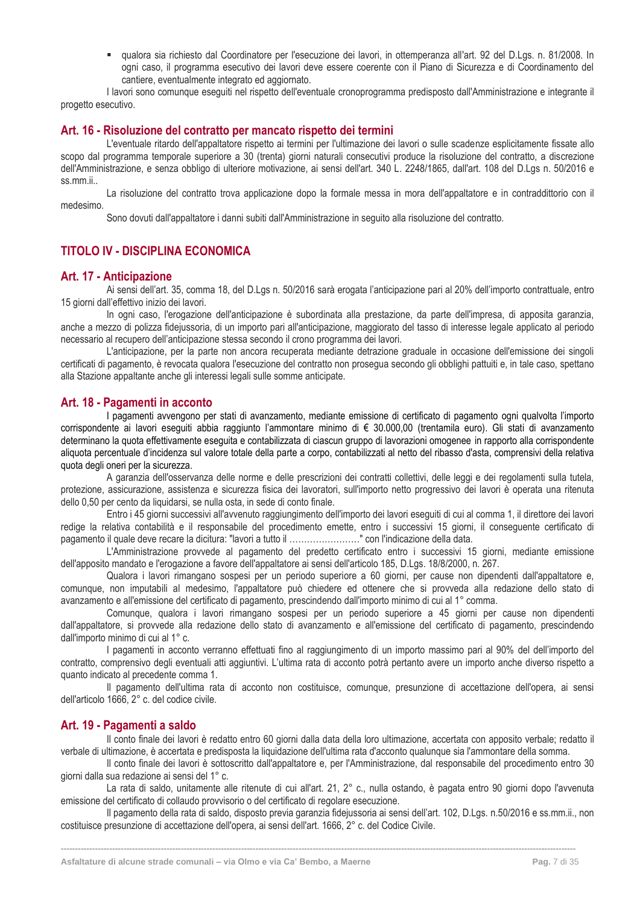▪ qualora sia richiesto dal Coordinatore per l'esecuzione dei lavori, in ottemperanza all'art. 92 del D.Lgs. n. 81/2008. In ogni caso, il programma esecutivo dei lavori deve essere coerente con il Piano di Sicurezza e di Coordinamento del cantiere, eventualmente integrato ed aggiornato.

I lavori sono comunque eseguiti nel rispetto dell'eventuale cronoprogramma predisposto dall'Amministrazione e integrante il progetto esecutivo.

#### <span id="page-7-0"></span>**Art. 16 - Risoluzione del contratto per mancato rispetto dei termini**

L'eventuale ritardo dell'appaltatore rispetto ai termini per l'ultimazione dei lavori o sulle scadenze esplicitamente fissate allo scopo dal programma temporale superiore a 30 (trenta) giorni naturali consecutivi produce la risoluzione del contratto, a discrezione dell'Amministrazione, e senza obbligo di ulteriore motivazione, ai sensi dell'art. 340 L. 2248/1865, dall'art. 108 del D.Lgs n. 50/2016 e ss.mm.ii..

La risoluzione del contratto trova applicazione dopo la formale messa in mora dell'appaltatore e in contraddittorio con il medesimo.

Sono dovuti dall'appaltatore i danni subiti dall'Amministrazione in seguito alla risoluzione del contratto.

# <span id="page-7-1"></span>**TITOLO IV - DISCIPLINA ECONOMICA**

#### <span id="page-7-2"></span>**Art. 17 - Anticipazione**

Ai sensi dell'art. 35, comma 18, del D.Lgs n. 50/2016 sarà erogata l'anticipazione pari al 20% dell'importo contrattuale, entro 15 giorni dall'effettivo inizio dei lavori.

In ogni caso, l'erogazione dell'anticipazione è subordinata alla prestazione, da parte dell'impresa, di apposita garanzia, anche a mezzo di polizza fidejussoria, di un importo pari all'anticipazione, maggiorato del tasso di interesse legale applicato al periodo necessario al recupero dell'anticipazione stessa secondo il crono programma dei lavori.

L'anticipazione, per la parte non ancora recuperata mediante detrazione graduale in occasione dell'emissione dei singoli certificati di pagamento, è revocata qualora l'esecuzione del contratto non prosegua secondo gli obblighi pattuiti e, in tale caso, spettano alla Stazione appaltante anche gli interessi legali sulle somme anticipate.

#### <span id="page-7-3"></span>**Art. 18 - Pagamenti in acconto**

I pagamenti avvengono per stati di avanzamento, mediante emissione di certificato di pagamento ogni qualvolta l'importo corrispondente ai lavori eseguiti abbia raggiunto l'ammontare minimo di € 30.000,00 (trentamila euro). Gli stati di avanzamento determinano la quota effettivamente eseguita e contabilizzata di ciascun gruppo di lavorazioni omogenee in rapporto alla corrispondente aliquota percentuale d'incidenza sul valore totale della parte a corpo, contabilizzati al netto del ribasso d'asta, comprensivi della relativa quota degli oneri per la sicurezza.

A garanzia dell'osservanza delle norme e delle prescrizioni dei contratti collettivi, delle leggi e dei regolamenti sulla tutela, protezione, assicurazione, assistenza e sicurezza fisica dei lavoratori, sull'importo netto progressivo dei lavori è operata una ritenuta dello 0,50 per cento da liquidarsi, se nulla osta, in sede di conto finale.

Entro i 45 giorni successivi all'avvenuto raggiungimento dell'importo dei lavori eseguiti di cui al comma 1, il direttore dei lavori redige la relativa contabilità e il responsabile del procedimento emette, entro i successivi 15 giorni, il conseguente certificato di pagamento il quale deve recare la dicitura: "lavori a tutto il ……………………" con l'indicazione della data.

L'Amministrazione provvede al pagamento del predetto certificato entro i successivi 15 giorni, mediante emissione dell'apposito mandato e l'erogazione a favore dell'appaltatore ai sensi dell'articolo 185, D.Lgs. 18/8/2000, n. 267.

Qualora i lavori rimangano sospesi per un periodo superiore a 60 giorni, per cause non dipendenti dall'appaltatore e, comunque, non imputabili al medesimo, l'appaltatore può chiedere ed ottenere che si provveda alla redazione dello stato di avanzamento e all'emissione del certificato di pagamento, prescindendo dall'importo minimo di cui al 1° comma.

Comunque, qualora i lavori rimangano sospesi per un periodo superiore a 45 giorni per cause non dipendenti dall'appaltatore, si provvede alla redazione dello stato di avanzamento e all'emissione del certificato di pagamento, prescindendo dall'importo minimo di cui al 1° c.

I pagamenti in acconto verranno effettuati fino al raggiungimento di un importo massimo pari al 90% del dell'importo del contratto, comprensivo degli eventuali atti aggiuntivi. L'ultima rata di acconto potrà pertanto avere un importo anche diverso rispetto a quanto indicato al precedente comma 1.

Il pagamento dell'ultima rata di acconto non costituisce, comunque, presunzione di accettazione dell'opera, ai sensi dell'articolo 1666, 2° c. del codice civile.

#### <span id="page-7-4"></span>**Art. 19 - Pagamenti a saldo**

Il conto finale dei lavori è redatto entro 60 giorni dalla data della loro ultimazione, accertata con apposito verbale; redatto il verbale di ultimazione, è accertata e predisposta la liquidazione dell'ultima rata d'acconto qualunque sia l'ammontare della somma.

Il conto finale dei lavori è sottoscritto dall'appaltatore e, per l'Amministrazione, dal responsabile del procedimento entro 30 giorni dalla sua redazione ai sensi del 1° c.

La rata di saldo, unitamente alle ritenute di cui all'art. 21, 2° c., nulla ostando, è pagata entro 90 giorni dopo l'avvenuta emissione del certificato di collaudo provvisorio o del certificato di regolare esecuzione.

Il pagamento della rata di saldo, disposto previa garanzia fidejussoria ai sensi dell'art. 102, D.Lgs. n.50/2016 e ss.mm.ii., non costituisce presunzione di accettazione dell'opera, ai sensi dell'art. 1666, 2° c. del Codice Civile.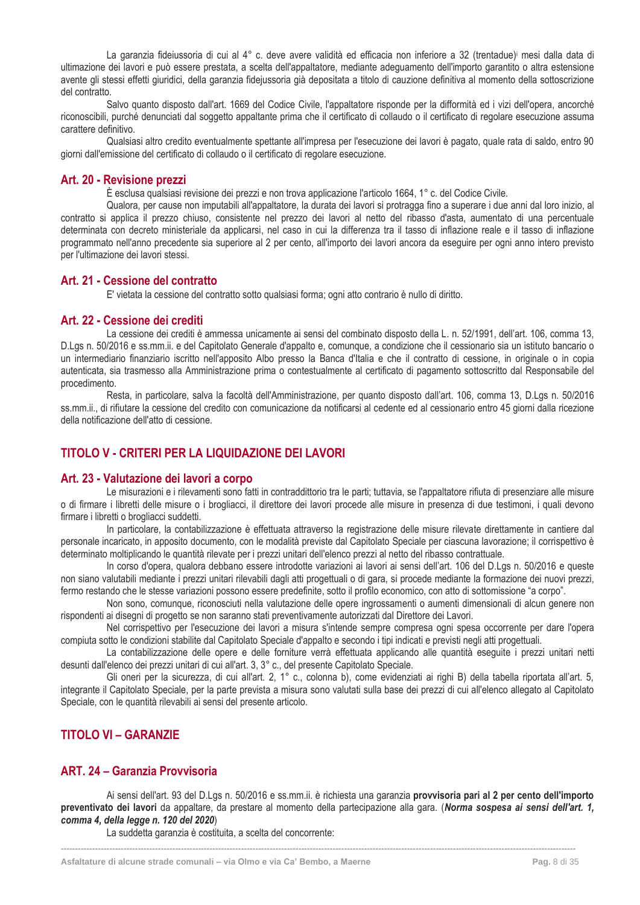La garanzia fideiussoria di cui al 4° c. deve avere validità ed efficacia non inferiore a 32 (trentadue)<sup>i</sup> mesi dalla data di ultimazione dei lavori e può essere prestata, a scelta dell'appaltatore, mediante adeguamento dell'importo garantito o altra estensione avente gli stessi effetti giuridici, della garanzia fidejussoria già depositata a titolo di cauzione definitiva al momento della sottoscrizione del contratto.

Salvo quanto disposto dall'art. 1669 del Codice Civile, l'appaltatore risponde per la difformità ed i vizi dell'opera, ancorché riconoscibili, purché denunciati dal soggetto appaltante prima che il certificato di collaudo o il certificato di regolare esecuzione assuma carattere definitivo.

Qualsiasi altro credito eventualmente spettante all'impresa per l'esecuzione dei lavori è pagato, quale rata di saldo, entro 90 giorni dall'emissione del certificato di collaudo o il certificato di regolare esecuzione.

### <span id="page-8-0"></span>**Art. 20 - Revisione prezzi**

È esclusa qualsiasi revisione dei prezzi e non trova applicazione l'articolo 1664, 1° c. del Codice Civile.

Qualora, per cause non imputabili all'appaltatore, la durata dei lavori si protragga fino a superare i due anni dal loro inizio, al contratto si applica il prezzo chiuso, consistente nel prezzo dei lavori al netto del ribasso d'asta, aumentato di una percentuale determinata con decreto ministeriale da applicarsi, nel caso in cui la differenza tra il tasso di inflazione reale e il tasso di inflazione programmato nell'anno precedente sia superiore al 2 per cento, all'importo dei lavori ancora da eseguire per ogni anno intero previsto per l'ultimazione dei lavori stessi.

#### <span id="page-8-1"></span>**Art. 21 - Cessione del contratto**

E' vietata la cessione del contratto sotto qualsiasi forma; ogni atto contrario è nullo di diritto.

#### <span id="page-8-2"></span>**Art. 22 - Cessione dei crediti**

La cessione dei crediti è ammessa unicamente ai sensi del combinato disposto della L. n. 52/1991, dell'art. 106, comma 13, D.Lgs n. 50/2016 e ss.mm.ii. e del Capitolato Generale d'appalto e, comunque, a condizione che il cessionario sia un istituto bancario o un intermediario finanziario iscritto nell'apposito Albo presso la Banca d'Italia e che il contratto di cessione, in originale o in copia autenticata, sia trasmesso alla Amministrazione prima o contestualmente al certificato di pagamento sottoscritto dal Responsabile del procedimento.

Resta, in particolare, salva la facoltà dell'Amministrazione, per quanto disposto dall'art. 106, comma 13, D.Lgs n. 50/2016 ss.mm.ii., di rifiutare la cessione del credito con comunicazione da notificarsi al cedente ed al cessionario entro 45 giorni dalla ricezione della notificazione dell'atto di cessione.

# <span id="page-8-3"></span>**TITOLO V - CRITERI PER LA LIQUIDAZIONE DEI LAVORI**

#### <span id="page-8-4"></span>**Art. 23 - Valutazione dei lavori a corpo**

Le misurazioni e i rilevamenti sono fatti in contraddittorio tra le parti; tuttavia, se l'appaltatore rifiuta di presenziare alle misure o di firmare i libretti delle misure o i brogliacci, il direttore dei lavori procede alle misure in presenza di due testimoni, i quali devono firmare i libretti o brogliacci suddetti.

In particolare, la contabilizzazione è effettuata attraverso la registrazione delle misure rilevate direttamente in cantiere dal personale incaricato, in apposito documento, con le modalità previste dal Capitolato Speciale per ciascuna lavorazione; il corrispettivo è determinato moltiplicando le quantità rilevate per i prezzi unitari dell'elenco prezzi al netto del ribasso contrattuale.

In corso d'opera, qualora debbano essere introdotte variazioni ai lavori ai sensi dell'art. 106 del D.Lgs n. 50/2016 e queste non siano valutabili mediante i prezzi unitari rilevabili dagli atti progettuali o di gara, si procede mediante la formazione dei nuovi prezzi, fermo restando che le stesse variazioni possono essere predefinite, sotto il profilo economico, con atto di sottomissione "a corpo".

Non sono, comunque, riconosciuti nella valutazione delle opere ingrossamenti o aumenti dimensionali di alcun genere non rispondenti ai disegni di progetto se non saranno stati preventivamente autorizzati dal Direttore dei Lavori.

Nel corrispettivo per l'esecuzione dei lavori a misura s'intende sempre compresa ogni spesa occorrente per dare l'opera compiuta sotto le condizioni stabilite dal Capitolato Speciale d'appalto e secondo i tipi indicati e previsti negli atti progettuali.

La contabilizzazione delle opere e delle forniture verrà effettuata applicando alle quantità eseguite i prezzi unitari netti desunti dall'elenco dei prezzi unitari di cui all'art. 3, 3° c., del presente Capitolato Speciale.

Gli oneri per la sicurezza, di cui all'art. 2, 1° c., colonna b), come evidenziati ai righi B) della tabella riportata all'art. 5, integrante il Capitolato Speciale, per la parte prevista a misura sono valutati sulla base dei prezzi di cui all'elenco allegato al Capitolato Speciale, con le quantità rilevabili ai sensi del presente articolo.

# <span id="page-8-5"></span>**TITOLO VI – GARANZIE**

# <span id="page-8-6"></span>**ART. 24 – Garanzia Provvisoria**

Ai sensi dell'art. 93 del D.Lgs n. 50/2016 e ss.mm.ii. è richiesta una garanzia **provvisoria pari al 2 per cento dell'importo preventivato dei lavori** da appaltare, da prestare al momento della partecipazione alla gara. (*Norma sospesa ai sensi dell'art. 1, comma 4, della legge n. 120 del 2020*)

**------------------------------------------------------------------------------------------------------------------------------------------------------------------------------------**

La suddetta garanzia è costituita, a scelta del concorrente: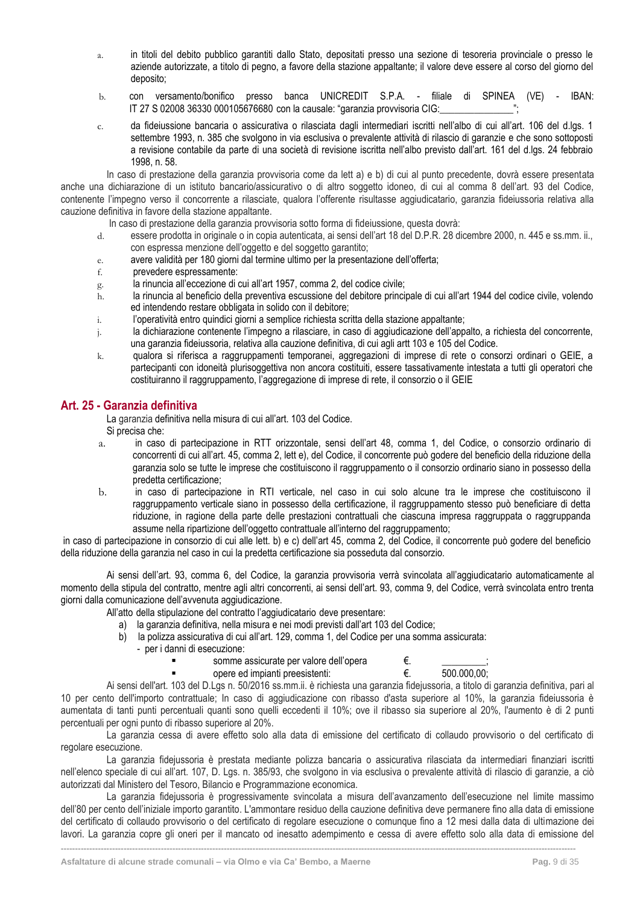- a. in titoli del debito pubblico garantiti dallo Stato, depositati presso una sezione di tesoreria provinciale o presso le aziende autorizzate, a titolo di pegno, a favore della stazione appaltante; il valore deve essere al corso del giorno del deposito;
- b. con versamento/bonifico presso banca UNICREDIT S.P.A. filiale di SPINEA (VE) IBAN: IT 27 S 02008 36330 000105676680 con la causale: "garanzia provvisoria CIG:\_\_\_\_\_\_\_\_\_\_\_\_\_\_\_";
- c. da fideiussione bancaria o assicurativa o rilasciata dagli intermediari iscritti nell'albo di cui all'art. 106 del d.lgs. 1 settembre 1993, n. 385 che svolgono in via esclusiva o prevalente attività di rilascio di garanzie e che sono sottoposti a revisione contabile da parte di una società di revisione iscritta nell'albo previsto dall'art. 161 del d.lgs. 24 febbraio 1998, n. 58.

In caso di prestazione della garanzia provvisoria come da lett a) e b) di cui al punto precedente, dovrà essere presentata anche una dichiarazione di un istituto bancario/assicurativo o di altro soggetto idoneo, di cui al comma 8 dell'art. 93 del Codice, contenente l'impegno verso il concorrente a rilasciate, qualora l'offerente risultasse aggiudicatario, garanzia fideiussoria relativa alla cauzione definitiva in favore della stazione appaltante.

In caso di prestazione della garanzia provvisoria sotto forma di fideiussione, questa dovrà:

- d. essere prodotta in originale o in copia autenticata, ai sensi dell'art 18 del D.P.R. 28 dicembre 2000, n. 445 e ss.mm. ii., con espressa menzione dell'oggetto e del soggetto garantito;
- e. avere validità per 180 giorni dal termine ultimo per la presentazione dell'offerta;
- f. prevedere espressamente:
- g. la rinuncia all'eccezione di cui all'art 1957, comma 2, del codice civile;
- h. la rinuncia al beneficio della preventiva escussione del debitore principale di cui all'art 1944 del codice civile, volendo ed intendendo restare obbligata in solido con il debitore;
- i. l'operatività entro quindici giorni a semplice richiesta scritta della stazione appaltante;
- j. la dichiarazione contenente l'impegno a rilasciare, in caso di aggiudicazione dell'appalto, a richiesta del concorrente, una garanzia fideiussoria, relativa alla cauzione definitiva, di cui agli artt 103 e 105 del Codice.
- k. qualora si riferisca a raggruppamenti temporanei, aggregazioni di imprese di rete o consorzi ordinari o GEIE, a partecipanti con idoneità plurisoggettiva non ancora costituiti, essere tassativamente intestata a tutti gli operatori che costituiranno il raggruppamento, l'aggregazione di imprese di rete, il consorzio o il GEIE

# <span id="page-9-0"></span>**Art. 25 - Garanzia definitiva**

La garanzia definitiva nella misura di cui all'art. 103 del Codice.

Si precisa che:

- a. in caso di partecipazione in RTT orizzontale, sensi dell'art 48, comma 1, del Codice, o consorzio ordinario di concorrenti di cui all'art. 45, comma 2, lett e), del Codice, il concorrente può godere del beneficio della riduzione della garanzia solo se tutte le imprese che costituiscono il raggruppamento o il consorzio ordinario siano in possesso della predetta certificazione;
- b. in caso di partecipazione in RTI verticale, nel caso in cui solo alcune tra le imprese che costituiscono il raggruppamento verticale siano in possesso della certificazione, il raggruppamento stesso può beneficiare di detta riduzione, in ragione della parte delle prestazioni contrattuali che ciascuna impresa raggruppata o raggruppanda assume nella ripartizione dell'oggetto contrattuale all'interno del raggruppamento;

in caso di partecipazione in consorzio di cui alle lett. b) e c) dell'art 45, comma 2, del Codice, il concorrente può godere del beneficio della riduzione della garanzia nel caso in cui la predetta certificazione sia posseduta dal consorzio.

Ai sensi dell'art. 93, comma 6, del Codice, la garanzia provvisoria verrà svincolata all'aggiudicatario automaticamente al momento della stipula del contratto, mentre agli altri concorrenti, ai sensi dell'art. 93, comma 9, del Codice, verrà svincolata entro trenta giorni dalla comunicazione dell'avvenuta aggiudicazione.

All'atto della stipulazione del contratto l'aggiudicatario deve presentare:

- a) la garanzia definitiva, nella misura e nei modi previsti dall'art 103 del Codice;
- b) la polizza assicurativa di cui all'art. 129, comma 1, del Codice per una somma assicurata:
	- per i danni di esecuzione:
		-
		- somme assicurate per valore dell'opera  $\epsilon$ .  $\frac{1}{500.000.00}$ ;<br>opere ed impianti preesistenti:  $\epsilon$   $\epsilon$  500.000.00: opere ed impianti preesistenti:  $€$ .

Ai sensi dell'art. 103 del D.Lgs n. 50/2016 ss.mm.ii. è richiesta una garanzia fidejussoria, a titolo di garanzia definitiva, pari al 10 per cento dell'importo contrattuale; In caso di aggiudicazione con ribasso d'asta superiore al 10%, la garanzia fideiussoria è aumentata di tanti punti percentuali quanti sono quelli eccedenti il 10%; ove il ribasso sia superiore al 20%, l'aumento è di 2 punti percentuali per ogni punto di ribasso superiore al 20%.

La garanzia cessa di avere effetto solo alla data di emissione del certificato di collaudo provvisorio o del certificato di regolare esecuzione.

La garanzia fidejussoria è prestata mediante polizza bancaria o assicurativa rilasciata da intermediari finanziari iscritti nell'elenco speciale di cui all'art. 107, D. Lgs. n. 385/93, che svolgono in via esclusiva o prevalente attività di rilascio di garanzie, a ciò autorizzati dal Ministero del Tesoro, Bilancio e Programmazione economica.

La garanzia fidejussoria è progressivamente svincolata a misura dell'avanzamento dell'esecuzione nel limite massimo dell'80 per cento dell'iniziale importo garantito. L'ammontare residuo della cauzione definitiva deve permanere fino alla data di emissione del certificato di collaudo provvisorio o del certificato di regolare esecuzione o comunque fino a 12 mesi dalla data di ultimazione dei lavori. La garanzia copre gli oneri per il mancato od inesatto adempimento e cessa di avere effetto solo alla data di emissione del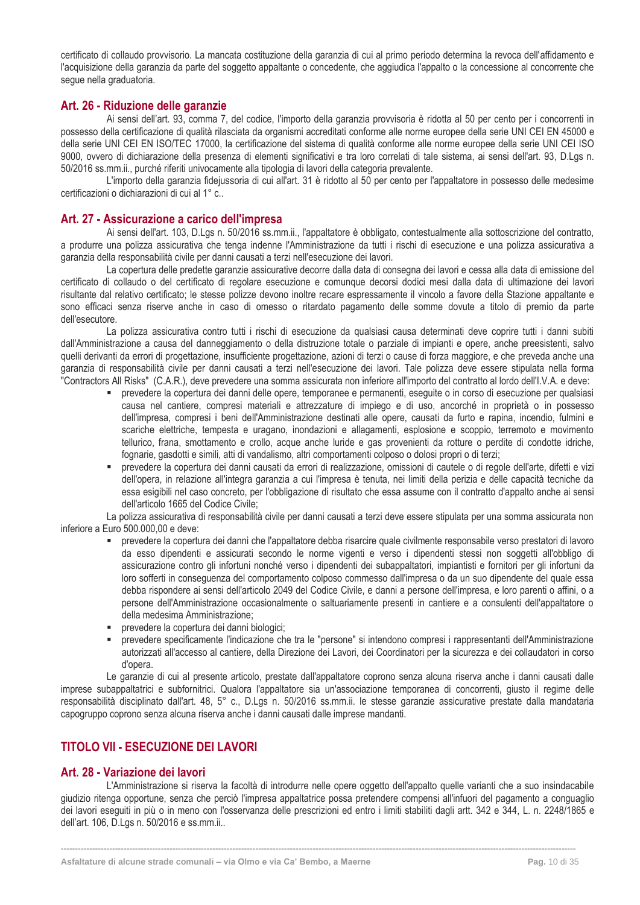certificato di collaudo provvisorio. La mancata costituzione della garanzia di cui al primo periodo determina la revoca dell'affidamento e l'acquisizione della garanzia da parte del soggetto appaltante o concedente, che aggiudica l'appalto o la concessione al concorrente che segue nella graduatoria.

# <span id="page-10-0"></span>**Art. 26 - Riduzione delle garanzie**

Ai sensi dell'art. 93, comma 7, del codice, l'importo della garanzia provvisoria è ridotta al 50 per cento per i concorrenti in possesso della certificazione di qualità rilasciata da organismi accreditati conforme alle norme europee della serie UNI CEI EN 45000 e della serie UNI CEI EN ISO/TEC 17000, la certificazione del sistema di qualità conforme alle norme europee della serie UNI CEI ISO 9000, ovvero di dichiarazione della presenza di elementi significativi e tra loro correlati di tale sistema, ai sensi dell'art. 93, D.Lgs n. 50/2016 ss.mm.ii., purché riferiti univocamente alla tipologia di lavori della categoria prevalente.

L'importo della garanzia fidejussoria di cui all'art. 31 è ridotto al 50 per cento per l'appaltatore in possesso delle medesime certificazioni o dichiarazioni di cui al 1° c..

# <span id="page-10-1"></span>**Art. 27 - Assicurazione a carico dell'impresa**

Ai sensi dell'art. 103, D.Lgs n. 50/2016 ss.mm.ii., l'appaltatore è obbligato, contestualmente alla sottoscrizione del contratto, a produrre una polizza assicurativa che tenga indenne l'Amministrazione da tutti i rischi di esecuzione e una polizza assicurativa a garanzia della responsabilità civile per danni causati a terzi nell'esecuzione dei lavori.

La copertura delle predette garanzie assicurative decorre dalla data di consegna dei lavori e cessa alla data di emissione del certificato di collaudo o del certificato di regolare esecuzione e comunque decorsi dodici mesi dalla data di ultimazione dei lavori risultante dal relativo certificato; le stesse polizze devono inoltre recare espressamente il vincolo a favore della Stazione appaltante e sono efficaci senza riserve anche in caso di omesso o ritardato pagamento delle somme dovute a titolo di premio da parte dell'esecutore.

La polizza assicurativa contro tutti i rischi di esecuzione da qualsiasi causa determinati deve coprire tutti i danni subiti dall'Amministrazione a causa del danneggiamento o della distruzione totale o parziale di impianti e opere, anche preesistenti, salvo quelli derivanti da errori di progettazione, insufficiente progettazione, azioni di terzi o cause di forza maggiore, e che preveda anche una garanzia di responsabilità civile per danni causati a terzi nell'esecuzione dei lavori. Tale polizza deve essere stipulata nella forma "Contractors All Risks" (C.A.R.), deve prevedere una somma assicurata non inferiore all'importo del contratto al lordo dell'I.V.A. e deve:

- prevedere la copertura dei danni delle opere, temporanee e permanenti, eseguite o in corso di esecuzione per qualsiasi causa nel cantiere, compresi materiali e attrezzature di impiego e di uso, ancorché in proprietà o in possesso dell'impresa, compresi i beni dell'Amministrazione destinati alle opere, causati da furto e rapina, incendio, fulmini e scariche elettriche, tempesta e uragano, inondazioni e allagamenti, esplosione e scoppio, terremoto e movimento tellurico, frana, smottamento e crollo, acque anche luride e gas provenienti da rotture o perdite di condotte idriche, fognarie, gasdotti e simili, atti di vandalismo, altri comportamenti colposo o dolosi propri o di terzi;
- prevedere la copertura dei danni causati da errori di realizzazione, omissioni di cautele o di regole dell'arte, difetti e vizi dell'opera, in relazione all'integra garanzia a cui l'impresa è tenuta, nei limiti della perizia e delle capacità tecniche da essa esigibili nel caso concreto, per l'obbligazione di risultato che essa assume con il contratto d'appalto anche ai sensi dell'articolo 1665 del Codice Civile;

La polizza assicurativa di responsabilità civile per danni causati a terzi deve essere stipulata per una somma assicurata non inferiore a Euro 500.000,00 e deve:

- prevedere la copertura dei danni che l'appaltatore debba risarcire quale civilmente responsabile verso prestatori di lavoro da esso dipendenti e assicurati secondo le norme vigenti e verso i dipendenti stessi non soggetti all'obbligo di assicurazione contro gli infortuni nonché verso i dipendenti dei subappaltatori, impiantisti e fornitori per gli infortuni da loro sofferti in conseguenza del comportamento colposo commesso dall'impresa o da un suo dipendente del quale essa debba rispondere ai sensi dell'articolo 2049 del Codice Civile, e danni a persone dell'impresa, e loro parenti o affini, o a persone dell'Amministrazione occasionalmente o saltuariamente presenti in cantiere e a consulenti dell'appaltatore o della medesima Amministrazione;
- prevedere la copertura dei danni biologici;
- prevedere specificamente l'indicazione che tra le "persone" si intendono compresi i rappresentanti dell'Amministrazione autorizzati all'accesso al cantiere, della Direzione dei Lavori, dei Coordinatori per la sicurezza e dei collaudatori in corso d'opera.

Le garanzie di cui al presente articolo, prestate dall'appaltatore coprono senza alcuna riserva anche i danni causati dalle imprese subappaltatrici e subfornitrici. Qualora l'appaltatore sia un'associazione temporanea di concorrenti, giusto il regime delle responsabilità disciplinato dall'art. 48, 5° c., D.Lgs n. 50/2016 ss.mm.ii. le stesse garanzie assicurative prestate dalla mandataria capogruppo coprono senza alcuna riserva anche i danni causati dalle imprese mandanti.

# <span id="page-10-2"></span>**TITOLO VII - ESECUZIONE DEI LAVORI**

# <span id="page-10-3"></span>**Art. 28 - Variazione dei lavori**

L'Amministrazione si riserva la facoltà di introdurre nelle opere oggetto dell'appalto quelle varianti che a suo insindacabile giudizio ritenga opportune, senza che perciò l'impresa appaltatrice possa pretendere compensi all'infuori del pagamento a conguaglio dei lavori eseguiti in più o in meno con l'osservanza delle prescrizioni ed entro i limiti stabiliti dagli artt. 342 e 344, L. n. 2248/1865 e dell'art. 106, D.Lgs n. 50/2016 e ss.mm.ii..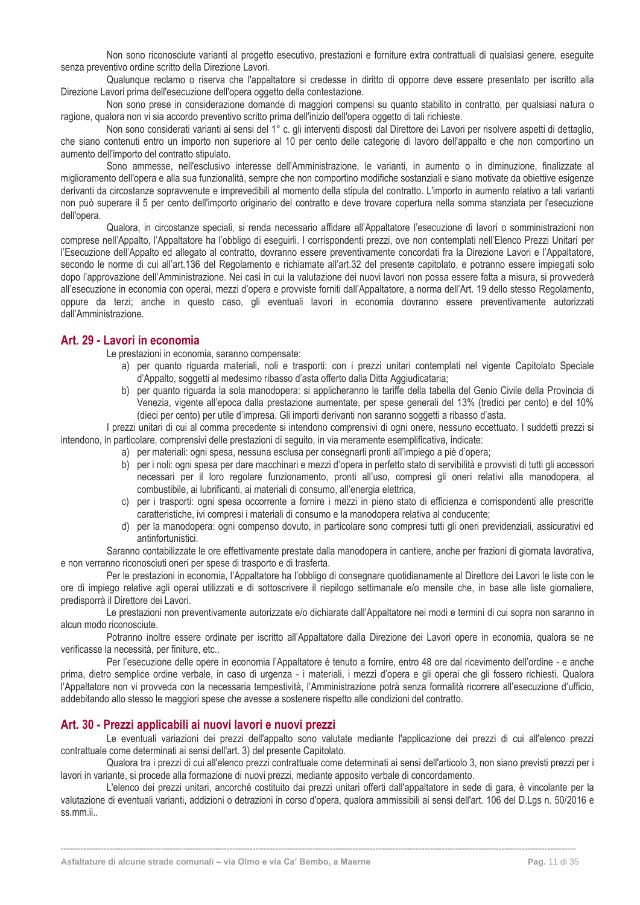Non sono riconosciute varianti al progetto esecutivo, prestazioni e forniture extra contrattuali di qualsiasi genere, eseguite senza preventivo ordine scritto della Direzione Lavori.

Qualunque reclamo o riserva che l'appaltatore si credesse in diritto di opporre deve essere presentato per iscritto alla Direzione Lavori prima dell'esecuzione dell'opera oggetto della contestazione.

Non sono prese in considerazione domande di maggiori compensi su quanto stabilito in contratto, per qualsiasi natura o ragione, qualora non vi sia accordo preventivo scritto prima dell'inizio dell'opera oggetto di tali richieste.

Non sono considerati varianti ai sensi del 1° c. gli interventi disposti dal Direttore dei Lavori per risolvere aspetti di dettaglio, che siano contenuti entro un importo non superiore al 10 per cento delle categorie di lavoro dell'appalto e che non comportino un aumento dell'importo del contratto stipulato.

Sono ammesse, nell'esclusivo interesse dell'Amministrazione, le varianti, in aumento o in diminuzione, finalizzate al miglioramento dell'opera e alla sua funzionalità, sempre che non comportino modifiche sostanziali e siano motivate da obiettive esigenze derivanti da circostanze sopravvenute e imprevedibili al momento della stipula del contratto. L'importo in aumento relativo a tali varianti non può superare il 5 per cento dell'importo originario del contratto e deve trovare copertura nella somma stanziata per l'esecuzione dell'opera.

Qualora, in circostanze speciali, si renda necessario affidare all'Appaltatore l'esecuzione di lavori o somministrazioni non comprese nell'Appalto, l'Appaltatore ha l'obbligo di eseguirli. I corrispondenti prezzi, ove non contemplati nell'Elenco Prezzi Unitari per l'Esecuzione dell'Appalto ed allegato al contratto, dovranno essere preventivamente concordati fra la Direzione Lavori e l'Appaltatore, secondo le norme di cui all'art.136 del Regolamento e richiamate all'art.32 del presente capitolato, e potranno essere impiegati solo dopo l'approvazione dell'Amministrazione. Nei casi in cui la valutazione dei nuovi lavori non possa essere fatta a misura, si provvederà all'esecuzione in economia con operai, mezzi d'opera e provviste forniti dall'Appaltatore, a norma dell'Art. 19 dello stesso Regolamento, oppure da terzi; anche in questo caso, gli eventuali lavori in economia dovranno essere preventivamente autorizzati dall'Amministrazione.

#### <span id="page-11-0"></span>**Art. 29 - Lavori in economia**

Le prestazioni in economia, saranno compensate:

- a) per quanto riguarda materiali, noli e trasporti: con i prezzi unitari contemplati nel vigente Capitolato Speciale d'Appalto, soggetti al medesimo ribasso d'asta offerto dalla Ditta Aggiudicataria;
- b) per quanto riguarda la sola manodopera: si applicheranno le tariffe della tabella del Genio Civile della Provincia di Venezia, vigente all'epoca dalla prestazione aumentate, per spese generali del 13% (tredici per cento) e del 10% (dieci per cento) per utile d'impresa. Gli importi derivanti non saranno soggetti a ribasso d'asta.

I prezzi unitari di cui al comma precedente si intendono comprensivi di ogni onere, nessuno eccettuato. I suddetti prezzi si intendono, in particolare, comprensivi delle prestazioni di seguito, in via meramente esemplificativa, indicate:

- a) per materiali: ogni spesa, nessuna esclusa per consegnarli pronti all'impiego a piè d'opera;
- b) per i noli: ogni spesa per dare macchinari e mezzi d'opera in perfetto stato di servibilità e provvisti di tutti gli accessori necessari per il loro regolare funzionamento, pronti all'uso, compresi gli oneri relativi alla manodopera, al combustibile, ai lubrificanti, ai materiali di consumo, all'energia elettrica,
- c) per i trasporti: ogni spesa occorrente a fornire i mezzi in pieno stato di efficienza e corrispondenti alle prescritte caratteristiche, ivi compresi i materiali di consumo e la manodopera relativa al conducente;
- d) per la manodopera: ogni compenso dovuto, in particolare sono compresi tutti gli oneri previdenziali, assicurativi ed antinfortunistici.

Saranno contabilizzate le ore effettivamente prestate dalla manodopera in cantiere, anche per frazioni di giornata lavorativa, e non verranno riconosciuti oneri per spese di trasporto e di trasferta.

Per le prestazioni in economia, l'Appaltatore ha l'obbligo di consegnare quotidianamente al Direttore dei Lavori le liste con le ore di impiego relative agli operai utilizzati e di sottoscrivere il riepilogo settimanale e/o mensile che, in base alle liste giornaliere, predisporrà il Direttore dei Lavori.

Le prestazioni non preventivamente autorizzate e/o dichiarate dall'Appaltatore nei modi e termini di cui sopra non saranno in alcun modo riconosciute.

Potranno inoltre essere ordinate per iscritto all'Appaltatore dalla Direzione dei Lavori opere in economia, qualora se ne verificasse la necessità, per finiture, etc..

Per l'esecuzione delle opere in economia l'Appaltatore è tenuto a fornire, entro 48 ore dal ricevimento dell'ordine - e anche prima, dietro semplice ordine verbale, in caso di urgenza - i materiali, i mezzi d'opera e gli operai che gli fossero richiesti. Qualora l'Appaltatore non vi provveda con la necessaria tempestività, l'Amministrazione potrà senza formalità ricorrere all'esecuzione d'ufficio, addebitando allo stesso le maggiori spese che avesse a sostenere rispetto alle condizioni del contratto.

# <span id="page-11-1"></span>**Art. 30 - Prezzi applicabili ai nuovi lavori e nuovi prezzi**

Le eventuali variazioni dei prezzi dell'appalto sono valutate mediante l'applicazione dei prezzi di cui all'elenco prezzi contrattuale come determinati ai sensi dell'art. 3) del presente Capitolato.

Qualora tra i prezzi di cui all'elenco prezzi contrattuale come determinati ai sensi dell'articolo 3, non siano previsti prezzi per i lavori in variante, si procede alla formazione di nuovi prezzi, mediante apposito verbale di concordamento.

L'elenco dei prezzi unitari, ancorché costituito dai prezzi unitari offerti dall'appaltatore in sede di gara, è vincolante per la valutazione di eventuali varianti, addizioni o detrazioni in corso d'opera, qualora ammissibili ai sensi dell'art. 106 del D.Lgs n. 50/2016 e ss.mm.ii..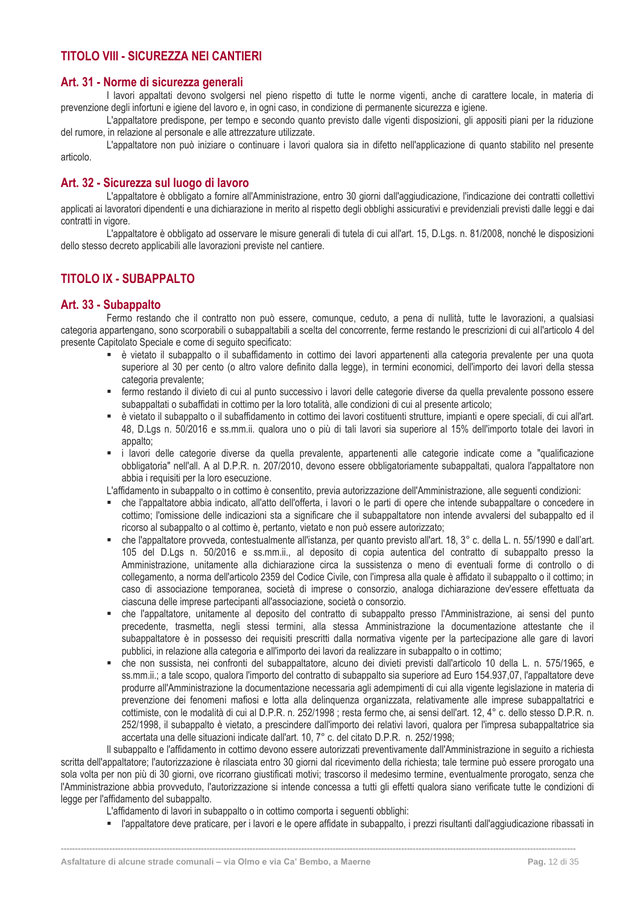# <span id="page-12-0"></span>**TITOLO VIII - SICUREZZA NEI CANTIERI**

# <span id="page-12-1"></span>**Art. 31 - Norme di sicurezza generali**

I lavori appaltati devono svolgersi nel pieno rispetto di tutte le norme vigenti, anche di carattere locale, in materia di prevenzione degli infortuni e igiene del lavoro e, in ogni caso, in condizione di permanente sicurezza e igiene.

L'appaltatore predispone, per tempo e secondo quanto previsto dalle vigenti disposizioni, gli appositi piani per la riduzione del rumore, in relazione al personale e alle attrezzature utilizzate.

L'appaltatore non può iniziare o continuare i lavori qualora sia in difetto nell'applicazione di quanto stabilito nel presente articolo.

# <span id="page-12-2"></span>**Art. 32 - Sicurezza sul luogo di lavoro**

L'appaltatore è obbligato a fornire all'Amministrazione, entro 30 giorni dall'aggiudicazione, l'indicazione dei contratti collettivi applicati ai lavoratori dipendenti e una dichiarazione in merito al rispetto degli obblighi assicurativi e previdenziali previsti dalle leggi e dai contratti in vigore.

L'appaltatore è obbligato ad osservare le misure generali di tutela di cui all'art. 15, D.Lgs. n. 81/2008, nonché le disposizioni dello stesso decreto applicabili alle lavorazioni previste nel cantiere.

# <span id="page-12-3"></span>**TITOLO IX - SUBAPPALTO**

# <span id="page-12-4"></span>**Art. 33 - Subappalto**

Fermo restando che il contratto non può essere, comunque, ceduto, a pena di nullità, tutte le lavorazioni, a qualsiasi categoria appartengano, sono scorporabili o subappaltabili a scelta del concorrente, ferme restando le prescrizioni di cui all'articolo 4 del presente Capitolato Speciale e come di seguito specificato:

- è vietato il subappalto o il subaffidamento in cottimo dei lavori appartenenti alla categoria prevalente per una quota superiore al 30 per cento (o altro valore definito dalla legge), in termini economici, dell'importo dei lavori della stessa categoria prevalente;
- fermo restando il divieto di cui al punto successivo i lavori delle categorie diverse da quella prevalente possono essere subappaltati o subaffidati in cottimo per la loro totalità, alle condizioni di cui al presente articolo;
- è vietato il subappalto o il subaffidamento in cottimo dei lavori costituenti strutture, impianti e opere speciali, di cui all'art. 48, D.Lgs n. 50/2016 e ss.mm.ii. qualora uno o più di tali lavori sia superiore al 15% dell'importo totale dei lavori in appalto;
- i lavori delle categorie diverse da quella prevalente, appartenenti alle categorie indicate come a "qualificazione obbligatoria" nell'all. A al D.P.R. n. 207/2010, devono essere obbligatoriamente subappaltati, qualora l'appaltatore non abbia i requisiti per la loro esecuzione.

L'affidamento in subappalto o in cottimo è consentito, previa autorizzazione dell'Amministrazione, alle seguenti condizioni:

- che l'appaltatore abbia indicato, all'atto dell'offerta, i lavori o le parti di opere che intende subappaltare o concedere in cottimo; l'omissione delle indicazioni sta a significare che il subappaltatore non intende avvalersi del subappalto ed il ricorso al subappalto o al cottimo è, pertanto, vietato e non può essere autorizzato;
- che l'appaltatore provveda, contestualmente all'istanza, per quanto previsto all'art. 18, 3° c. della L. n. 55/1990 e dall'art. 105 del D.Lgs n. 50/2016 e ss.mm.ii., al deposito di copia autentica del contratto di subappalto presso la Amministrazione, unitamente alla dichiarazione circa la sussistenza o meno di eventuali forme di controllo o di collegamento, a norma dell'articolo 2359 del Codice Civile, con l'impresa alla quale è affidato il subappalto o il cottimo; in caso di associazione temporanea, società di imprese o consorzio, analoga dichiarazione dev'essere effettuata da ciascuna delle imprese partecipanti all'associazione, società o consorzio.
- che l'appaltatore, unitamente al deposito del contratto di subappalto presso l'Amministrazione, ai sensi del punto precedente, trasmetta, negli stessi termini, alla stessa Amministrazione la documentazione attestante che il subappaltatore è in possesso dei requisiti prescritti dalla normativa vigente per la partecipazione alle gare di lavori pubblici, in relazione alla categoria e all'importo dei lavori da realizzare in subappalto o in cottimo;
- che non sussista, nei confronti del subappaltatore, alcuno dei divieti previsti dall'articolo 10 della L. n. 575/1965, e ss.mm.ii.; a tale scopo, qualora l'importo del contratto di subappalto sia superiore ad Euro 154.937,07, l'appaltatore deve produrre all'Amministrazione la documentazione necessaria agli adempimenti di cui alla vigente legislazione in materia di prevenzione dei fenomeni mafiosi e lotta alla delinquenza organizzata, relativamente alle imprese subappaltatrici e cottimiste, con le modalità di cui al D.P.R. n. 252/1998 ; resta fermo che, ai sensi dell'art. 12, 4° c. dello stesso D.P.R. n. 252/1998, il subappalto è vietato, a prescindere dall'importo dei relativi lavori, qualora per l'impresa subappaltatrice sia accertata una delle situazioni indicate dall'art. 10, 7° c. del citato D.P.R. n. 252/1998;

Il subappalto e l'affidamento in cottimo devono essere autorizzati preventivamente dall'Amministrazione in seguito a richiesta scritta dell'appaltatore; l'autorizzazione è rilasciata entro 30 giorni dal ricevimento della richiesta; tale termine può essere prorogato una sola volta per non più di 30 giorni, ove ricorrano giustificati motivi; trascorso il medesimo termine, eventualmente prorogato, senza che l'Amministrazione abbia provveduto, l'autorizzazione si intende concessa a tutti gli effetti qualora siano verificate tutte le condizioni di legge per l'affidamento del subappalto.

**------------------------------------------------------------------------------------------------------------------------------------------------------------------------------------**

L'affidamento di lavori in subappalto o in cottimo comporta i seguenti obblighi:

▪ l'appaltatore deve praticare, per i lavori e le opere affidate in subappalto, i prezzi risultanti dall'aggiudicazione ribassati in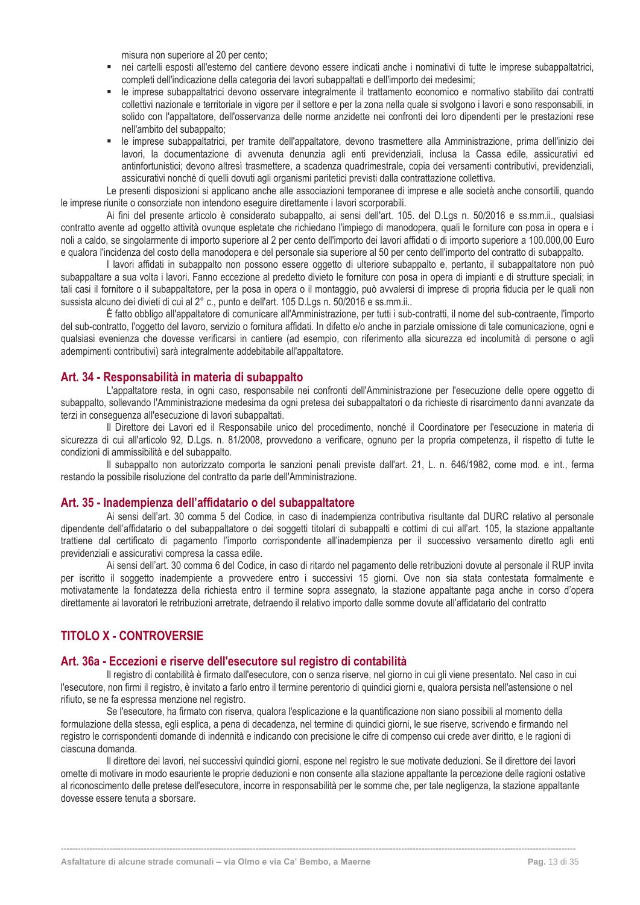misura non superiore al 20 per cento;

- nei cartelli esposti all'esterno del cantiere devono essere indicati anche i nominativi di tutte le imprese subappaltatrici, completi dell'indicazione della categoria dei lavori subappaltati e dell'importo dei medesimi;
- le imprese subappaltatrici devono osservare integralmente il trattamento economico e normativo stabilito dai contratti collettivi nazionale e territoriale in vigore per il settore e per la zona nella quale si svolgono i lavori e sono responsabili, in solido con l'appaltatore, dell'osservanza delle norme anzidette nei confronti dei loro dipendenti per le prestazioni rese nell'ambito del subappalto;
- le imprese subappaltatrici, per tramite dell'appaltatore, devono trasmettere alla Amministrazione, prima dell'inizio dei lavori, la documentazione di avvenuta denunzia agli enti previdenziali, inclusa la Cassa edile, assicurativi ed antinfortunistici; devono altresì trasmettere, a scadenza quadrimestrale, copia dei versamenti contributivi, previdenziali, assicurativi nonché di quelli dovuti agli organismi paritetici previsti dalla contrattazione collettiva.

Le presenti disposizioni si applicano anche alle associazioni temporanee di imprese e alle società anche consortili, quando le imprese riunite o consorziate non intendono eseguire direttamente i lavori scorporabili.

Ai fini del presente articolo è considerato subappalto, ai sensi dell'art. 105. del D.Lgs n. 50/2016 e ss.mm.ii., qualsiasi contratto avente ad oggetto attività ovunque espletate che richiedano l'impiego di manodopera, quali le forniture con posa in opera e i noli a caldo, se singolarmente di importo superiore al 2 per cento dell'importo dei lavori affidati o di importo superiore a 100.000,00 Euro e qualora l'incidenza del costo della manodopera e del personale sia superiore al 50 per cento dell'importo del contratto di subappalto.

I lavori affidati in subappalto non possono essere oggetto di ulteriore subappalto e, pertanto, il subappaltatore non può subappaltare a sua volta i lavori. Fanno eccezione al predetto divieto le forniture con posa in opera di impianti e di strutture speciali; in tali casi il fornitore o il subappaltatore, per la posa in opera o il montaggio, può avvalersi di imprese di propria fiducia per le quali non sussista alcuno dei divieti di cui al 2° c., punto e dell'art. 105 D.Lgs n. 50/2016 e ss.mm.ii..

È fatto obbligo all'appaltatore di comunicare all'Amministrazione, per tutti i sub-contratti, il nome del sub-contraente, l'importo del sub-contratto, l'oggetto del lavoro, servizio o fornitura affidati. In difetto e/o anche in parziale omissione di tale comunicazione, ogni e qualsiasi evenienza che dovesse verificarsi in cantiere (ad esempio, con riferimento alla sicurezza ed incolumità di persone o agli adempimenti contributivi) sarà integralmente addebitabile all'appaltatore.

### <span id="page-13-0"></span>**Art. 34 - Responsabilità in materia di subappalto**

L'appaltatore resta, in ogni caso, responsabile nei confronti dell'Amministrazione per l'esecuzione delle opere oggetto di subappalto, sollevando l'Amministrazione medesima da ogni pretesa dei subappaltatori o da richieste di risarcimento danni avanzate da terzi in conseguenza all'esecuzione di lavori subappaltati.

Il Direttore dei Lavori ed il Responsabile unico del procedimento, nonché il Coordinatore per l'esecuzione in materia di sicurezza di cui all'articolo 92, D.Lgs. n. 81/2008, provvedono a verificare, ognuno per la propria competenza, il rispetto di tutte le condizioni di ammissibilità e del subappalto.

Il subappalto non autorizzato comporta le sanzioni penali previste dall'art. 21, L. n. 646/1982, come mod. e int., ferma restando la possibile risoluzione del contratto da parte dell'Amministrazione.

# <span id="page-13-1"></span>**Art. 35 - Inadempienza dell'affidatario o del subappaltatore**

Ai sensi dell'art. 30 comma 5 del Codice, in caso di inadempienza contributiva risultante dal DURC relativo al personale dipendente dell'affidatario o del subappaltatore o dei soggetti titolari di subappalti e cottimi di cui all'art. 105, la stazione appaltante trattiene dal certificato di pagamento l'importo corrispondente all'inadempienza per il successivo versamento diretto agli enti previdenziali e assicurativi compresa la cassa edile.

Ai sensi dell'art. 30 comma 6 del Codice, in caso di ritardo nel pagamento delle retribuzioni dovute al personale il RUP invita per iscritto il soggetto inadempiente a provvedere entro i successivi 15 giorni. Ove non sia stata contestata formalmente e motivatamente la fondatezza della richiesta entro il termine sopra assegnato, la stazione appaltante paga anche in corso d'opera direttamente ai lavoratori le retribuzioni arretrate, detraendo il relativo importo dalle somme dovute all'affidatario del contratto

# <span id="page-13-2"></span>**TITOLO X - CONTROVERSIE**

#### <span id="page-13-3"></span>**Art. 36a - Eccezioni e riserve dell'esecutore sul registro di contabilità**

Il registro di contabilità è firmato dall'esecutore, con o senza riserve, nel giorno in cui gli viene presentato. Nel caso in cui l'esecutore, non firmi il registro, è invitato a farlo entro il termine perentorio di quindici giorni e, qualora persista nell'astensione o nel rifiuto, se ne fa espressa menzione nel registro.

Se l'esecutore, ha firmato con riserva, qualora l'esplicazione e la quantificazione non siano possibili al momento della formulazione della stessa, egli esplica, a pena di decadenza, nel termine di quindici giorni, le sue riserve, scrivendo e firmando nel registro le corrispondenti domande di indennità e indicando con precisione le cifre di compenso cui crede aver diritto, e le ragioni di ciascuna domanda.

Il direttore dei lavori, nei successivi quindici giorni, espone nel registro le sue motivate deduzioni. Se il direttore dei lavori omette di motivare in modo esauriente le proprie deduzioni e non consente alla stazione appaltante la percezione delle ragioni ostative al riconoscimento delle pretese dell'esecutore, incorre in responsabilità per le somme che, per tale negligenza, la stazione appaltante dovesse essere tenuta a sborsare.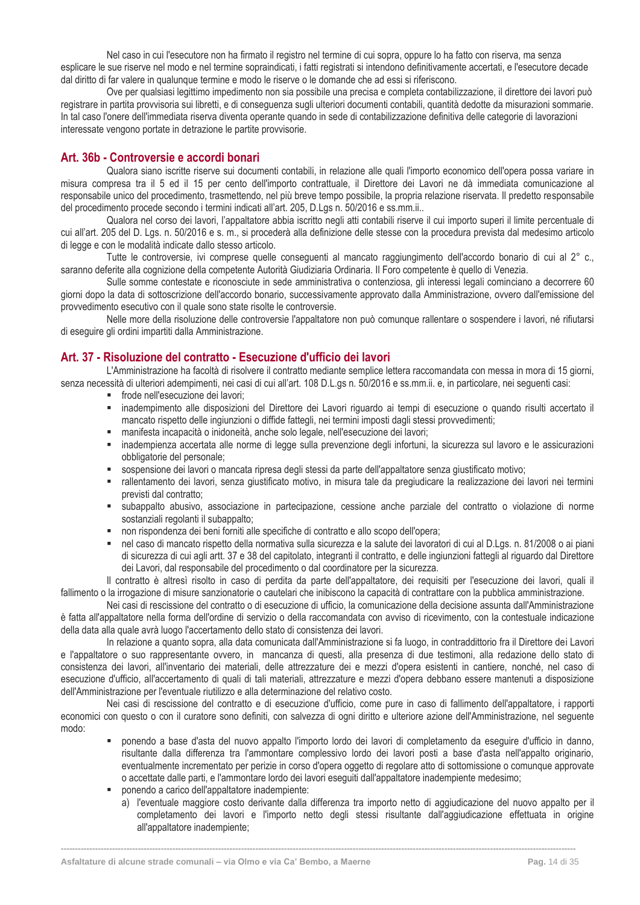Nel caso in cui l'esecutore non ha firmato il registro nel termine di cui sopra, oppure lo ha fatto con riserva, ma senza esplicare le sue riserve nel modo e nel termine sopraindicati, i fatti registrati si intendono definitivamente accertati, e l'esecutore decade dal diritto di far valere in qualunque termine e modo le riserve o le domande che ad essi si riferiscono.

Ove per qualsiasi legittimo impedimento non sia possibile una precisa e completa contabilizzazione, il direttore dei lavori può registrare in partita provvisoria sui libretti, e di conseguenza sugli ulteriori documenti contabili, quantità dedotte da misurazioni sommarie. In tal caso l'onere dell'immediata riserva diventa operante quando in sede di contabilizzazione definitiva delle categorie di lavorazioni interessate vengono portate in detrazione le partite provvisorie.

# **Art. 36b - Controversie e accordi bonari**

Qualora siano iscritte riserve sui documenti contabili, in relazione alle quali l'importo economico dell'opera possa variare in misura compresa tra il 5 ed il 15 per cento dell'importo contrattuale, il Direttore dei Lavori ne dà immediata comunicazione al responsabile unico del procedimento, trasmettendo, nel più breve tempo possibile, la propria relazione riservata. Il predetto responsabile del procedimento procede secondo i termini indicati all'art. 205, D.Lgs n. 50/2016 e ss.mm.ii..

Qualora nel corso dei lavori, l'appaltatore abbia iscritto negli atti contabili riserve il cui importo superi il limite percentuale di cui all'art. 205 del D. Lgs. n. 50/2016 e s. m., si procederà alla definizione delle stesse con la procedura prevista dal medesimo articolo di legge e con le modalità indicate dallo stesso articolo.

Tutte le controversie, ivi comprese quelle conseguenti al mancato raggiungimento dell'accordo bonario di cui al 2° c., saranno deferite alla cognizione della competente Autorità Giudiziaria Ordinaria. Il Foro competente è quello di Venezia.

Sulle somme contestate e riconosciute in sede amministrativa o contenziosa, gli interessi legali cominciano a decorrere 60 giorni dopo la data di sottoscrizione dell'accordo bonario, successivamente approvato dalla Amministrazione, ovvero dall'emissione del provvedimento esecutivo con il quale sono state risolte le controversie.

Nelle more della risoluzione delle controversie l'appaltatore non può comunque rallentare o sospendere i lavori, né rifiutarsi di eseguire gli ordini impartiti dalla Amministrazione.

# <span id="page-14-0"></span>**Art. 37 - Risoluzione del contratto - Esecuzione d'ufficio dei lavori**

L'Amministrazione ha facoltà di risolvere il contratto mediante semplice lettera raccomandata con messa in mora di 15 giorni, senza necessità di ulteriori adempimenti, nei casi di cui all'art. 108 D.L.gs n. 50/2016 e ss.mm.ii. e, in particolare, nei seguenti casi:

- frode nell'esecuzione dei lavori:
- inadempimento alle disposizioni del Direttore dei Lavori riguardo ai tempi di esecuzione o quando risulti accertato il mancato rispetto delle ingiunzioni o diffide fattegli, nei termini imposti dagli stessi provvedimenti;
- manifesta incapacità o inidoneità, anche solo legale, nell'esecuzione dei lavori;
- inadempienza accertata alle norme di legge sulla prevenzione degli infortuni, la sicurezza sul lavoro e le assicurazioni obbligatorie del personale;
- sospensione dei lavori o mancata ripresa degli stessi da parte dell'appaltatore senza giustificato motivo;
- rallentamento dei lavori, senza giustificato motivo, in misura tale da pregiudicare la realizzazione dei lavori nei termini previsti dal contratto;
- subappalto abusivo, associazione in partecipazione, cessione anche parziale del contratto o violazione di norme sostanziali regolanti il subappalto;
- non rispondenza dei beni forniti alle specifiche di contratto e allo scopo dell'opera;
- nel caso di mancato rispetto della normativa sulla sicurezza e la salute dei lavoratori di cui al D.Lgs. n. 81/2008 o ai piani di sicurezza di cui agli artt. 37 e 38 del capitolato, integranti il contratto, e delle ingiunzioni fattegli al riguardo dal Direttore dei Lavori, dal responsabile del procedimento o dal coordinatore per la sicurezza.

Il contratto è altresì risolto in caso di perdita da parte dell'appaltatore, dei requisiti per l'esecuzione dei lavori, quali il fallimento o la irrogazione di misure sanzionatorie o cautelari che inibiscono la capacità di contrattare con la pubblica amministrazione.

Nei casi di rescissione del contratto o di esecuzione di ufficio, la comunicazione della decisione assunta dall'Amministrazione è fatta all'appaltatore nella forma dell'ordine di servizio o della raccomandata con avviso di ricevimento, con la contestuale indicazione della data alla quale avrà luogo l'accertamento dello stato di consistenza dei lavori.

In relazione a quanto sopra, alla data comunicata dall'Amministrazione si fa luogo, in contraddittorio fra il Direttore dei Lavori e l'appaltatore o suo rappresentante ovvero, in mancanza di questi, alla presenza di due testimoni, alla redazione dello stato di consistenza dei lavori, all'inventario dei materiali, delle attrezzature dei e mezzi d'opera esistenti in cantiere, nonché, nel caso di esecuzione d'ufficio, all'accertamento di quali di tali materiali, attrezzature e mezzi d'opera debbano essere mantenuti a disposizione dell'Amministrazione per l'eventuale riutilizzo e alla determinazione del relativo costo.

Nei casi di rescissione del contratto e di esecuzione d'ufficio, come pure in caso di fallimento dell'appaltatore, i rapporti economici con questo o con il curatore sono definiti, con salvezza di ogni diritto e ulteriore azione dell'Amministrazione, nel seguente modo:

- ponendo a base d'asta del nuovo appalto l'importo lordo dei lavori di completamento da eseguire d'ufficio in danno, risultante dalla differenza tra l'ammontare complessivo lordo dei lavori posti a base d'asta nell'appalto originario, eventualmente incrementato per perizie in corso d'opera oggetto di regolare atto di sottomissione o comunque approvate o accettate dalle parti, e l'ammontare lordo dei lavori eseguiti dall'appaltatore inadempiente medesimo;
- ponendo a carico dell'appaltatore inadempiente:
	- a) l'eventuale maggiore costo derivante dalla differenza tra importo netto di aggiudicazione del nuovo appalto per il completamento dei lavori e l'importo netto degli stessi risultante dall'aggiudicazione effettuata in origine all'appaltatore inadempiente;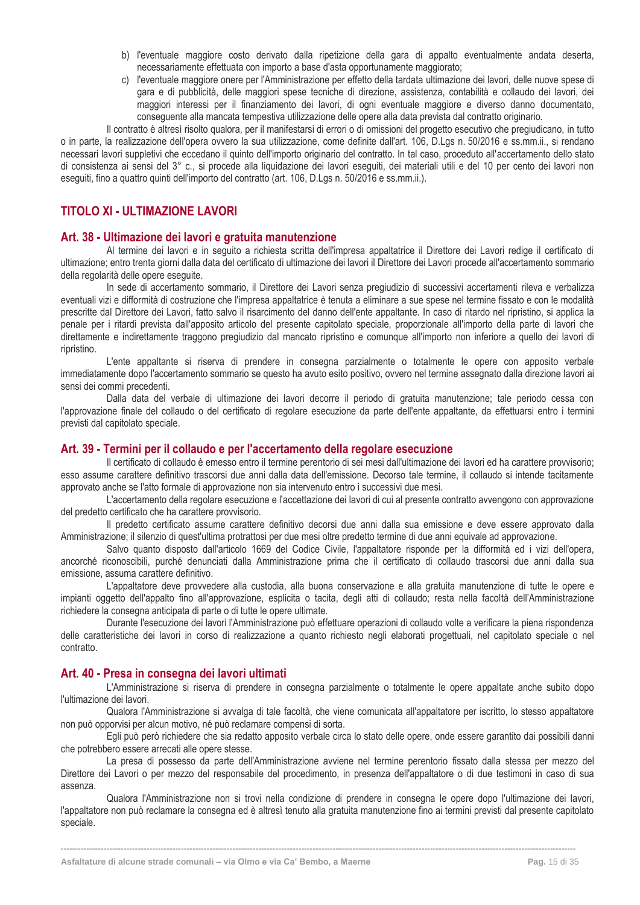- b) l'eventuale maggiore costo derivato dalla ripetizione della gara di appalto eventualmente andata deserta, necessariamente effettuata con importo a base d'asta opportunamente maggiorato;
- c) l'eventuale maggiore onere per l'Amministrazione per effetto della tardata ultimazione dei lavori, delle nuove spese di gara e di pubblicità, delle maggiori spese tecniche di direzione, assistenza, contabilità e collaudo dei lavori, dei maggiori interessi per il finanziamento dei lavori, di ogni eventuale maggiore e diverso danno documentato, conseguente alla mancata tempestiva utilizzazione delle opere alla data prevista dal contratto originario.

Il contratto è altresì risolto qualora, per il manifestarsi di errori o di omissioni del progetto esecutivo che pregiudicano, in tutto o in parte, la realizzazione dell'opera ovvero la sua utilizzazione, come definite dall'art. 106, D.Lgs n. 50/2016 e ss.mm.ii., si rendano

necessari lavori suppletivi che eccedano il quinto dell'importo originario del contratto. In tal caso, proceduto all'accertamento dello stato di consistenza ai sensi del 3° c., si procede alla liquidazione dei lavori eseguiti, dei materiali utili e del 10 per cento dei lavori non eseguiti, fino a quattro quinti dell'importo del contratto (art. 106, D.Lgs n. 50/2016 e ss.mm.ii.).

# <span id="page-15-0"></span>**TITOLO XI - ULTIMAZIONE LAVORI**

#### <span id="page-15-1"></span>**Art. 38 - Ultimazione dei lavori e gratuita manutenzione**

Al termine dei lavori e in seguito a richiesta scritta dell'impresa appaltatrice il Direttore dei Lavori redige il certificato di ultimazione; entro trenta giorni dalla data del certificato di ultimazione dei lavori il Direttore dei Lavori procede all'accertamento sommario della regolarità delle opere eseguite.

In sede di accertamento sommario, il Direttore dei Lavori senza pregiudizio di successivi accertamenti rileva e verbalizza eventuali vizi e difformità di costruzione che l'impresa appaltatrice è tenuta a eliminare a sue spese nel termine fissato e con le modalità prescritte dal Direttore dei Lavori, fatto salvo il risarcimento del danno dell'ente appaltante. In caso di ritardo nel ripristino, si applica la penale per i ritardi prevista dall'apposito articolo del presente capitolato speciale, proporzionale all'importo della parte di lavori che direttamente e indirettamente traggono pregiudizio dal mancato ripristino e comunque all'importo non inferiore a quello dei lavori di ripristino.

L'ente appaltante si riserva di prendere in consegna parzialmente o totalmente le opere con apposito verbale immediatamente dopo l'accertamento sommario se questo ha avuto esito positivo, ovvero nel termine assegnato dalla direzione lavori ai sensi dei commi precedenti.

Dalla data del verbale di ultimazione dei lavori decorre il periodo di gratuita manutenzione; tale periodo cessa con l'approvazione finale del collaudo o del certificato di regolare esecuzione da parte dell'ente appaltante, da effettuarsi entro i termini previsti dal capitolato speciale.

#### <span id="page-15-2"></span>**Art. 39 - Termini per il collaudo e per l'accertamento della regolare esecuzione**

Il certificato di collaudo è emesso entro il termine perentorio di sei mesi dall'ultimazione dei lavori ed ha carattere provvisorio; esso assume carattere definitivo trascorsi due anni dalla data dell'emissione. Decorso tale termine, il collaudo si intende tacitamente approvato anche se l'atto formale di approvazione non sia intervenuto entro i successivi due mesi.

L'accertamento della regolare esecuzione e l'accettazione dei lavori di cui al presente contratto avvengono con approvazione del predetto certificato che ha carattere provvisorio.

Il predetto certificato assume carattere definitivo decorsi due anni dalla sua emissione e deve essere approvato dalla Amministrazione; il silenzio di quest'ultima protrattosi per due mesi oltre predetto termine di due anni equivale ad approvazione.

Salvo quanto disposto dall'articolo 1669 del Codice Civile, l'appaltatore risponde per la difformità ed i vizi dell'opera, ancorché riconoscibili, purché denunciati dalla Amministrazione prima che il certificato di collaudo trascorsi due anni dalla sua emissione, assuma carattere definitivo.

L'appaltatore deve provvedere alla custodia, alla buona conservazione e alla gratuita manutenzione di tutte le opere e impianti oggetto dell'appalto fino all'approvazione, esplicita o tacita, degli atti di collaudo; resta nella facoltà dell'Amministrazione richiedere la consegna anticipata di parte o di tutte le opere ultimate.

Durante l'esecuzione dei lavori l'Amministrazione può effettuare operazioni di collaudo volte a verificare la piena rispondenza delle caratteristiche dei lavori in corso di realizzazione a quanto richiesto negli elaborati progettuali, nel capitolato speciale o nel contratto.

# <span id="page-15-3"></span>**Art. 40 - Presa in consegna dei lavori ultimati**

L'Amministrazione si riserva di prendere in consegna parzialmente o totalmente le opere appaltate anche subito dopo l'ultimazione dei lavori.

Qualora l'Amministrazione si avvalga di tale facoltà, che viene comunicata all'appaltatore per iscritto, lo stesso appaltatore non può opporvisi per alcun motivo, né può reclamare compensi di sorta.

Egli può però richiedere che sia redatto apposito verbale circa lo stato delle opere, onde essere garantito dai possibili danni che potrebbero essere arrecati alle opere stesse.

La presa di possesso da parte dell'Amministrazione avviene nel termine perentorio fissato dalla stessa per mezzo del Direttore dei Lavori o per mezzo del responsabile del procedimento, in presenza dell'appaltatore o di due testimoni in caso di sua assenza.

Qualora l'Amministrazione non si trovi nella condizione di prendere in consegna le opere dopo l'ultimazione dei lavori, l'appaltatore non può reclamare la consegna ed è altresì tenuto alla gratuita manutenzione fino ai termini previsti dal presente capitolato speciale.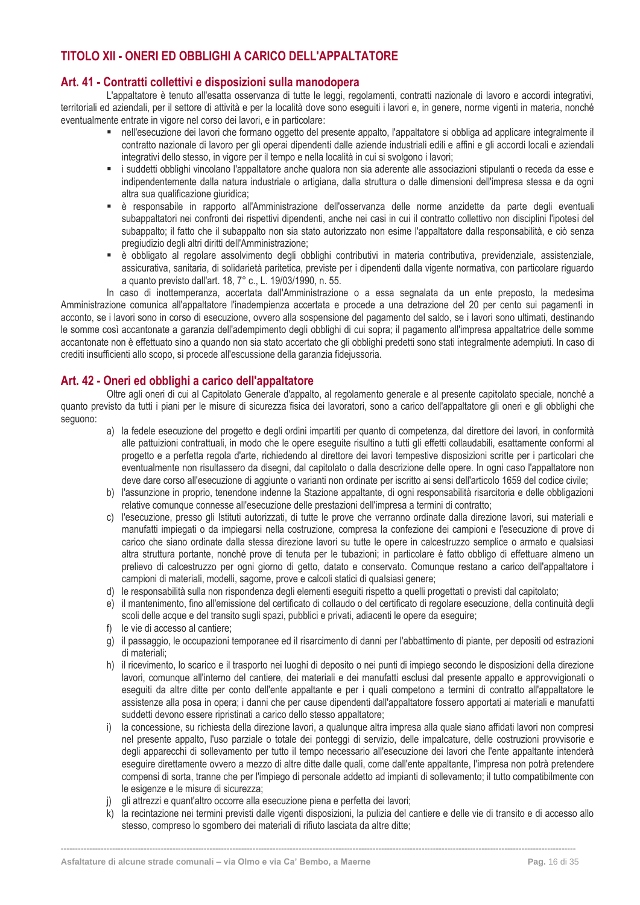# <span id="page-16-0"></span>**TITOLO XII - ONERI ED OBBLIGHI A CARICO DELL'APPALTATORE**

# <span id="page-16-1"></span>**Art. 41 - Contratti collettivi e disposizioni sulla manodopera**

L'appaltatore è tenuto all'esatta osservanza di tutte le leggi, regolamenti, contratti nazionale di lavoro e accordi integrativi, territoriali ed aziendali, per il settore di attività e per la località dove sono eseguiti i lavori e, in genere, norme vigenti in materia, nonché eventualmente entrate in vigore nel corso dei lavori, e in particolare:

- nell'esecuzione dei lavori che formano oggetto del presente appalto, l'appaltatore si obbliga ad applicare integralmente il contratto nazionale di lavoro per gli operai dipendenti dalle aziende industriali edili e affini e gli accordi locali e aziendali integrativi dello stesso, in vigore per il tempo e nella località in cui si svolgono i lavori;
- i suddetti obblighi vincolano l'appaltatore anche qualora non sia aderente alle associazioni stipulanti o receda da esse e indipendentemente dalla natura industriale o artigiana, dalla struttura o dalle dimensioni dell'impresa stessa e da ogni altra sua qualificazione giuridica;
- è responsabile in rapporto all'Amministrazione dell'osservanza delle norme anzidette da parte degli eventuali subappaltatori nei confronti dei rispettivi dipendenti, anche nei casi in cui il contratto collettivo non disciplini l'ipotesi del subappalto; il fatto che il subappalto non sia stato autorizzato non esime l'appaltatore dalla responsabilità, e ciò senza pregiudizio degli altri diritti dell'Amministrazione;
- è obbligato al regolare assolvimento degli obblighi contributivi in materia contributiva, previdenziale, assistenziale, assicurativa, sanitaria, di solidarietà paritetica, previste per i dipendenti dalla vigente normativa, con particolare riguardo a quanto previsto dall'art. 18, 7° c., L. 19/03/1990, n. 55.

In caso di inottemperanza, accertata dall'Amministrazione o a essa segnalata da un ente preposto, la medesima Amministrazione comunica all'appaltatore l'inadempienza accertata e procede a una detrazione del 20 per cento sui pagamenti in acconto, se i lavori sono in corso di esecuzione, ovvero alla sospensione del pagamento del saldo, se i lavori sono ultimati, destinando le somme così accantonate a garanzia dell'adempimento degli obblighi di cui sopra; il pagamento all'impresa appaltatrice delle somme accantonate non è effettuato sino a quando non sia stato accertato che gli obblighi predetti sono stati integralmente adempiuti. In caso di crediti insufficienti allo scopo, si procede all'escussione della garanzia fidejussoria.

# <span id="page-16-2"></span>**Art. 42 - Oneri ed obblighi a carico dell'appaltatore**

Oltre agli oneri di cui al Capitolato Generale d'appalto, al regolamento generale e al presente capitolato speciale, nonché a quanto previsto da tutti i piani per le misure di sicurezza fisica dei lavoratori, sono a carico dell'appaltatore gli oneri e gli obblighi che seguono:

- a) la fedele esecuzione del progetto e degli ordini impartiti per quanto di competenza, dal direttore dei lavori, in conformità alle pattuizioni contrattuali, in modo che le opere eseguite risultino a tutti gli effetti collaudabili, esattamente conformi al progetto e a perfetta regola d'arte, richiedendo al direttore dei lavori tempestive disposizioni scritte per i particolari che eventualmente non risultassero da disegni, dal capitolato o dalla descrizione delle opere. In ogni caso l'appaltatore non deve dare corso all'esecuzione di aggiunte o varianti non ordinate per iscritto ai sensi dell'articolo 1659 del codice civile;
- b) l'assunzione in proprio, tenendone indenne la Stazione appaltante, di ogni responsabilità risarcitoria e delle obbligazioni relative comunque connesse all'esecuzione delle prestazioni dell'impresa a termini di contratto;
- c) l'esecuzione, presso gli Istituti autorizzati, di tutte le prove che verranno ordinate dalla direzione lavori, sui materiali e manufatti impiegati o da impiegarsi nella costruzione, compresa la confezione dei campioni e l'esecuzione di prove di carico che siano ordinate dalla stessa direzione lavori su tutte le opere in calcestruzzo semplice o armato e qualsiasi altra struttura portante, nonché prove di tenuta per le tubazioni; in particolare è fatto obbligo di effettuare almeno un prelievo di calcestruzzo per ogni giorno di getto, datato e conservato. Comunque restano a carico dell'appaltatore i campioni di materiali, modelli, sagome, prove e calcoli statici di qualsiasi genere;
- d) le responsabilità sulla non rispondenza degli elementi eseguiti rispetto a quelli progettati o previsti dal capitolato;
- e) il mantenimento, fino all'emissione del certificato di collaudo o del certificato di regolare esecuzione, della continuità degli scoli delle acque e del transito sugli spazi, pubblici e privati, adiacenti le opere da eseguire;
- f) le vie di accesso al cantiere;
- g) il passaggio, le occupazioni temporanee ed il risarcimento di danni per l'abbattimento di piante, per depositi od estrazioni di materiali;
- h) il ricevimento, lo scarico e il trasporto nei luoghi di deposito o nei punti di impiego secondo le disposizioni della direzione lavori, comunque all'interno del cantiere, dei materiali e dei manufatti esclusi dal presente appalto e approvvigionati o eseguiti da altre ditte per conto dell'ente appaltante e per i quali competono a termini di contratto all'appaltatore le assistenze alla posa in opera; i danni che per cause dipendenti dall'appaltatore fossero apportati ai materiali e manufatti suddetti devono essere ripristinati a carico dello stesso appaltatore;
- i) la concessione, su richiesta della direzione lavori, a qualunque altra impresa alla quale siano affidati lavori non compresi nel presente appalto, l'uso parziale o totale dei ponteggi di servizio, delle impalcature, delle costruzioni provvisorie e degli apparecchi di sollevamento per tutto il tempo necessario all'esecuzione dei lavori che l'ente appaltante intenderà eseguire direttamente ovvero a mezzo di altre ditte dalle quali, come dall'ente appaltante, l'impresa non potrà pretendere compensi di sorta, tranne che per l'impiego di personale addetto ad impianti di sollevamento; il tutto compatibilmente con le esigenze e le misure di sicurezza;
- gli attrezzi e quant'altro occorre alla esecuzione piena e perfetta dei lavori;
- k) la recintazione nei termini previsti dalle vigenti disposizioni, la pulizia del cantiere e delle vie di transito e di accesso allo stesso, compreso lo sgombero dei materiali di rifiuto lasciata da altre ditte;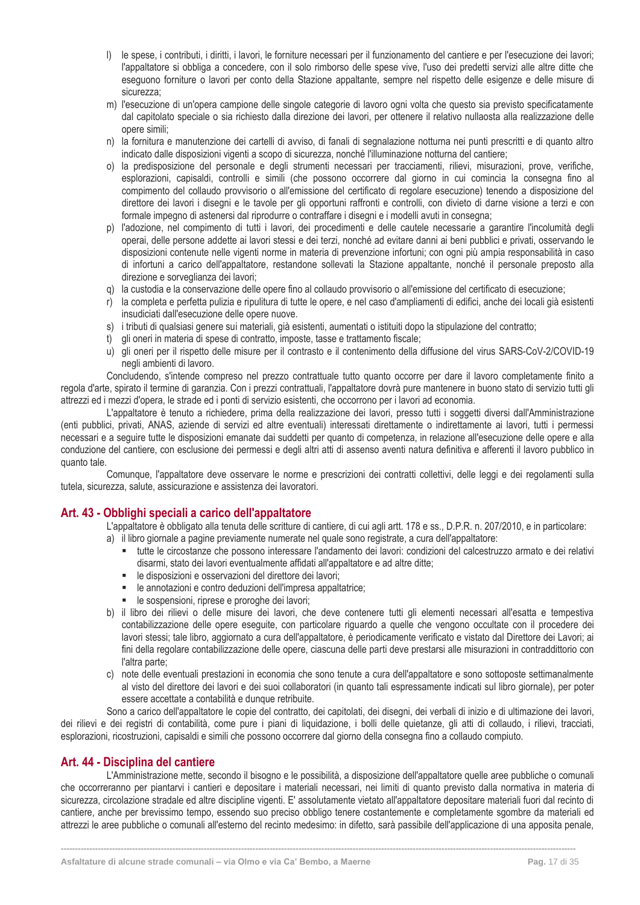- l) le spese, i contributi, i diritti, i lavori, le forniture necessari per il funzionamento del cantiere e per l'esecuzione dei lavori; l'appaltatore si obbliga a concedere, con il solo rimborso delle spese vive, l'uso dei predetti servizi alle altre ditte che eseguono forniture o lavori per conto della Stazione appaltante, sempre nel rispetto delle esigenze e delle misure di sicurezza;
- m) l'esecuzione di un'opera campione delle singole categorie di lavoro ogni volta che questo sia previsto specificatamente dal capitolato speciale o sia richiesto dalla direzione dei lavori, per ottenere il relativo nullaosta alla realizzazione delle opere simili;
- n) la fornitura e manutenzione dei cartelli di avviso, di fanali di segnalazione notturna nei punti prescritti e di quanto altro indicato dalle disposizioni vigenti a scopo di sicurezza, nonché l'illuminazione notturna del cantiere;
- o) la predisposizione del personale e degli strumenti necessari per tracciamenti, rilievi, misurazioni, prove, verifiche, esplorazioni, capisaldi, controlli e simili (che possono occorrere dal giorno in cui comincia la consegna fino al compimento del collaudo provvisorio o all'emissione del certificato di regolare esecuzione) tenendo a disposizione del direttore dei lavori i disegni e le tavole per gli opportuni raffronti e controlli, con divieto di darne visione a terzi e con formale impegno di astenersi dal riprodurre o contraffare i disegni e i modelli avuti in consegna;
- p) l'adozione, nel compimento di tutti i lavori, dei procedimenti e delle cautele necessarie a garantire l'incolumità degli operai, delle persone addette ai lavori stessi e dei terzi, nonché ad evitare danni ai beni pubblici e privati, osservando le disposizioni contenute nelle vigenti norme in materia di prevenzione infortuni; con ogni più ampia responsabilità in caso di infortuni a carico dell'appaltatore, restandone sollevati la Stazione appaltante, nonché il personale preposto alla direzione e sorveglianza dei lavori;
- q) la custodia e la conservazione delle opere fino al collaudo provvisorio o all'emissione del certificato di esecuzione;
- r) la completa e perfetta pulizia e ripulitura di tutte le opere, e nel caso d'ampliamenti di edifici, anche dei locali già esistenti insudiciati dall'esecuzione delle opere nuove.
- s) i tributi di qualsiasi genere sui materiali, già esistenti, aumentati o istituiti dopo la stipulazione del contratto;
- t) gli oneri in materia di spese di contratto, imposte, tasse e trattamento fiscale;
- u) gli oneri per il rispetto delle misure per il contrasto e il contenimento della diffusione del virus SARS-CoV-2/COVID-19 negli ambienti di lavoro.

Concludendo, s'intende compreso nel prezzo contrattuale tutto quanto occorre per dare il lavoro completamente finito a regola d'arte, spirato il termine di garanzia. Con i prezzi contrattuali, l'appaltatore dovrà pure mantenere in buono stato di servizio tutti gli attrezzi ed i mezzi d'opera, le strade ed i ponti di servizio esistenti, che occorrono per i lavori ad economia.

L'appaltatore è tenuto a richiedere, prima della realizzazione dei lavori, presso tutti i soggetti diversi dall'Amministrazione (enti pubblici, privati, ANAS, aziende di servizi ed altre eventuali) interessati direttamente o indirettamente ai lavori, tutti i permessi necessari e a seguire tutte le disposizioni emanate dai suddetti per quanto di competenza, in relazione all'esecuzione delle opere e alla conduzione del cantiere, con esclusione dei permessi e degli altri atti di assenso aventi natura definitiva e afferenti il lavoro pubblico in quanto tale.

Comunque, l'appaltatore deve osservare le norme e prescrizioni dei contratti collettivi, delle leggi e dei regolamenti sulla tutela, sicurezza, salute, assicurazione e assistenza dei lavoratori.

# <span id="page-17-0"></span>**Art. 43 - Obblighi speciali a carico dell'appaltatore**

L'appaltatore è obbligato alla tenuta delle scritture di cantiere, di cui agli artt. 178 e ss., D.P.R. n. 207/2010, e in particolare:

- a) il libro giornale a pagine previamente numerate nel quale sono registrate, a cura dell'appaltatore:
	- tutte le circostanze che possono interessare l'andamento dei lavori: condizioni del calcestruzzo armato e dei relativi disarmi, stato dei lavori eventualmente affidati all'appaltatore e ad altre ditte;
	- le disposizioni e osservazioni del direttore dei lavori;
	- le annotazioni e contro deduzioni dell'impresa appaltatrice;
	- **E** le sospensioni, riprese e proroghe dei lavori;
- b) il libro dei rilievi o delle misure dei lavori, che deve contenere tutti gli elementi necessari all'esatta e tempestiva contabilizzazione delle opere eseguite, con particolare riguardo a quelle che vengono occultate con il procedere dei lavori stessi; tale libro, aggiornato a cura dell'appaltatore, è periodicamente verificato e vistato dal Direttore dei Lavori; ai fini della regolare contabilizzazione delle opere, ciascuna delle parti deve prestarsi alle misurazioni in contraddittorio con l'altra parte;
- c) note delle eventuali prestazioni in economia che sono tenute a cura dell'appaltatore e sono sottoposte settimanalmente al visto del direttore dei lavori e dei suoi collaboratori (in quanto tali espressamente indicati sul libro giornale), per poter essere accettate a contabilità e dunque retribuite.

Sono a carico dell'appaltatore le copie del contratto, dei capitolati, dei disegni, dei verbali di inizio e di ultimazione dei lavori, dei rilievi e dei registri di contabilità, come pure i piani di liquidazione, i bolli delle quietanze, gli atti di collaudo, i rilievi, tracciati, esplorazioni, ricostruzioni, capisaldi e simili che possono occorrere dal giorno della consegna fino a collaudo compiuto.

# <span id="page-17-1"></span>**Art. 44 - Disciplina del cantiere**

L'Amministrazione mette, secondo il bisogno e le possibilità, a disposizione dell'appaltatore quelle aree pubbliche o comunali che occorreranno per piantarvi i cantieri e depositare i materiali necessari, nei limiti di quanto previsto dalla normativa in materia di sicurezza, circolazione stradale ed altre discipline vigenti. E' assolutamente vietato all'appaltatore depositare materiali fuori dal recinto di cantiere, anche per brevissimo tempo, essendo suo preciso obbligo tenere costantemente e completamente sgombre da materiali ed attrezzi le aree pubbliche o comunali all'esterno del recinto medesimo: in difetto, sarà passibile dell'applicazione di una apposita penale,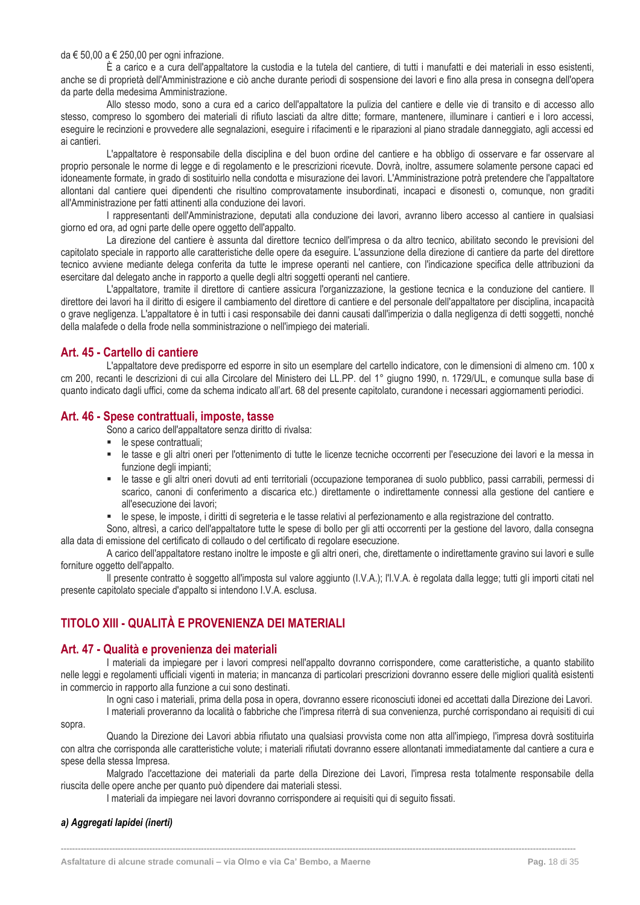#### da € 50.00 a € 250.00 per ogni infrazione.

È a carico e a cura dell'appaltatore la custodia e la tutela del cantiere, di tutti i manufatti e dei materiali in esso esistenti, anche se di proprietà dell'Amministrazione e ciò anche durante periodi di sospensione dei lavori e fino alla presa in consegna dell'opera da parte della medesima Amministrazione.

Allo stesso modo, sono a cura ed a carico dell'appaltatore la pulizia del cantiere e delle vie di transito e di accesso allo stesso, compreso lo sgombero dei materiali di rifiuto lasciati da altre ditte; formare, mantenere, illuminare i cantieri e i loro accessi, eseguire le recinzioni e provvedere alle segnalazioni, eseguire i rifacimenti e le riparazioni al piano stradale danneggiato, agli accessi ed ai cantieri.

L'appaltatore è responsabile della disciplina e del buon ordine del cantiere e ha obbligo di osservare e far osservare al proprio personale le norme di legge e di regolamento e le prescrizioni ricevute. Dovrà, inoltre, assumere solamente persone capaci ed idoneamente formate, in grado di sostituirlo nella condotta e misurazione dei lavori. L'Amministrazione potrà pretendere che l'appaltatore allontani dal cantiere quei dipendenti che risultino comprovatamente insubordinati, incapaci e disonesti o, comunque, non graditi all'Amministrazione per fatti attinenti alla conduzione dei lavori.

I rappresentanti dell'Amministrazione, deputati alla conduzione dei lavori, avranno libero accesso al cantiere in qualsiasi giorno ed ora, ad ogni parte delle opere oggetto dell'appalto.

La direzione del cantiere è assunta dal direttore tecnico dell'impresa o da altro tecnico, abilitato secondo le previsioni del capitolato speciale in rapporto alle caratteristiche delle opere da eseguire. L'assunzione della direzione di cantiere da parte del direttore tecnico avviene mediante delega conferita da tutte le imprese operanti nel cantiere, con l'indicazione specifica delle attribuzioni da esercitare dal delegato anche in rapporto a quelle degli altri soggetti operanti nel cantiere.

L'appaltatore, tramite il direttore di cantiere assicura l'organizzazione, la gestione tecnica e la conduzione del cantiere. Il direttore dei lavori ha il diritto di esigere il cambiamento del direttore di cantiere e del personale dell'appaltatore per disciplina, incapacità o grave negligenza. L'appaltatore è in tutti i casi responsabile dei danni causati dall'imperizia o dalla negligenza di detti soggetti, nonché della malafede o della frode nella somministrazione o nell'impiego dei materiali.

# <span id="page-18-0"></span>**Art. 45 - Cartello di cantiere**

L'appaltatore deve predisporre ed esporre in sito un esemplare del cartello indicatore, con le dimensioni di almeno cm. 100 x cm 200, recanti le descrizioni di cui alla Circolare del Ministero dei LL.PP. del 1° giugno 1990, n. 1729/UL, e comunque sulla base di quanto indicato dagli uffici, come da schema indicato all'art. 68 del presente capitolato, curandone i necessari aggiornamenti periodici.

#### <span id="page-18-1"></span>**Art. 46 - Spese contrattuali, imposte, tasse**

- Sono a carico dell'appaltatore senza diritto di rivalsa:
- le spese contrattuali;
- le tasse e gli altri oneri per l'ottenimento di tutte le licenze tecniche occorrenti per l'esecuzione dei lavori e la messa in funzione degli impianti;
- le tasse e gli altri oneri dovuti ad enti territoriali (occupazione temporanea di suolo pubblico, passi carrabili, permessi di scarico, canoni di conferimento a discarica etc.) direttamente o indirettamente connessi alla gestione del cantiere e all'esecuzione dei lavori;
- le spese, le imposte, i diritti di segreteria e le tasse relativi al perfezionamento e alla registrazione del contratto.

Sono, altresì, a carico dell'appaltatore tutte le spese di bollo per gli atti occorrenti per la gestione del lavoro, dalla consegna alla data di emissione del certificato di collaudo o del certificato di regolare esecuzione.

A carico dell'appaltatore restano inoltre le imposte e gli altri oneri, che, direttamente o indirettamente gravino sui lavori e sulle forniture oggetto dell'appalto.

Il presente contratto è soggetto all'imposta sul valore aggiunto (I.V.A.); l'I.V.A. è regolata dalla legge; tutti gli importi citati nel presente capitolato speciale d'appalto si intendono I.V.A. esclusa.

# <span id="page-18-2"></span>**TITOLO XIII - QUALITÀ E PROVENIENZA DEI MATERIALI**

# <span id="page-18-3"></span>**Art. 47 - Qualità e provenienza dei materiali**

I materiali da impiegare per i lavori compresi nell'appalto dovranno corrispondere, come caratteristiche, a quanto stabilito nelle leggi e regolamenti ufficiali vigenti in materia; in mancanza di particolari prescrizioni dovranno essere delle migliori qualità esistenti in commercio in rapporto alla funzione a cui sono destinati.

In ogni caso i materiali, prima della posa in opera, dovranno essere riconosciuti idonei ed accettati dalla Direzione dei Lavori. I materiali proveranno da località o fabbriche che l'impresa riterrà di sua convenienza, purché corrispondano ai requisiti di cui

sopra.

Quando la Direzione dei Lavori abbia rifiutato una qualsiasi provvista come non atta all'impiego, l'impresa dovrà sostituirla con altra che corrisponda alle caratteristiche volute; i materiali rifiutati dovranno essere allontanati immediatamente dal cantiere a cura e spese della stessa Impresa.

Malgrado l'accettazione dei materiali da parte della Direzione dei Lavori, l'impresa resta totalmente responsabile della riuscita delle opere anche per quanto può dipendere dai materiali stessi.

**------------------------------------------------------------------------------------------------------------------------------------------------------------------------------------**

I materiali da impiegare nei lavori dovranno corrispondere ai requisiti qui di seguito fissati.

#### *a) Aggregati lapidei (inerti)*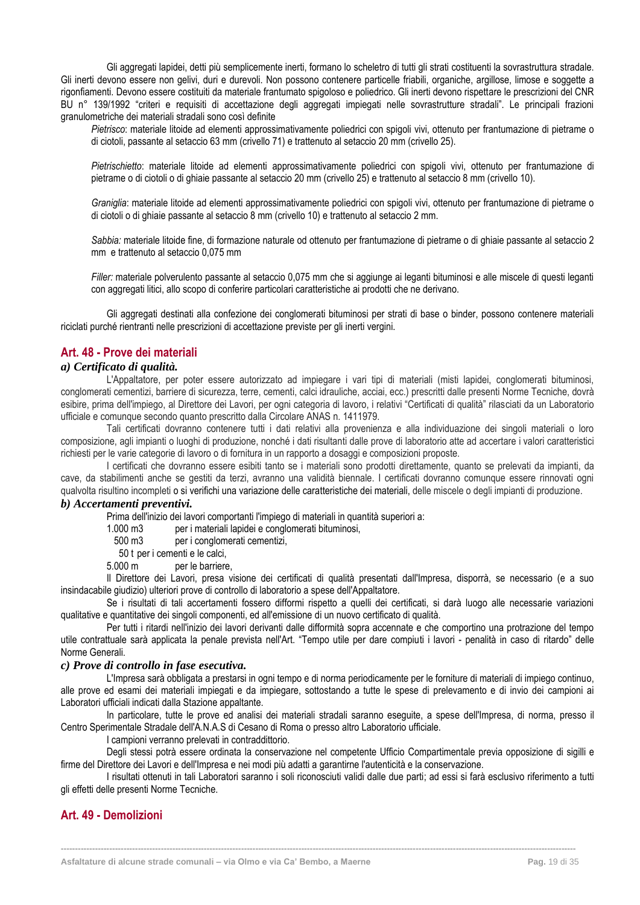Gli aggregati lapidei, detti più semplicemente inerti, formano lo scheletro di tutti gli strati costituenti la sovrastruttura stradale. Gli inerti devono essere non gelivi, duri e durevoli. Non possono contenere particelle friabili, organiche, argillose, limose e soggette a rigonfiamenti. Devono essere costituiti da materiale frantumato spigoloso e poliedrico. Gli inerti devono rispettare le prescrizioni del CNR BU n° 139/1992 "criteri e requisiti di accettazione degli aggregati impiegati nelle sovrastrutture stradali". Le principali frazioni granulometriche dei materiali stradali sono così definite

*Pietrisco*: materiale litoide ad elementi approssimativamente poliedrici con spigoli vivi, ottenuto per frantumazione di pietrame o di ciotoli, passante al setaccio 63 mm (crivello 71) e trattenuto al setaccio 20 mm (crivello 25).

*Pietrischietto*: materiale litoide ad elementi approssimativamente poliedrici con spigoli vivi, ottenuto per frantumazione di pietrame o di ciotoli o di ghiaie passante al setaccio 20 mm (crivello 25) e trattenuto al setaccio 8 mm (crivello 10).

*Graniglia*: materiale litoide ad elementi approssimativamente poliedrici con spigoli vivi, ottenuto per frantumazione di pietrame o di ciotoli o di ghiaie passante al setaccio 8 mm (crivello 10) e trattenuto al setaccio 2 mm.

*Sabbia:* materiale litoide fine, di formazione naturale od ottenuto per frantumazione di pietrame o di ghiaie passante al setaccio 2 mm e trattenuto al setaccio 0,075 mm

*Filler:* materiale polverulento passante al setaccio 0,075 mm che si aggiunge ai leganti bituminosi e alle miscele di questi leganti con aggregati litici, allo scopo di conferire particolari caratteristiche ai prodotti che ne derivano.

Gli aggregati destinati alla confezione dei conglomerati bituminosi per strati di base o binder, possono contenere materiali riciclati purché rientranti nelle prescrizioni di accettazione previste per gli inerti vergini.

#### <span id="page-19-0"></span>**Art. 48 - Prove dei materiali**

#### *a) Certificato di qualità.*

L'Appaltatore, per poter essere autorizzato ad impiegare i vari tipi di materiali (misti lapidei, conglomerati bituminosi, conglomerati cementizi, barriere di sicurezza, terre, cementi, calci idrauliche, acciai, ecc.) prescritti dalle presenti Norme Tecniche, dovrà esibire, prima dell'impiego, al Direttore dei Lavori, per ogni categoria di lavoro, i relativi "Certificati di qualità" rilasciati da un Laboratorio ufficiale e comunque secondo quanto prescritto dalla Circolare ANAS n. 1411979.

Tali certificati dovranno contenere tutti i dati relativi alla provenienza e alla individuazione dei singoli materiali o loro composizione, agli impianti o luoghi di produzione, nonché i dati risultanti dalle prove di laboratorio atte ad accertare i valori caratteristici richiesti per le varie categorie di lavoro o di fornitura in un rapporto a dosaggi e composizioni proposte.

I certificati che dovranno essere esibiti tanto se i materiali sono prodotti direttamente, quanto se prelevati da impianti, da cave, da stabilimenti anche se gestiti da terzi, avranno una validità biennale. I certificati dovranno comunque essere rinnovati ogni qualvolta risultino incompleti o si verifichi una variazione delle caratteristiche dei materiali, delle miscele o degli impianti di produzione.

#### *b) Accertamenti preventivi.*

Prima dell'inizio dei lavori comportanti l'impiego di materiali in quantità superiori a:

1.000 m3 per i materiali lapidei e conglomerati bituminosi,

500 m3 per i conglomerati cementizi,

50 t per i cementi e le calci,

5.000 m per le barriere,

Il Direttore dei Lavori, presa visione dei certificati di qualità presentati dall'Impresa, disporrà, se necessario (e a suo insindacabile giudizio) ulteriori prove di controllo di laboratorio a spese dell'Appaltatore.

Se i risultati di tali accertamenti fossero difformi rispetto a quelli dei certificati, si darà luogo alle necessarie variazioni qualitative e quantitative dei singoli componenti, ed all'emissione di un nuovo certificato di qualità.

Per tutti i ritardi nell'inizio dei lavori derivanti dalle difformità sopra accennate e che comportino una protrazione del tempo utile contrattuale sarà applicata la penale prevista nell'Art. "Tempo utile per dare compiuti i lavori - penalità in caso di ritardo" delle Norme Generali.

#### *c) Prove di controllo in fase esecutiva.*

L'Impresa sarà obbligata a prestarsi in ogni tempo e di norma periodicamente per le forniture di materiali di impiego continuo, alle prove ed esami dei materiali impiegati e da impiegare, sottostando a tutte le spese di prelevamento e di invio dei campioni ai Laboratori ufficiali indicati dalla Stazione appaltante.

In particolare, tutte le prove ed analisi dei materiali stradali saranno eseguite, a spese dell'Impresa, di norma, presso il Centro Sperimentale Stradale dell'A.N.A.S di Cesano di Roma o presso altro Laboratorio ufficiale.

I campioni verranno prelevati in contraddittorio.

Degli stessi potrà essere ordinata la conservazione nel competente Ufficio Compartimentale previa opposizione di sigilli e firme del Direttore dei Lavori e dell'Impresa e nei modi più adatti a garantirne l'autenticità e la conservazione.

I risultati ottenuti in tali Laboratori saranno i soli riconosciuti validi dalle due parti; ad essi si farà esclusivo riferimento a tutti gli effetti delle presenti Norme Tecniche.

**------------------------------------------------------------------------------------------------------------------------------------------------------------------------------------**

# <span id="page-19-1"></span>**Art. 49 - Demolizioni**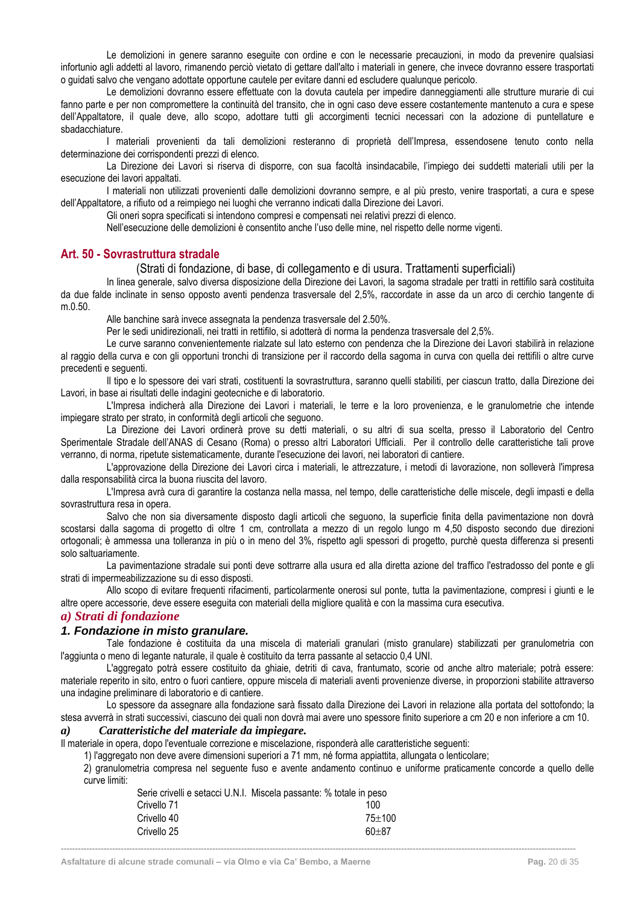Le demolizioni in genere saranno eseguite con ordine e con le necessarie precauzioni, in modo da prevenire qualsiasi infortunio agli addetti al lavoro, rimanendo perciò vietato di gettare dall'alto i materiali in genere, che invece dovranno essere trasportati o guidati salvo che vengano adottate opportune cautele per evitare danni ed escludere qualunque pericolo.

Le demolizioni dovranno essere effettuate con la dovuta cautela per impedire danneggiamenti alle strutture murarie di cui fanno parte e per non compromettere la continuità del transito, che in ogni caso deve essere costantemente mantenuto a cura e spese dell'Appaltatore, il quale deve, allo scopo, adottare tutti gli accorgimenti tecnici necessari con la adozione di puntellature e sbadacchiature.

I materiali provenienti da tali demolizioni resteranno di proprietà dell'Impresa, essendosene tenuto conto nella determinazione dei corrispondenti prezzi di elenco.

La Direzione dei Lavori si riserva di disporre, con sua facoltà insindacabile, l'impiego dei suddetti materiali utili per la esecuzione dei lavori appaltati.

I materiali non utilizzati provenienti dalle demolizioni dovranno sempre, e al più presto, venire trasportati, a cura e spese dell'Appaltatore, a rifiuto od a reimpiego nei luoghi che verranno indicati dalla Direzione dei Lavori.

Gli oneri sopra specificati si intendono compresi e compensati nei relativi prezzi di elenco.

Nell'esecuzione delle demolizioni è consentito anche l'uso delle mine, nel rispetto delle norme vigenti.

# <span id="page-20-0"></span>**Art. 50 - Sovrastruttura stradale**

#### (Strati di fondazione, di base, di collegamento e di usura. Trattamenti superficiali)

In linea generale, salvo diversa disposizione della Direzione dei Lavori, la sagoma stradale per tratti in rettifilo sarà costituita da due falde inclinate in senso opposto aventi pendenza trasversale del 2,5%, raccordate in asse da un arco di cerchio tangente di m.0.50.

Alle banchine sarà invece assegnata la pendenza trasversale del 2.50%.

Per le sedi unidirezionali, nei tratti in rettifilo, si adotterà di norma la pendenza trasversale del 2,5%.

Le curve saranno convenientemente rialzate sul lato esterno con pendenza che la Direzione dei Lavori stabilirà in relazione al raggio della curva e con gli opportuni tronchi di transizione per il raccordo della sagoma in curva con quella dei rettifili o altre curve precedenti e seguenti.

Il tipo e lo spessore dei vari strati, costituenti la sovrastruttura, saranno quelli stabiliti, per ciascun tratto, dalla Direzione dei Lavori, in base ai risultati delle indagini geotecniche e di laboratorio.

L'Impresa indicherà alla Direzione dei Lavori i materiali, le terre e la loro provenienza, e le granulometrie che intende impiegare strato per strato, in conformità degli articoli che seguono.

La Direzione dei Lavori ordinerà prove su detti materiali, o su altri di sua scelta, presso il Laboratorio del Centro Sperimentale Stradale dell'ANAS di Cesano (Roma) o presso altri Laboratori Ufficiali. Per il controllo delle caratteristiche tali prove verranno, di norma, ripetute sistematicamente, durante l'esecuzione dei lavori, nei laboratori di cantiere.

L'approvazione della Direzione dei Lavori circa i materiali, le attrezzature, i metodi di lavorazione, non solleverà l'impresa dalla responsabilità circa la buona riuscita del lavoro.

L'Impresa avrà cura di garantire la costanza nella massa, nel tempo, delle caratteristiche delle miscele, degli impasti e della sovrastruttura resa in opera.

Salvo che non sia diversamente disposto dagli articoli che seguono, la superficie finita della pavimentazione non dovrà scostarsi dalla sagoma di progetto di oltre 1 cm, controllata a mezzo di un regolo lungo m 4,50 disposto secondo due direzioni ortogonali; è ammessa una tolleranza in più o in meno del 3%, rispetto agli spessori di progetto, purchè questa differenza si presenti solo saltuariamente.

La pavimentazione stradale sui ponti deve sottrarre alla usura ed alla diretta azione del traffico l'estradosso del ponte e gli strati di impermeabilizzazione su di esso disposti.

Allo scopo di evitare frequenti rifacimenti, particolarmente onerosi sul ponte, tutta la pavimentazione, compresi i giunti e le altre opere accessorie, deve essere eseguita con materiali della migliore qualità e con la massima cura esecutiva.

#### <span id="page-20-1"></span>*a) Strati di fondazione*

#### *1. Fondazione in misto granulare.*

Tale fondazione è costituita da una miscela di materiali granulari (misto granulare) stabilizzati per granulometria con l'aggiunta o meno di legante naturale, il quale è costituito da terra passante al setaccio 0,4 UNI.

L'aggregato potrà essere costituito da ghiaie, detriti di cava, frantumato, scorie od anche altro materiale; potrà essere: materiale reperito in sito, entro o fuori cantiere, oppure miscela di materiali aventi provenienze diverse, in proporzioni stabilite attraverso una indagine preliminare di laboratorio e di cantiere.

Lo spessore da assegnare alla fondazione sarà fissato dalla Direzione dei Lavori in relazione alla portata del sottofondo; la stesa avverrà in strati successivi, ciascuno dei quali non dovrà mai avere uno spessore finito superiore a cm 20 e non inferiore a cm 10.

#### *a) Caratteristiche del materiale da impiegare.*

Il materiale in opera, dopo l'eventuale correzione e miscelazione, risponderà alle caratteristiche seguenti:

1) l'aggregato non deve avere dimensioni superiori a 71 mm, né forma appiattita, allungata o lenticolare;

2) granulometria compresa nel seguente fuso e avente andamento continuo e uniforme praticamente concorde a quello delle curve limiti:

|             | Serie crivelli e setacci U.N.I. Miscela passante: % totale in peso |  |
|-------------|--------------------------------------------------------------------|--|
| Crivello 71 | 100                                                                |  |
| Crivello 40 | $75 + 100$                                                         |  |
| Crivello 25 | $60 + 87$                                                          |  |
|             |                                                                    |  |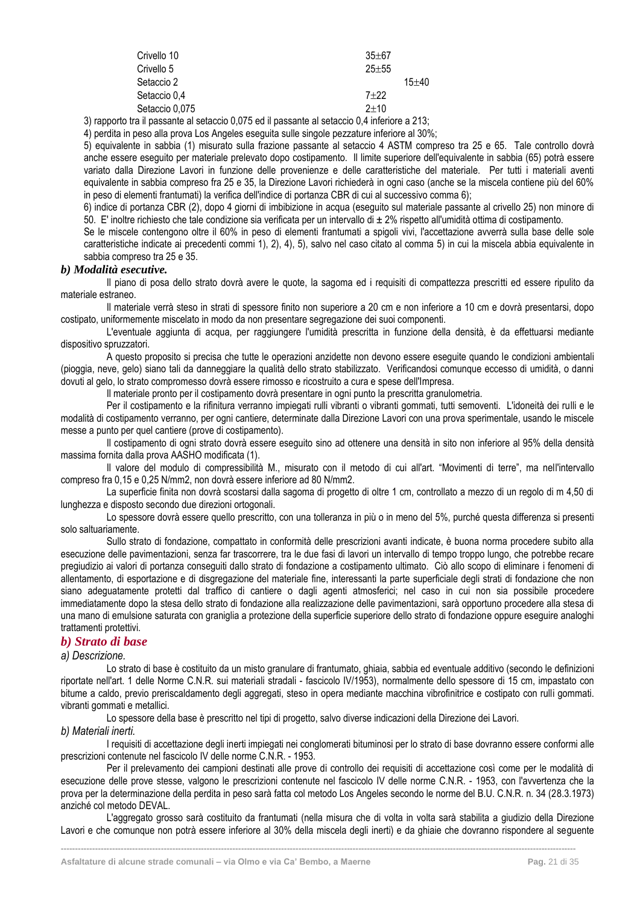| Crivello 10    | $35 + 67$ |           |
|----------------|-----------|-----------|
| Crivello 5     | $25 + 55$ |           |
| Setaccio 2     |           | $15 + 40$ |
| Setaccio 0.4   | $7 + 22$  |           |
| Setaccio 0,075 | $2+10$    |           |

3) rapporto tra il passante al setaccio 0,075 ed il passante al setaccio 0,4 inferiore a 213;

4) perdita in peso alla prova Los Angeles eseguita sulle singole pezzature inferiore al 30%;

5) equivalente in sabbia (1) misurato sulla frazione passante al setaccio 4 ASTM compreso tra 25 e 65. Tale controllo dovrà anche essere eseguito per materiale prelevato dopo costipamento. Il limite superiore dell'equivalente in sabbia (65) potrà essere variato dalla Direzione Lavori in funzione delle provenienze e delle caratteristiche del materiale. Per tutti i materiali aventi equivalente in sabbia compreso fra 25 e 35, la Direzione Lavori richiederà in ogni caso (anche se la miscela contiene più del 60% in peso di elementi frantumati) la verifica dell'indice di portanza CBR di cui al successivo comma 6);

6) indice di portanza CBR (2), dopo 4 giorni di imbibizione in acqua (eseguito sul materiale passante al crivello 25) non minore di 50. E' inoltre richiesto che tale condizione sia verificata per un intervallo di ± 2% rispetto all'umidità ottima di costipamento.

Se le miscele contengono oltre il 60% in peso di elementi frantumati a spigoli vivi, l'accettazione avverrà sulla base delle sole caratteristiche indicate ai precedenti commi 1), 2), 4), 5), salvo nel caso citato al comma 5) in cui la miscela abbia equivalente in sabbia compreso tra 25 e 35.

#### *b) Modalità esecutive.*

Il piano di posa dello strato dovrà avere le quote, la sagoma ed i requisiti di compattezza prescritti ed essere ripulito da materiale estraneo.

Il materiale verrà steso in strati di spessore finito non superiore a 20 cm e non inferiore a 10 cm e dovrà presentarsi, dopo costipato, uniformemente miscelato in modo da non presentare segregazione dei suoi componenti.

L'eventuale aggiunta di acqua, per raggiungere l'umidità prescritta in funzione della densità, è da effettuarsi mediante dispositivo spruzzatori.

A questo proposito si precisa che tutte le operazioni anzidette non devono essere eseguite quando le condizioni ambientali (pioggia, neve, gelo) siano tali da danneggiare la qualità dello strato stabilizzato. Verificandosi comunque eccesso di umidità, o danni dovuti al gelo, lo strato compromesso dovrà essere rimosso e ricostruito a cura e spese dell'Impresa.

Il materiale pronto per il costipamento dovrà presentare in ogni punto la prescritta granulometria.

Per il costipamento e la rifinitura verranno impiegati rulli vibranti o vibranti gommati, tutti semoventi. L'idoneità dei rulli e le modalità di costipamento verranno, per ogni cantiere, determinate dalla Direzione Lavori con una prova sperimentale, usando le miscele messe a punto per quel cantiere (prove di costipamento).

Il costipamento di ogni strato dovrà essere eseguito sino ad ottenere una densità in sito non inferiore al 95% della densità massima fornita dalla prova AASHO modificata (1).

Il valore del modulo di compressibilità M., misurato con il metodo di cui all'art. "Movimenti di terre", ma nell'intervallo compreso fra 0,15 e 0,25 N/mm2, non dovrà essere inferiore ad 80 N/mm2.

La superficie finita non dovrà scostarsi dalla sagoma di progetto di oltre 1 cm, controllato a mezzo di un regolo di m 4.50 di lunghezza e disposto secondo due direzioni ortogonali.

Lo spessore dovrà essere quello prescritto, con una tolleranza in più o in meno del 5%, purché questa differenza si presenti solo saltuariamente.

Sullo strato di fondazione, compattato in conformità delle prescrizioni avanti indicate, è buona norma procedere subito alla esecuzione delle pavimentazioni, senza far trascorrere, tra le due fasi di lavori un intervallo di tempo troppo lungo, che potrebbe recare pregiudizio ai valori di portanza conseguiti dallo strato di fondazione a costipamento ultimato. Ciò allo scopo di eliminare i fenomeni di allentamento, di esportazione e di disgregazione del materiale fine, interessanti la parte superficiale degli strati di fondazione che non siano adeguatamente protetti dal traffico di cantiere o dagli agenti atmosferici; nel caso in cui non sia possibile procedere immediatamente dopo la stesa dello strato di fondazione alla realizzazione delle pavimentazioni, sarà opportuno procedere alla stesa di una mano di emulsione saturata con graniglia a protezione della superficie superiore dello strato di fondazione oppure eseguire analoghi trattamenti protettivi.

#### <span id="page-21-0"></span>*b) Strato di base*

#### *a) Descrizione.*

Lo strato di base è costituito da un misto granulare di frantumato, ghiaia, sabbia ed eventuale additivo (secondo le definizioni riportate nell'art. 1 delle Norme C.N.R. sui materiali stradali - fascicolo IV/1953), normalmente dello spessore di 15 cm, impastato con bitume a caldo, previo preriscaldamento degli aggregati, steso in opera mediante macchina vibrofinitrice e costipato con rulli gommati. vibranti gommati e metallici.

Lo spessore della base è prescritto nel tipi di progetto, salvo diverse indicazioni della Direzione dei Lavori.

#### *b) Materiali inerti.*

I requisiti di accettazione degli inerti impiegati nei conglomerati bituminosi per lo strato di base dovranno essere conformi alle prescrizioni contenute nel fascicolo IV delle norme C.N.R. - 1953.

Per il prelevamento dei campioni destinati alle prove di controllo dei requisiti di accettazione così come per le modalità di esecuzione delle prove stesse, valgono le prescrizioni contenute nel fascicolo IV delle norme C.N.R. - 1953, con l'avvertenza che la prova per la determinazione della perdita in peso sarà fatta col metodo Los Angeles secondo le norme del B.U. C.N.R. n. 34 (28.3.1973) anziché col metodo DEVAL.

L'aggregato grosso sarà costituito da frantumati (nella misura che di volta in volta sarà stabilita a giudizio della Direzione Lavori e che comunque non potrà essere inferiore al 30% della miscela degli inerti) e da ghiaie che dovranno rispondere al seguente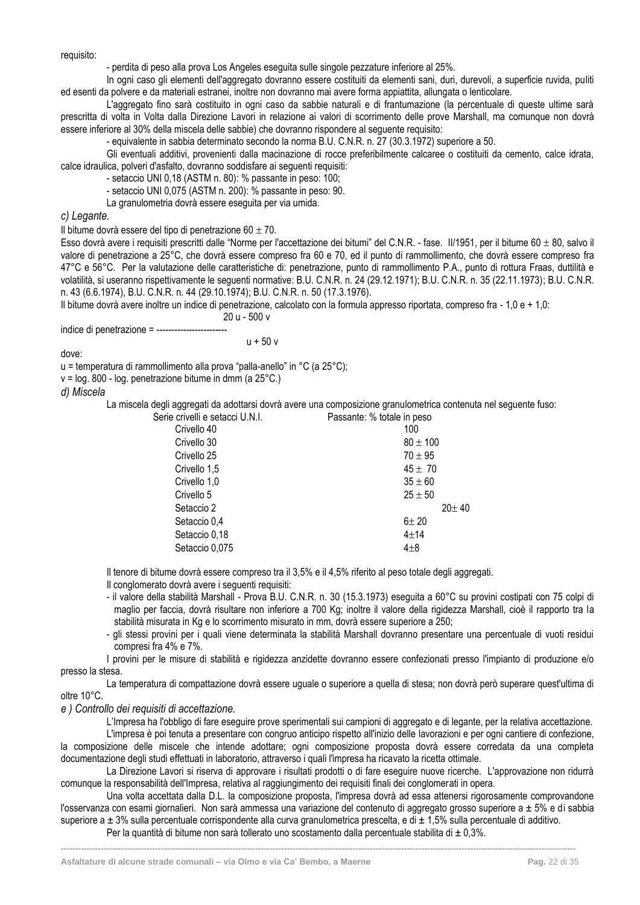requisito:

- perdita di peso alla prova Los Angeles eseguita sulle singole pezzature inferiore al 25%.

In ogni caso gli elementi dell'aggregato dovranno essere costituiti da elementi sani, duri, durevoli, a superficie ruvida, puliti ed esenti da polvere e da materiali estranei, inoltre non dovranno mai avere forma appiattita, allungata o lenticolare.

L'aggregato fino sarà costituito in ogni caso da sabbie naturali e di frantumazione (la percentuale di queste ultime sarà prescritta di volta in Volta dalla Direzione Lavori in relazione ai valori di scorrimento delle prove Marshall, ma comunque non dovrà essere inferiore al 30% della miscela delle sabbie) che dovranno rispondere al seguente requisito:

- equivalente in sabbia determinato secondo la norma B.U. C.N.R. n. 27 (30.3.1972) superiore a 50.

Gli eventuali additivi, provenienti dalla macinazione di rocce preferibilmente calcaree o costituiti da cemento, calce idrata, calce idraulica, polveri d'asfalto, dovranno soddisfare ai seguenti requisiti:

- setaccio UNI 0,18 (ASTM n. 80): % passante in peso: 100;

- setaccio UNI 0,075 (ASTM n. 200): % passante in peso: 90.

La granulometria dovrà essere eseguita per via umida.

*c) Legante.*

Il bitume dovrà essere del tipo di penetrazione 60  $\pm$  70.

Esso dovrà avere i requisiti prescritti dalle "Norme per l'accettazione dei bitumi" del C.N.R. - fase. Il/1951, per il bitume 60  $\pm$  80, salvo il valore di penetrazione a 25°C, che dovrà essere compreso fra 60 e 70, ed il punto di rammollimento, che dovrà essere compreso fra 47°C e 56°C. Per la valutazione delle caratteristiche di: penetrazione, punto di rammollimento P.A., punto di rottura Fraas, duttilità e volatilità, si useranno rispettivamente le seguenti normative: B.U. C.N.R. n. 24 (29.12.1971); B.U. C.N.R. n. 35 (22.11.1973); B.U. C.N.R. n. 43 (6.6.1974), B.U. C.N.R. n. 44 (29.10.1974); B.U. C.N.R. n. 50 (17.3.1976).

Il bitume dovrà avere inoltre un indice di penetrazione, calcolato con la formula appresso riportata, compreso fra - 1,0 e + 1,0:

20 u - 500 v

indice di penetrazione  $= -$ ---

 $u + 50v$ 

dove:

u = temperatura di rammollimento alla prova "palla-anello" in °C (a 25°C);

v = log. 800 - log. penetrazione bitume in dmm (a 25°C.)

*d) Miscela*

La miscela degli aggregati da adottarsi dovrà avere una composizione granulometrica contenuta nel seguente fuso:

| Serie crivelli e setacci U.N.I. | Passante: % totale in peso |
|---------------------------------|----------------------------|
| Crivello 40                     | 100                        |
| Crivello 30                     | $80 \pm 100$               |
| Crivello 25                     | $70 \pm 95$                |
| Crivello 1,5                    | $45 \pm 70$                |
| Crivello 1,0                    | $35 \pm 60$                |
| Crivello 5                      | $25 \pm 50$                |
| Setaccio 2                      | $20 \pm 40$                |
| Setaccio 0,4                    | $6 + 20$                   |
| Setaccio 0,18                   | $4 + 14$                   |
| Setaccio 0,075                  | $4\pm8$                    |
|                                 |                            |

Il tenore di bitume dovrà essere compreso tra il 3,5% e il 4,5% riferito al peso totale degli aggregati.

Il conglomerato dovrà avere i seguenti requisiti:

- il valore della stabilità Marshall Prova B.U. C.N.R. n. 30 (15.3.1973) eseguita a 60°C su provini costipati con 75 colpi di maglio per faccia, dovrà risultare non inferiore a 700 Kg; inoltre il valore della rigidezza Marshall, cioè il rapporto tra la stabilità misurata in Kg e lo scorrimento misurato in mm, dovrà essere superiore a 250;
- gli stessi provini per i quali viene determinata la stabilità Marshall dovranno presentare una percentuale di vuoti residui compresi fra 4% e 7%.

I provini per le misure di stabilità e rigidezza anzidette dovranno essere confezionati presso l'impianto di produzione e/o presso la stesa.

La temperatura di compattazione dovrà essere uguale o superiore a quella di stesa; non dovrà però superare quest'ultima di oltre 10°C.

*e ) Controllo dei requisiti di accettazione.*

L'Impresa ha l'obbligo di fare eseguire prove sperimentali sui campioni di aggregato e di legante, per la relativa accettazione.

L'impresa è poi tenuta a presentare con congruo anticipo rispetto all'inizio delle lavorazioni e per ogni cantiere di confezione, la composizione delle miscele che intende adottare; ogni composizione proposta dovrà essere corredata da una completa documentazione degli studi effettuati in laboratorio, attraverso i quali l'impresa ha ricavato la ricetta ottimale.

La Direzione Lavori si riserva di approvare i risultati prodotti o di fare eseguire nuove ricerche. L'approvazione non ridurrà comunque la responsabilità dell'Impresa, relativa al raggiungimento dei requisiti finali dei conglomerati in opera.

Una volta accettata dalla D.L. la composizione proposta, l'impresa dovrà ad essa attenersi rigorosamente comprovandone l'osservanza con esami giornalieri. Non sarà ammessa una variazione del contenuto di aggregato grosso superiore a  $\pm$  5% e di sabbia superiore a  $\pm$  3% sulla percentuale corrispondente alla curva granulometrica prescelta, e di  $\pm$  1.5% sulla percentuale di additivo.

**------------------------------------------------------------------------------------------------------------------------------------------------------------------------------------**

Per la quantità di bitume non sarà tollerato uno scostamento dalla percentuale stabilita di  $\pm$  0,3%.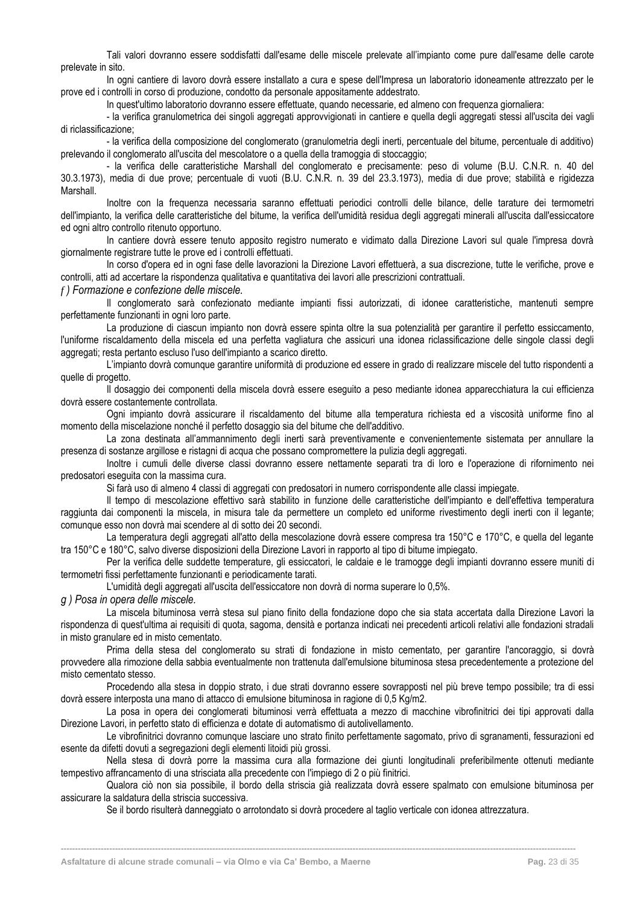Tali valori dovranno essere soddisfatti dall'esame delle miscele prelevate all'impianto come pure dall'esame delle carote prelevate in sito.

In ogni cantiere di lavoro dovrà essere installato a cura e spese dell'Impresa un laboratorio idoneamente attrezzato per le prove ed i controlli in corso di produzione, condotto da personale appositamente addestrato.

In quest'ultimo laboratorio dovranno essere effettuate, quando necessarie, ed almeno con frequenza giornaliera:

- la verifica granulometrica dei singoli aggregati approvvigionati in cantiere e quella degli aggregati stessi all'uscita dei vagli di riclassificazione;

- la verifica della composizione del conglomerato (granulometria degli inerti, percentuale del bitume, percentuale di additivo) prelevando il conglomerato all'uscita del mescolatore o a quella della tramoggia di stoccaggio;

- la verifica delle caratteristiche Marshall del conglomerato e precisamente: peso di volume (B.U. C.N.R. n. 40 del 30.3.1973), media di due prove; percentuale di vuoti (B.U. C.N.R. n. 39 del 23.3.1973), media di due prove; stabilità e rigidezza Marshall.

Inoltre con la frequenza necessaria saranno effettuati periodici controlli delle bilance, delle tarature dei termometri dell'impianto, la verifica delle caratteristiche del bitume, la verifica dell'umidità residua degli aggregati minerali all'uscita dall'essiccatore ed ogni altro controllo ritenuto opportuno.

In cantiere dovrà essere tenuto apposito registro numerato e vidimato dalla Direzione Lavori sul quale l'impresa dovrà giornalmente registrare tutte le prove ed i controlli effettuati.

In corso d'opera ed in ogni fase delle lavorazioni la Direzione Lavori effettuerà, a sua discrezione, tutte le verifiche, prove e controlli, atti ad accertare la rispondenza qualitativa e quantitativa dei lavori alle prescrizioni contrattuali.

*f ) Formazione e confezione delle miscele.*

Il conglomerato sarà confezionato mediante impianti fissi autorizzati, di idonee caratteristiche, mantenuti sempre perfettamente funzionanti in ogni loro parte.

La produzione di ciascun impianto non dovrà essere spinta oltre la sua potenzialità per garantire il perfetto essiccamento, l'uniforme riscaldamento della miscela ed una perfetta vagliatura che assicuri una idonea riclassificazione delle singole classi degli aggregati; resta pertanto escluso l'uso dell'impianto a scarico diretto.

L'impianto dovrà comunque garantire uniformità di produzione ed essere in grado di realizzare miscele del tutto rispondenti a quelle di progetto.

Il dosaggio dei componenti della miscela dovrà essere eseguito a peso mediante idonea apparecchiatura la cui efficienza dovrà essere costantemente controllata.

Ogni impianto dovrà assicurare il riscaldamento del bitume alla temperatura richiesta ed a viscosità uniforme fino al momento della miscelazione nonché il perfetto dosaggio sia del bitume che dell'additivo.

La zona destinata all'ammannimento degli inerti sarà preventivamente e convenientemente sistemata per annullare la presenza di sostanze argillose e ristagni di acqua che possano compromettere la pulizia degli aggregati.

Inoltre i cumuli delle diverse classi dovranno essere nettamente separati tra di loro e l'operazione di rifornimento nei predosatori eseguita con la massima cura.

Si farà uso di almeno 4 classi di aggregati con predosatori in numero corrispondente alle classi impiegate.

Il tempo di mescolazione effettivo sarà stabilito in funzione delle caratteristiche dell'impianto e dell'effettiva temperatura raggiunta dai componenti la miscela, in misura tale da permettere un completo ed uniforme rivestimento degli inerti con il legante; comunque esso non dovrà mai scendere al di sotto dei 20 secondi.

La temperatura degli aggregati all'atto della mescolazione dovrà essere compresa tra 150°C e 170°C, e quella del legante tra 150°C e 180°C, salvo diverse disposizioni della Direzione Lavori in rapporto al tipo di bitume impiegato.

Per la verifica delle suddette temperature, gli essiccatori, le caldaie e le tramogge degli impianti dovranno essere muniti di termometri fissi perfettamente funzionanti e periodicamente tarati.

L'umidità degli aggregati all'uscita dell'essiccatore non dovrà di norma superare lo 0,5%.

*g ) Posa in opera delle miscele.*

La miscela bituminosa verrà stesa sul piano finito della fondazione dopo che sia stata accertata dalla Direzione Lavori la rispondenza di quest'ultima ai requisiti di quota, sagoma, densità e portanza indicati nei precedenti articoli relativi alle fondazioni stradali in misto granulare ed in misto cementato.

Prima della stesa del conglomerato su strati di fondazione in misto cementato, per garantire l'ancoraggio, si dovrà provvedere alla rimozione della sabbia eventualmente non trattenuta dall'emulsione bituminosa stesa precedentemente a protezione del misto cementato stesso.

Procedendo alla stesa in doppio strato, i due strati dovranno essere sovrapposti nel più breve tempo possibile; tra di essi dovrà essere interposta una mano di attacco di emulsione bituminosa in ragione di 0,5 Kg/m2.

La posa in opera dei conglomerati bituminosi verrà effettuata a mezzo di macchine vibrofinitrici dei tipi approvati dalla Direzione Lavori, in perfetto stato di efficienza e dotate di automatismo di autolivellamento.

Le vibrofinitrici dovranno comunque lasciare uno strato finito perfettamente sagomato, privo di sgranamenti, fessurazioni ed esente da difetti dovuti a segregazioni degli elementi litoidi più grossi.

Nella stesa di dovrà porre la massima cura alla formazione dei giunti longitudinali preferibilmente ottenuti mediante tempestivo affrancamento di una strisciata alla precedente con l'impiego di 2 o più finitrici.

Qualora ciò non sia possibile, il bordo della striscia già realizzata dovrà essere spalmato con emulsione bituminosa per assicurare la saldatura della striscia successiva.

Se il bordo risulterà danneggiato o arrotondato si dovrà procedere al taglio verticale con idonea attrezzatura.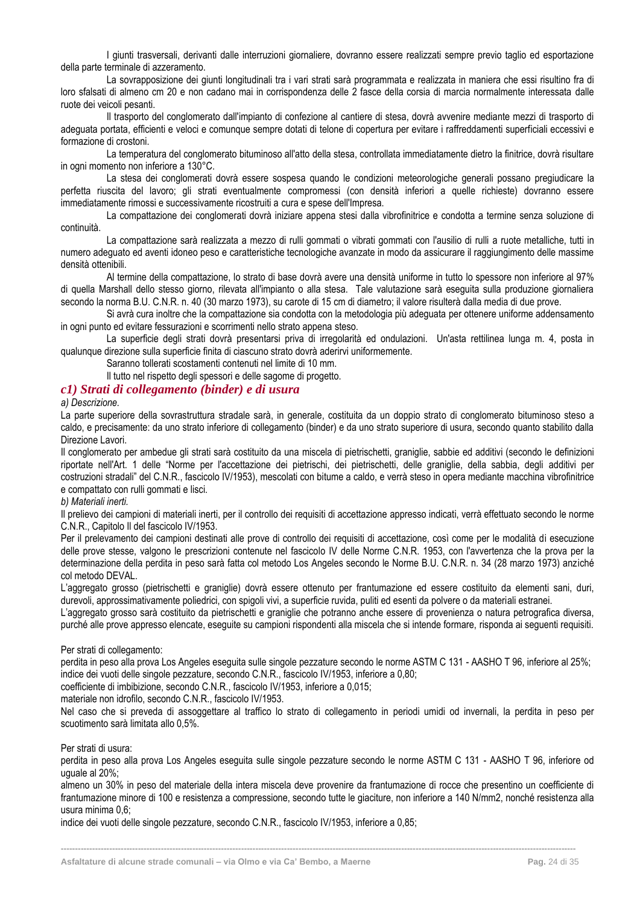I giunti trasversali, derivanti dalle interruzioni giornaliere, dovranno essere realizzati sempre previo taglio ed esportazione della parte terminale di azzeramento.

La sovrapposizione dei giunti longitudinali tra i vari strati sarà programmata e realizzata in maniera che essi risultino fra di loro sfalsati di almeno cm 20 e non cadano mai in corrispondenza delle 2 fasce della corsia di marcia normalmente interessata dalle ruote dei veicoli pesanti.

Il trasporto del conglomerato dall'impianto di confezione al cantiere di stesa, dovrà avvenire mediante mezzi di trasporto di adeguata portata, efficienti e veloci e comunque sempre dotati di telone di copertura per evitare i raffreddamenti superficiali eccessivi e formazione di crostoni.

La temperatura del conglomerato bituminoso all'atto della stesa, controllata immediatamente dietro la finitrice, dovrà risultare in ogni momento non inferiore a 130°C.

La stesa dei conglomerati dovrà essere sospesa quando le condizioni meteorologiche generali possano pregiudicare la perfetta riuscita del lavoro; gli strati eventualmente compromessi (con densità inferiori a quelle richieste) dovranno essere immediatamente rimossi e successivamente ricostruiti a cura e spese dell'Impresa.

La compattazione dei conglomerati dovrà iniziare appena stesi dalla vibrofinitrice e condotta a termine senza soluzione di continuità.

La compattazione sarà realizzata a mezzo di rulli gommati o vibrati gommati con l'ausilio di rulli a ruote metalliche, tutti in numero adeguato ed aventi idoneo peso e caratteristiche tecnologiche avanzate in modo da assicurare il raggiungimento delle massime densità ottenibili.

Al termine della compattazione, lo strato di base dovrà avere una densità uniforme in tutto lo spessore non inferiore al 97% di quella Marshall dello stesso giorno, rilevata all'impianto o alla stesa. Tale valutazione sarà eseguita sulla produzione giornaliera secondo la norma B.U. C.N.R. n. 40 (30 marzo 1973), su carote di 15 cm di diametro; il valore risulterà dalla media di due prove.

Si avrà cura inoltre che la compattazione sia condotta con la metodologia più adeguata per ottenere uniforme addensamento in ogni punto ed evitare fessurazioni e scorrimenti nello strato appena steso.

La superficie degli strati dovrà presentarsi priva di irregolarità ed ondulazioni. Un'asta rettilinea lunga m. 4, posta in qualunque direzione sulla superficie finita di ciascuno strato dovrà aderirvi uniformemente.

Saranno tollerati scostamenti contenuti nel limite di 10 mm.

Il tutto nel rispetto degli spessori e delle sagome di progetto.

#### <span id="page-24-0"></span>*c1) Strati di collegamento (binder) e di usura*

*a) Descrizione.*

La parte superiore della sovrastruttura stradale sarà, in generale, costituita da un doppio strato di conglomerato bituminoso steso a caldo, e precisamente: da uno strato inferiore di collegamento (binder) e da uno strato superiore di usura, secondo quanto stabilito dalla Direzione Lavori.

Il conglomerato per ambedue gli strati sarà costituito da una miscela di pietrischetti, graniglie, sabbie ed additivi (secondo le definizioni riportate nell'Art. 1 delle "Norme per l'accettazione dei pietrischi, dei pietrischetti, delle graniglie, della sabbia, degli additivi per costruzioni stradali" del C.N.R., fascicolo IV/1953), mescolati con bitume a caldo, e verrà steso in opera mediante macchina vibrofinitrice e compattato con rulli gommati e lisci.

#### *b) Materiali inerti.*

Il prelievo dei campioni di materiali inerti, per il controllo dei requisiti di accettazione appresso indicati, verrà effettuato secondo le norme C.N.R., Capitolo Il del fascicolo IV/1953.

Per il prelevamento dei campioni destinati alle prove di controllo dei requisiti di accettazione, così come per le modalità di esecuzione delle prove stesse, valgono le prescrizioni contenute nel fascicolo IV delle Norme C.N.R. 1953, con l'avvertenza che la prova per la determinazione della perdita in peso sarà fatta col metodo Los Angeles secondo le Norme B.U. C.N.R. n. 34 (28 marzo 1973) anziché col metodo DEVAL.

L'aggregato grosso (pietrischetti e graniglie) dovrà essere ottenuto per frantumazione ed essere costituito da elementi sani, duri, durevoli, approssimativamente poliedrici, con spigoli vivi, a superficie ruvida, puliti ed esenti da polvere o da materiali estranei.

L'aggregato grosso sarà costituito da pietrischetti e graniglie che potranno anche essere di provenienza o natura petrografica diversa, purché alle prove appresso elencate, eseguite su campioni rispondenti alla miscela che si intende formare, risponda ai seguenti requisiti.

Per strati di collegamento:

perdita in peso alla prova Los Angeles eseguita sulle singole pezzature secondo le norme ASTM C 131 - AASHO T 96, inferiore al 25%; indice dei vuoti delle singole pezzature, secondo C.N.R., fascicolo IV/1953, inferiore a 0,80;

coefficiente di imbibizione, secondo C.N.R., fascicolo IV/1953, inferiore a 0,015;

materiale non idrofilo, secondo C.N.R., fascicolo IV/1953.

Nel caso che si preveda di assoggettare al traffico lo strato di collegamento in periodi umidi od invernali, la perdita in peso per scuotimento sarà limitata allo 0,5%.

Per strati di usura:

perdita in peso alla prova Los Angeles eseguita sulle singole pezzature secondo le norme ASTM C 131 - AASHO T 96, inferiore od uguale al 20%;

almeno un 30% in peso del materiale della intera miscela deve provenire da frantumazione di rocce che presentino un coefficiente di frantumazione minore di 100 e resistenza a compressione, secondo tutte le giaciture, non inferiore a 140 N/mm2, nonché resistenza alla usura minima 0,6;

**------------------------------------------------------------------------------------------------------------------------------------------------------------------------------------**

indice dei vuoti delle singole pezzature, secondo C.N.R., fascicolo IV/1953, inferiore a 0,85;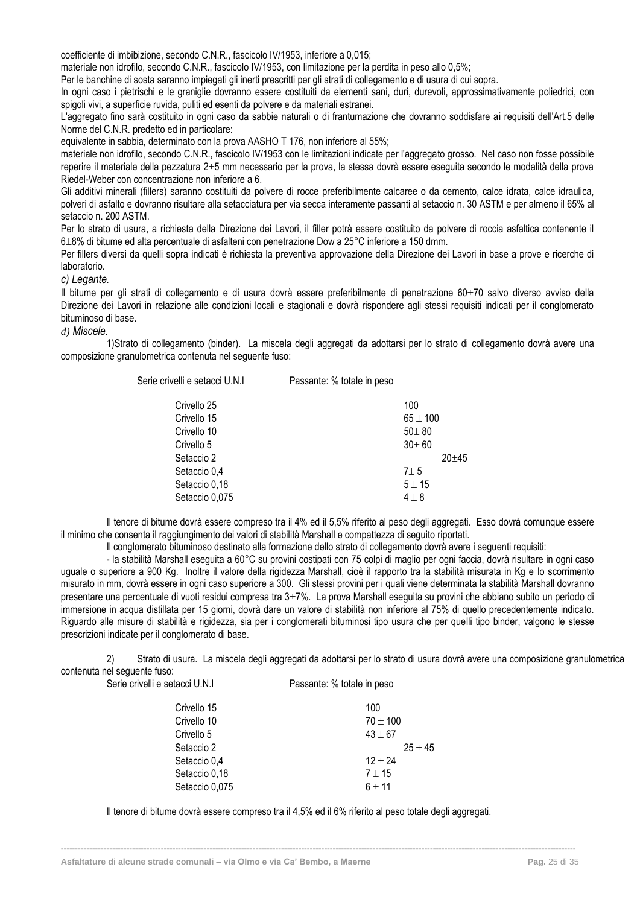coefficiente di imbibizione, secondo C.N.R., fascicolo IV/1953, inferiore a 0,015;

materiale non idrofilo, secondo C.N.R., fascicolo IV/1953, con limitazione per la perdita in peso allo 0,5%;

Per le banchine di sosta saranno impiegati gli inerti prescritti per gli strati di collegamento e di usura di cui sopra.

In ogni caso i pietrischi e le graniglie dovranno essere costituiti da elementi sani, duri, durevoli, approssimativamente poliedrici, con spigoli vivi, a superficie ruvida, puliti ed esenti da polvere e da materiali estranei.

L'aggregato fino sarà costituito in ogni caso da sabbie naturali o di frantumazione che dovranno soddisfare ai requisiti dell'Art.5 delle Norme del C.N.R. predetto ed in particolare:

equivalente in sabbia, determinato con la prova AASHO T 176, non inferiore al 55%;

materiale non idrofilo, secondo C.N.R., fascicolo IV/1953 con le limitazioni indicate per l'aggregato grosso. Nel caso non fosse possibile reperire il materiale della pezzatura 2±5 mm necessario per la prova, la stessa dovrà essere eseguita secondo le modalità della prova Riedel-Weber con concentrazione non inferiore a 6.

Gli additivi minerali (fillers) saranno costituiti da polvere di rocce preferibilmente calcaree o da cemento, calce idrata, calce idraulica, polveri di asfalto e dovranno risultare alla setacciatura per via secca interamente passanti al setaccio n. 30 ASTM e per almeno il 65% al setaccio n. 200 ASTM.

Per lo strato di usura, a richiesta della Direzione dei Lavori, il filler potrà essere costituito da polvere di roccia asfaltica contenente il 6±8% di bitume ed alta percentuale di asfalteni con penetrazione Dow a 25°C inferiore a 150 dmm.

Per fillers diversi da quelli sopra indicati è richiesta la preventiva approvazione della Direzione dei Lavori in base a prove e ricerche di laboratorio.

*c) Legante.*

Il bitume per gli strati di collegamento e di usura dovrà essere preferibilmente di penetrazione 60±70 salvo diverso avviso della Direzione dei Lavori in relazione alle condizioni locali e stagionali e dovrà rispondere agli stessi requisiti indicati per il conglomerato bituminoso di base.

#### *d) Miscele.*

1)Strato di collegamento (binder). La miscela degli aggregati da adottarsi per lo strato di collegamento dovrà avere una composizione granulometrica contenuta nel seguente fuso:

| Serie crivelli e setacci U.N.I | Passante: % totale in peso |              |           |
|--------------------------------|----------------------------|--------------|-----------|
| Crivello 25                    |                            | 100          |           |
| Crivello 15                    |                            | $65 \pm 100$ |           |
| Crivello 10                    |                            | $50 + 80$    |           |
| Crivello 5                     |                            | $30 + 60$    |           |
| Setaccio 2                     |                            |              | $20 + 45$ |
| Setaccio 0,4                   |                            | $7\pm5$      |           |
| Setaccio 0,18                  |                            | $5 \pm 15$   |           |
| Setaccio 0,075                 |                            | $4\pm8$      |           |
|                                |                            |              |           |

Il tenore di bitume dovrà essere compreso tra il 4% ed il 5,5% riferito al peso degli aggregati. Esso dovrà comunque essere il minimo che consenta il raggiungimento dei valori di stabilità Marshall e compattezza di seguito riportati.

Il conglomerato bituminoso destinato alla formazione dello strato di collegamento dovrà avere i seguenti requisiti:

- la stabilità Marshall eseguita a 60°C su provini costipati con 75 colpi di maglio per ogni faccia, dovrà risultare in ogni caso uguale o superiore a 900 Kg. Inoltre il valore della rigidezza Marshall, cioè il rapporto tra la stabilità misurata in Kg e lo scorrimento misurato in mm, dovrà essere in ogni caso superiore a 300. Gli stessi provini per i quali viene determinata la stabilità Marshall dovranno presentare una percentuale di vuoti residui compresa tra  $3\pm7\%$ . La prova Marshall eseguita su provini che abbiano subito un periodo di immersione in acqua distillata per 15 giorni, dovrà dare un valore di stabilità non inferiore al 75% di quello precedentemente indicato. Riguardo alle misure di stabilità e rigidezza, sia per i conglomerati bituminosi tipo usura che per quelli tipo binder, valgono le stesse prescrizioni indicate per il conglomerato di base.

2) Strato di usura. La miscela degli aggregati da adottarsi per lo strato di usura dovrà avere una composizione granulometrica contenuta nel seguente fuso: Serie crivelli e setacci U.N.I Passante: % totale in peso

| Crivello 15    | 100          |
|----------------|--------------|
| Crivello 10    | $70 \pm 100$ |
| Crivello 5     | $43 \pm 67$  |
| Setaccio 2     | $25 + 45$    |
| Setaccio 0,4   | $12 + 24$    |
| Setaccio 0,18  | $7 + 15$     |
| Setaccio 0,075 | $6 + 11$     |

Il tenore di bitume dovrà essere compreso tra il 4,5% ed il 6% riferito al peso totale degli aggregati.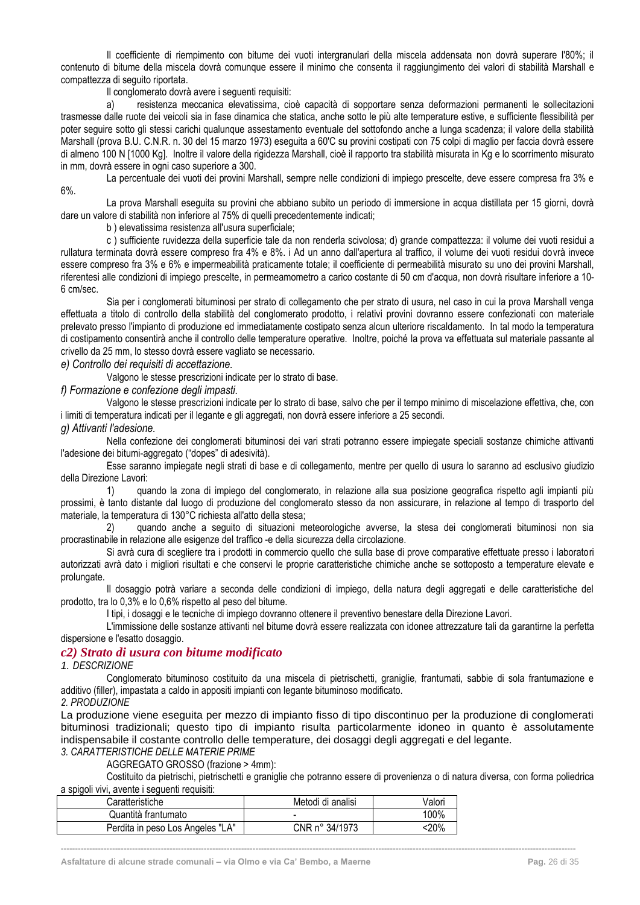Il coefficiente di riempimento con bitume dei vuoti intergranulari della miscela addensata non dovrà superare l'80%; il contenuto di bitume della miscela dovrà comunque essere il minimo che consenta il raggiungimento dei valori di stabilità Marshall e compattezza di seguito riportata.

Il conglomerato dovrà avere i seguenti requisiti:

a) resistenza meccanica elevatissima, cioè capacità di sopportare senza deformazioni permanenti le sollecitazioni trasmesse dalle ruote dei veicoli sia in fase dinamica che statica, anche sotto le più alte temperature estive, e sufficiente flessibilità per poter seguire sotto gli stessi carichi qualunque assestamento eventuale del sottofondo anche a lunga scadenza; il valore della stabilità Marshall (prova B.U. C.N.R. n. 30 del 15 marzo 1973) eseguita a 60'C su provini costipati con 75 colpi di maglio per faccia dovrà essere di almeno 100 N [1000 Kg]. Inoltre il valore della rigidezza Marshall, cioè il rapporto tra stabilità misurata in Kg e lo scorrimento misurato in mm, dovrà essere in ogni caso superiore a 300.

La percentuale dei vuoti dei provini Marshall, sempre nelle condizioni di impiego prescelte, deve essere compresa fra 3% e 6%.

La prova Marshall eseguita su provini che abbiano subito un periodo di immersione in acqua distillata per 15 giorni, dovrà dare un valore di stabilità non inferiore al 75% di quelli precedentemente indicati;

b ) elevatissima resistenza all'usura superficiale;

c ) sufficiente ruvidezza della superficie tale da non renderla scivolosa; d) grande compattezza: il volume dei vuoti residui a rullatura terminata dovrà essere compreso fra 4% e 8%. i Ad un anno dall'apertura al traffico, il volume dei vuoti residui dovrà invece essere compreso fra 3% e 6% e impermeabilità praticamente totale; il coefficiente di permeabilità misurato su uno dei provini Marshall, riferentesi alle condizioni di impiego prescelte, in permeamometro a carico costante di 50 cm d'acqua, non dovrà risultare inferiore a 10- 6 cm/sec.

Sia per i conglomerati bituminosi per strato di collegamento che per strato di usura, nel caso in cui la prova Marshall venga effettuata a titolo di controllo della stabilità del conglomerato prodotto, i relativi provini dovranno essere confezionati con materiale prelevato presso l'impianto di produzione ed immediatamente costipato senza alcun ulteriore riscaldamento. In tal modo la temperatura di costipamento consentirà anche il controllo delle temperature operative. Inoltre, poiché la prova va effettuata sul materiale passante al crivello da 25 mm, lo stesso dovrà essere vagliato se necessario.

*e) Controllo dei requisiti di accettazione.*

Valgono le stesse prescrizioni indicate per lo strato di base.

*f) Formazione e confezione degli impasti.*

Valgono le stesse prescrizioni indicate per lo strato di base, salvo che per il tempo minimo di miscelazione effettiva, che, con i limiti di temperatura indicati per il legante e gli aggregati, non dovrà essere inferiore a 25 secondi.

#### *g) Attivanti l'adesione.*

Nella confezione dei conglomerati bituminosi dei vari strati potranno essere impiegate speciali sostanze chimiche attivanti l'adesione dei bitumi-aggregato ("dopes" di adesività).

Esse saranno impiegate negli strati di base e di collegamento, mentre per quello di usura lo saranno ad esclusivo giudizio della Direzione Lavori:

1) quando la zona di impiego del conglomerato, in relazione alla sua posizione geografica rispetto agli impianti più prossimi, è tanto distante dal luogo di produzione del conglomerato stesso da non assicurare, in relazione al tempo di trasporto del materiale, la temperatura di 130°C richiesta all'atto della stesa;

2) quando anche a seguito di situazioni meteorologiche avverse, la stesa dei conglomerati bituminosi non sia procrastinabile in relazione alle esigenze del traffico -e della sicurezza della circolazione.

Si avrà cura di scegliere tra i prodotti in commercio quello che sulla base di prove comparative effettuate presso i laboratori autorizzati avrà dato i migliori risultati e che conservi le proprie caratteristiche chimiche anche se sottoposto a temperature elevate e prolungate.

Il dosaggio potrà variare a seconda delle condizioni di impiego, della natura degli aggregati e delle caratteristiche del prodotto, tra lo 0,3% e lo 0,6% rispetto al peso del bitume.

I tipi, i dosaggi e le tecniche di impiego dovranno ottenere il preventivo benestare della Direzione Lavori.

L'immissione delle sostanze attivanti nel bitume dovrà essere realizzata con idonee attrezzature tali da garantirne la perfetta dispersione e l'esatto dosaggio.

#### <span id="page-26-0"></span>*c2) Strato di usura con bitume modificato*

*1. DESCRIZIONE*

Conglomerato bituminoso costituito da una miscela di pietrischetti, graniglie, frantumati, sabbie di sola frantumazione e additivo (filler), impastata a caldo in appositi impianti con legante bituminoso modificato.

#### *2. PRODUZIONE*

La produzione viene eseguita per mezzo di impianto fisso di tipo discontinuo per la produzione di conglomerati bituminosi tradizionali; questo tipo di impianto risulta particolarmente idoneo in quanto è assolutamente indispensabile il costante controllo delle temperature, dei dosaggi degli aggregati e del legante.

**------------------------------------------------------------------------------------------------------------------------------------------------------------------------------------**

*3. CARATTERISTICHE DELLE MATERIE PRIME*

AGGREGATO GROSSO (frazione > 4mm):

Costituito da pietrischi, pietrischetti e graniglie che potranno essere di provenienza o di natura diversa, con forma poliedrica a spigoli vivi, avente i seguenti requisiti:

| Caratteristiche                  | Metodi di analisi | Valori |
|----------------------------------|-------------------|--------|
| Quantità frantumato              | -                 | 100%   |
| Perdita in peso Los Angeles "LA" | CNR n° 34/1973    | :20%   |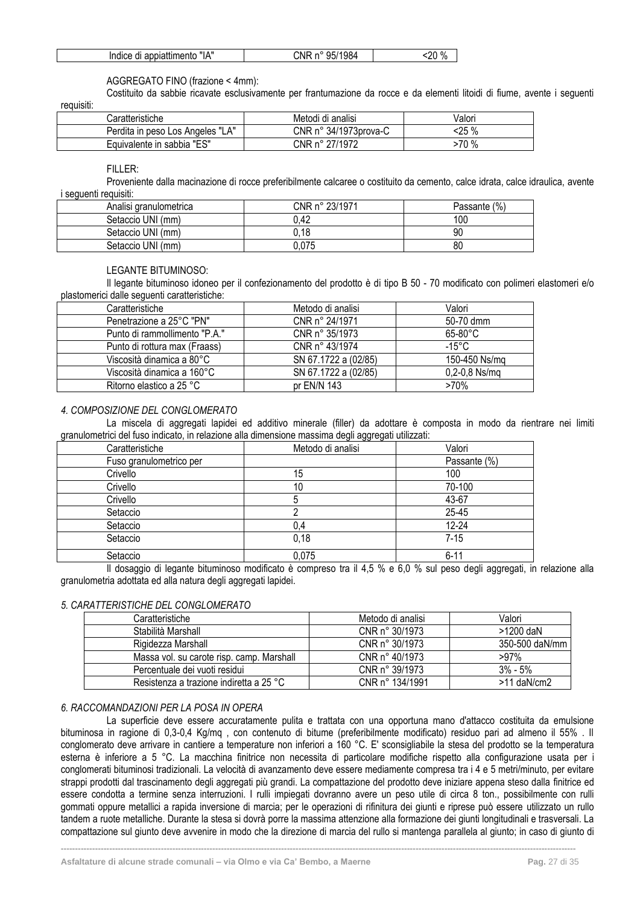| "IA"                    | 95/1984 | $\Omega$ |
|-------------------------|---------|----------|
| Indice di appiattimento | CNR n°  | nr.      |

#### AGGREGATO FINO (frazione < 4mm):

Costituito da sabbie ricavate esclusivamente per frantumazione da rocce e da elementi litoidi di fiume, avente i seguenti

requisiti:

| Caratteristiche                  | Metodi di analisi              | √alori |
|----------------------------------|--------------------------------|--------|
| Perdita in peso Los Angeles "LA" | CNR $n^{\circ}$ 34/1973prova-C | ፡25 %  |
| Equivalente in sabbia "ES"       | CNR n° 27/1972                 | >70 %  |

FILLER:

Proveniente dalla macinazione di rocce preferibilmente calcaree o costituito da cemento, calce idrata, calce idraulica, avente i sequenti requisiti:

| Analisi granulometrica | CNR n° 23/1971 | (%)<br>Passante |
|------------------------|----------------|-----------------|
| Setaccio UNI (mm)      | 0.42           | 100             |
| Setaccio UNI (mm)      | 0.18           | 90              |
| Setaccio UNI (mm)      | 0.075          | 80              |

#### LEGANTE BITUMINOSO:

Il legante bituminoso idoneo per il confezionamento del prodotto è di tipo B 50 - 70 modificato con polimeri elastomeri e/o plastomerici dalle seguenti caratteristiche:

| Caratteristiche               | Metodo di analisi    | Valori            |
|-------------------------------|----------------------|-------------------|
| Penetrazione a 25°C "PN"      | CNR n° 24/1971       | 50-70 dmm         |
| Punto di rammollimento "P.A." | CNR n° 35/1973       | $65-80^{\circ}$ C |
| Punto di rottura max (Fraass) | CNR n° 43/1974       | -15°C             |
| Viscosità dinamica a 80°C     | SN 67.1722 a (02/85) | 150-450 Ns/mg     |
| Viscosità dinamica a 160°C    | SN 67.1722 a (02/85) | $0,2-0,8$ Ns/mq   |
| Ritorno elastico a 25 °C      | pr $EN/N$ 143        | >70%              |

#### *4. COMPOSIZIONE DEL CONGLOMERATO*

La miscela di aggregati lapidei ed additivo minerale (filler) da adottare è composta in modo da rientrare nei limiti granulometrici del fuso indicato, in relazione alla dimensione massima degli aggregati utilizzati:

| Caratteristiche         | Metodo di analisi | Valori       |
|-------------------------|-------------------|--------------|
| Fuso granulometrico per |                   | Passante (%) |
| Crivello                | 15                | 100          |
| Crivello                | 10                | 70-100       |
| Crivello                |                   | 43-67        |
| Setaccio                |                   | 25-45        |
| Setaccio                | 0,4               | $12 - 24$    |
| Setaccio                | 0,18              | $7-15$       |
| Setaccio                | 0,075             | $6 - 11$     |

Il dosaggio di legante bituminoso modificato è compreso tra il 4,5 % e 6,0 % sul peso degli aggregati, in relazione alla granulometria adottata ed alla natura degli aggregati lapidei.

#### *5. CARATTERISTICHE DEL CONGLOMERATO*

| Caratteristiche                           | Metodo di analisi       | Valori         |
|-------------------------------------------|-------------------------|----------------|
| Stabilità Marshall                        | CNR n° 30/1973          | >1200 daN      |
| Rigidezza Marshall                        | CNR n° 30/1973          | 350-500 daN/mm |
| Massa vol. su carote risp. camp. Marshall | CNR $n^{\circ}$ 40/1973 | $>97\%$        |
| Percentuale dei vuoti residui             | CNR n° 39/1973          | $3% - 5%$      |
| Resistenza a trazione indiretta a 25 °C   | CNR n° 134/1991         | $>11$ daN/cm2  |

#### *6. RACCOMANDAZIONI PER LA POSA IN OPERA*

La superficie deve essere accuratamente pulita e trattata con una opportuna mano d'attacco costituita da emulsione bituminosa in ragione di 0,3-0,4 Kg/mq , con contenuto di bitume (preferibilmente modificato) residuo pari ad almeno il 55% . Il conglomerato deve arrivare in cantiere a temperature non inferiori a 160 °C. E' sconsigliabile la stesa del prodotto se la temperatura esterna è inferiore a 5 °C. La macchina finitrice non necessita di particolare modifiche rispetto alla configurazione usata per i conglomerati bituminosi tradizionali. La velocità di avanzamento deve essere mediamente compresa tra i 4 e 5 metri/minuto, per evitare strappi prodotti dal trascinamento degli aggregati più grandi. La compattazione del prodotto deve iniziare appena steso dalla finitrice ed essere condotta a termine senza interruzioni. I rulli impiegati dovranno avere un peso utile di circa 8 ton., possibilmente con rulli gommati oppure metallici a rapida inversione di marcia; per le operazioni di rifinitura dei giunti e riprese può essere utilizzato un rullo tandem a ruote metalliche. Durante la stesa si dovrà porre la massima attenzione alla formazione dei giunti longitudinali e trasversali. La compattazione sul giunto deve avvenire in modo che la direzione di marcia del rullo si mantenga parallela al giunto; in caso di giunto di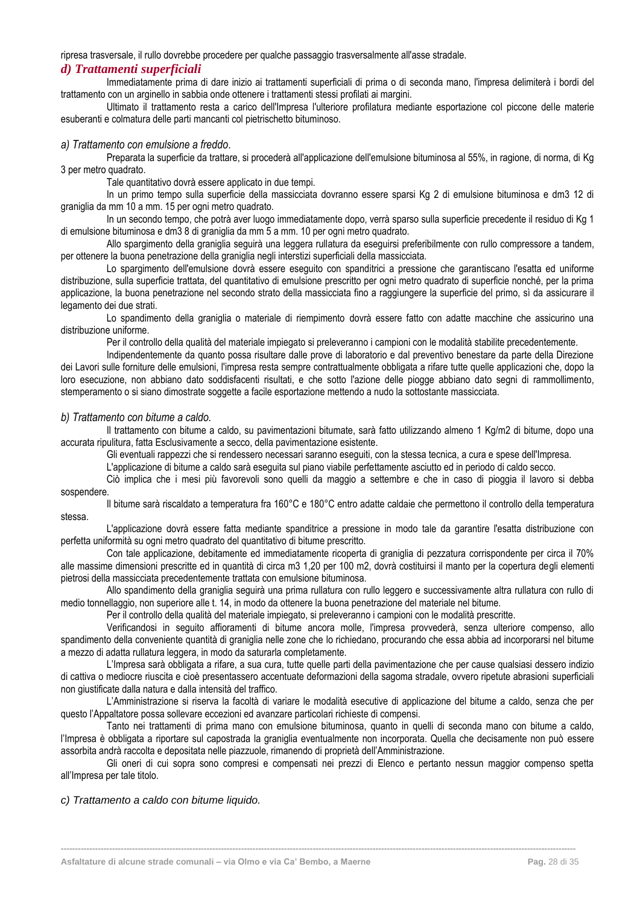ripresa trasversale, il rullo dovrebbe procedere per qualche passaggio trasversalmente all'asse stradale.

#### <span id="page-28-0"></span>*d) Trattamenti superficiali*

Immediatamente prima di dare inizio ai trattamenti superficiali di prima o di seconda mano, l'impresa delimiterà i bordi del trattamento con un arginello in sabbia onde ottenere i trattamenti stessi profilati ai margini.

Ultimato il trattamento resta a carico dell'Impresa l'ulteriore profilatura mediante esportazione col piccone delle materie esuberanti e colmatura delle parti mancanti col pietrischetto bituminoso.

#### *a) Trattamento con emulsione a freddo*.

Preparata la superficie da trattare, si procederà all'applicazione dell'emulsione bituminosa al 55%, in ragione, di norma, di Kg 3 per metro quadrato.

Tale quantitativo dovrà essere applicato in due tempi.

In un primo tempo sulla superficie della massicciata dovranno essere sparsi Kg 2 di emulsione bituminosa e dm3 12 di graniglia da mm 10 a mm. 15 per ogni metro quadrato.

In un secondo tempo, che potrà aver luogo immediatamente dopo, verrà sparso sulla superficie precedente il residuo di Kg 1 di emulsione bituminosa e dm3 8 di graniglia da mm 5 a mm. 10 per ogni metro quadrato.

Allo spargimento della graniglia seguirà una leggera rullatura da eseguirsi preferibilmente con rullo compressore a tandem, per ottenere la buona penetrazione della graniglia negli interstizi superficiali della massicciata.

Lo spargimento dell'emulsione dovrà essere eseguito con spanditrici a pressione che garantiscano l'esatta ed uniforme distribuzione, sulla superficie trattata, del quantitativo di emulsione prescritto per ogni metro quadrato di superficie nonché, per la prima applicazione, la buona penetrazione nel secondo strato della massicciata fino a raggiungere la superficie del primo, sì da assicurare il legamento dei due strati.

Lo spandimento della graniglia o materiale di riempimento dovrà essere fatto con adatte macchine che assicurino una distribuzione uniforme.

Per il controllo della qualità del materiale impiegato si preleveranno i campioni con le modalità stabilite precedentemente.

Indipendentemente da quanto possa risultare dalle prove di laboratorio e dal preventivo benestare da parte della Direzione dei Lavori sulle forniture delle emulsioni, l'impresa resta sempre contrattualmente obbligata a rifare tutte quelle applicazioni che, dopo la loro esecuzione, non abbiano dato soddisfacenti risultati, e che sotto l'azione delle piogge abbiano dato segni di rammollimento, stemperamento o si siano dimostrate soggette a facile esportazione mettendo a nudo la sottostante massicciata.

#### *b) Trattamento con bitume a caldo.*

Il trattamento con bitume a caldo, su pavimentazioni bitumate, sarà fatto utilizzando almeno 1 Kg/m2 di bitume, dopo una accurata ripulitura, fatta Esclusivamente a secco, della pavimentazione esistente.

Gli eventuali rappezzi che si rendessero necessari saranno eseguiti, con la stessa tecnica, a cura e spese dell'Impresa.

L'applicazione di bitume a caldo sarà eseguita sul piano viabile perfettamente asciutto ed in periodo di caldo secco.

Ciò implica che i mesi più favorevoli sono quelli da maggio a settembre e che in caso di pioggia il lavoro si debba sospendere.

Il bitume sarà riscaldato a temperatura fra 160°C e 180°C entro adatte caldaie che permettono il controllo della temperatura stessa.

L'applicazione dovrà essere fatta mediante spanditrice a pressione in modo tale da garantire l'esatta distribuzione con perfetta uniformità su ogni metro quadrato del quantitativo di bitume prescritto.

Con tale applicazione, debitamente ed immediatamente ricoperta di graniglia di pezzatura corrispondente per circa il 70% alle massime dimensioni prescritte ed in quantità di circa m3 1,20 per 100 m2, dovrà costituirsi il manto per la copertura degli elementi pietrosi della massicciata precedentemente trattata con emulsione bituminosa.

Allo spandimento della graniglia seguirà una prima rullatura con rullo leggero e successivamente altra rullatura con rullo di medio tonnellaggio, non superiore alle t. 14, in modo da ottenere la buona penetrazione del materiale nel bitume.

Per il controllo della qualità del materiale impiegato, si preleveranno i campioni con le modalità prescritte.

Verificandosi in seguito affioramenti di bitume ancora molle, l'impresa provvederà, senza ulteriore compenso, allo spandimento della conveniente quantità di graniglia nelle zone che lo richiedano, procurando che essa abbia ad incorporarsi nel bitume a mezzo di adatta rullatura leggera, in modo da saturarla completamente.

L'Impresa sarà obbligata a rifare, a sua cura, tutte quelle parti della pavimentazione che per cause qualsiasi dessero indizio di cattiva o mediocre riuscita e cioè presentassero accentuate deformazioni della sagoma stradale, ovvero ripetute abrasioni superficiali non giustificate dalla natura e dalla intensità del traffico.

L'Amministrazione si riserva la facoltà di variare le modalità esecutive di applicazione del bitume a caldo, senza che per questo l'Appaltatore possa sollevare eccezioni ed avanzare particolari richieste di compensi.

Tanto nei trattamenti di prima mano con emulsione bituminosa, quanto in quelli di seconda mano con bitume a caldo, l'Impresa è obbligata a riportare sul capostrada la graniglia eventualmente non incorporata. Quella che decisamente non può essere assorbita andrà raccolta e depositata nelle piazzuole, rimanendo di proprietà dell'Amministrazione.

Gli oneri di cui sopra sono compresi e compensati nei prezzi di Elenco e pertanto nessun maggior compenso spetta all'Impresa per tale titolo.

**------------------------------------------------------------------------------------------------------------------------------------------------------------------------------------**

*c) Trattamento a caldo con bitume liquido.*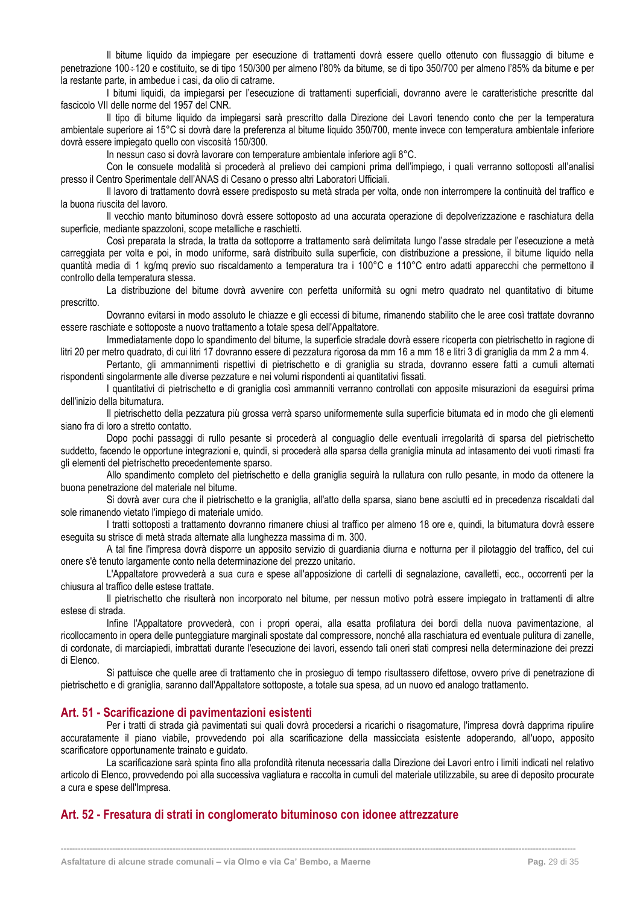Il bitume liquido da impiegare per esecuzione di trattamenti dovrà essere quello ottenuto con flussaggio di bitume e penetrazione 100÷120 e costituito, se di tipo 150/300 per almeno l'80% da bitume, se di tipo 350/700 per almeno l'85% da bitume e per la restante parte, in ambedue i casi, da olio di catrame.

I bitumi liquidi, da impiegarsi per l'esecuzione di trattamenti superficiali, dovranno avere le caratteristiche prescritte dal fascicolo VII delle norme del 1957 del CNR.

Il tipo di bitume liquido da impiegarsi sarà prescritto dalla Direzione dei Lavori tenendo conto che per la temperatura ambientale superiore ai 15°C si dovrà dare la preferenza al bitume liquido 350/700, mente invece con temperatura ambientale inferiore dovrà essere impiegato quello con viscosità 150/300.

In nessun caso si dovrà lavorare con temperature ambientale inferiore agli 8°C.

Con le consuete modalità si procederà al prelievo dei campioni prima dell'impiego, i quali verranno sottoposti all'analisi presso il Centro Sperimentale dell'ANAS di Cesano o presso altri Laboratori Ufficiali.

Il lavoro di trattamento dovrà essere predisposto su metà strada per volta, onde non interrompere la continuità del traffico e la buona riuscita del lavoro.

Il vecchio manto bituminoso dovrà essere sottoposto ad una accurata operazione di depolverizzazione e raschiatura della superficie, mediante spazzoloni, scope metalliche e raschietti.

Così preparata la strada, la tratta da sottoporre a trattamento sarà delimitata lungo l'asse stradale per l'esecuzione a metà carreggiata per volta e poi, in modo uniforme, sarà distribuito sulla superficie, con distribuzione a pressione, il bitume liquido nella quantità media di 1 kg/mq previo suo riscaldamento a temperatura tra i 100°C e 110°C entro adatti apparecchi che permettono il controllo della temperatura stessa.

La distribuzione del bitume dovrà avvenire con perfetta uniformità su ogni metro quadrato nel quantitativo di bitume prescritto.

Dovranno evitarsi in modo assoluto le chiazze e gli eccessi di bitume, rimanendo stabilito che le aree così trattate dovranno essere raschiate e sottoposte a nuovo trattamento a totale spesa dell'Appaltatore.

Immediatamente dopo lo spandimento del bitume, la superficie stradale dovrà essere ricoperta con pietrischetto in ragione di litri 20 per metro quadrato, di cui litri 17 dovranno essere di pezzatura rigorosa da mm 16 a mm 18 e litri 3 di graniglia da mm 2 a mm 4.

Pertanto, gli ammannimenti rispettivi di pietrischetto e di graniglia su strada, dovranno essere fatti a cumuli alternati rispondenti singolarmente alle diverse pezzature e nei volumi rispondenti ai quantitativi fissati.

I quantitativi di pietrischetto e di graniglia così ammanniti verranno controllati con apposite misurazioni da eseguirsi prima dell'inizio della bitumatura.

Il pietrischetto della pezzatura più grossa verrà sparso uniformemente sulla superficie bitumata ed in modo che gli elementi siano fra di loro a stretto contatto.

Dopo pochi passaggi di rullo pesante si procederà al conguaglio delle eventuali irregolarità di sparsa del pietrischetto suddetto, facendo le opportune integrazioni e, quindi, si procederà alla sparsa della graniglia minuta ad intasamento dei vuoti rimasti fra gli elementi del pietrischetto precedentemente sparso.

Allo spandimento completo del pietrischetto e della graniglia seguirà la rullatura con rullo pesante, in modo da ottenere la buona penetrazione del materiale nel bitume.

Si dovrà aver cura che il pietrischetto e la graniglia, all'atto della sparsa, siano bene asciutti ed in precedenza riscaldati dal sole rimanendo vietato l'impiego di materiale umido.

I tratti sottoposti a trattamento dovranno rimanere chiusi al traffico per almeno 18 ore e, quindi, la bitumatura dovrà essere eseguita su strisce di metà strada alternate alla lunghezza massima di m. 300.

A tal fine l'impresa dovrà disporre un apposito servizio di guardiania diurna e notturna per il pilotaggio del traffico, del cui onere s'è tenuto largamente conto nella determinazione del prezzo unitario.

L'Appaltatore provvederà a sua cura e spese all'apposizione di cartelli di segnalazione, cavalletti, ecc., occorrenti per la chiusura al traffico delle estese trattate.

Il pietrischetto che risulterà non incorporato nel bitume, per nessun motivo potrà essere impiegato in trattamenti di altre estese di strada.

Infine l'Appaltatore provvederà, con i propri operai, alla esatta profilatura dei bordi della nuova pavimentazione, al ricollocamento in opera delle punteggiature marginali spostate dal compressore, nonché alla raschiatura ed eventuale pulitura di zanelle, di cordonate, di marciapiedi, imbrattati durante l'esecuzione dei lavori, essendo tali oneri stati compresi nella determinazione dei prezzi di Elenco.

Si pattuisce che quelle aree di trattamento che in prosieguo di tempo risultassero difettose, ovvero prive di penetrazione di pietrischetto e di graniglia, saranno dall'Appaltatore sottoposte, a totale sua spesa, ad un nuovo ed analogo trattamento.

#### <span id="page-29-0"></span>**Art. 51 - Scarificazione di pavimentazioni esistenti**

Per i tratti di strada già pavimentati sui quali dovrà procedersi a ricarichi o risagomature, l'impresa dovrà dapprima ripulire accuratamente il piano viabile, provvedendo poi alla scarificazione della massicciata esistente adoperando, all'uopo, apposito scarificatore opportunamente trainato e guidato.

La scarificazione sarà spinta fino alla profondità ritenuta necessaria dalla Direzione dei Lavori entro i limiti indicati nel relativo articolo di Elenco, provvedendo poi alla successiva vagliatura e raccolta in cumuli del materiale utilizzabile, su aree di deposito procurate a cura e spese dell'Impresa.

**------------------------------------------------------------------------------------------------------------------------------------------------------------------------------------**

# <span id="page-29-1"></span>**Art. 52 - Fresatura di strati in conglomerato bituminoso con idonee attrezzature**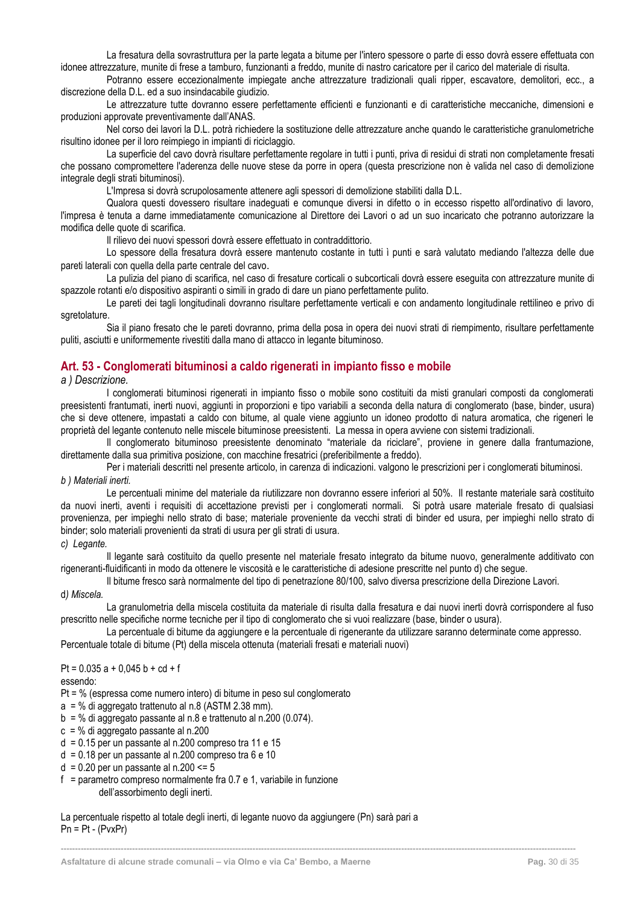La fresatura della sovrastruttura per la parte legata a bitume per l'intero spessore o parte di esso dovrà essere effettuata con idonee attrezzature, munite di frese a tamburo, funzionanti a freddo, munite di nastro caricatore per il carico del materiale di risulta.

Potranno essere eccezionalmente impiegate anche attrezzature tradizionali quali ripper, escavatore, demolitori, ecc., a discrezione della D.L. ed a suo insindacabile giudizio.

Le attrezzature tutte dovranno essere perfettamente efficienti e funzionanti e di caratteristiche meccaniche, dimensioni e produzioni approvate preventivamente dall'ANAS.

Nel corso dei lavori la D.L. potrà richiedere la sostituzione delle attrezzature anche quando le caratteristiche granulometriche risultino idonee per il loro reimpiego in impianti di riciclaggio.

La superficie del cavo dovrà risultare perfettamente regolare in tutti i punti, priva di residui di strati non completamente fresati che possano compromettere l'aderenza delle nuove stese da porre in opera (questa prescrizione non è valida nel caso di demolizione integrale degli strati bituminosi).

L'Impresa si dovrà scrupolosamente attenere agli spessori di demolizione stabiliti dalla D.L.

Qualora questi dovessero risultare inadeguati e comunque diversi in difetto o in eccesso rispetto all'ordinativo di lavoro, l'impresa è tenuta a darne immediatamente comunicazione al Direttore dei Lavori o ad un suo incaricato che potranno autorizzare la modifica delle quote di scarifica.

Il rilievo dei nuovi spessori dovrà essere effettuato in contraddittorio.

Lo spessore della fresatura dovrà essere mantenuto costante in tutti ì punti e sarà valutato mediando l'altezza delle due pareti laterali con quella della parte centrale del cavo.

La pulizia del piano di scarifica, nel caso di fresature corticali o subcorticali dovrà essere eseguita con attrezzature munite di spazzole rotanti e/o dispositivo aspiranti o simili in grado di dare un piano perfettamente pulito.

Le pareti dei tagli longitudinali dovranno risultare perfettamente verticali e con andamento longitudinale rettilineo e privo di sgretolature.

Sia il piano fresato che le pareti dovranno, prima della posa in opera dei nuovi strati di riempimento, risultare perfettamente puliti, asciutti e uniformemente rivestiti dalla mano di attacco in legante bituminoso.

# <span id="page-30-0"></span>**Art. 53 - Conglomerati bituminosi a caldo rigenerati in impianto fisso e mobile**

*a ) Descrizione.*

I conglomerati bituminosi rigenerati in impianto fisso o mobile sono costituiti da misti granulari composti da conglomerati preesistenti frantumati, inerti nuovi, aggiunti in proporzioni e tipo variabili a seconda della natura di conglomerato (base, binder, usura) che si deve ottenere, impastati a caldo con bitume, al quale viene aggiunto un idoneo prodotto di natura aromatica, che rigeneri le proprietà del legante contenuto nelle miscele bituminose preesistenti. La messa in opera avviene con sistemi tradizionali.

Il conglomerato bituminoso preesistente denominato "materiale da riciclare", proviene in genere dalla frantumazione, direttamente dalla sua primitiva posizione, con macchine fresatrici (preferibilmente a freddo).

Per i materiali descritti nel presente articolo, in carenza di indicazioni. valgono le prescrizioni per i conglomerati bituminosi.

# *b ) Materiali inerti.*

Le percentuali minime del materiale da riutilizzare non dovranno essere inferiori al 50%. Il restante materiale sarà costituito da nuovi inerti, aventi i requisiti di accettazione previsti per i conglomerati normali. Si potrà usare materiale fresato di qualsiasi provenienza, per impieghi nello strato di base; materiale proveniente da vecchi strati di binder ed usura, per impieghi nello strato di binder; solo materiali provenienti da strati di usura per gli strati di usura.

#### *c) Legante.*

Il legante sarà costituito da quello presente nel materiale fresato integrato da bitume nuovo, generalmente additivato con rigeneranti-fluidificanti in modo da ottenere le viscosità e le caratteristiche di adesione prescritte nel punto d) che segue.

Il bitume fresco sarà normalmente del tipo di penetrazíone 80/100, salvo diversa prescrizione della Direzione Lavori.

# d*) Miscela.*

La granulometria della miscela costituita da materiale di risulta dalla fresatura e dai nuovi inerti dovrà corrispondere al fuso prescritto nelle specifiche norme tecniche per il tipo di conglomerato che si vuoi realizzare (base, binder o usura).

La percentuale di bitume da aggiungere e la percentuale di rigenerante da utilizzare saranno determinate come appresso. Percentuale totale di bitume (Pt) della miscela ottenuta (materiali fresati e materiali nuovi)

**------------------------------------------------------------------------------------------------------------------------------------------------------------------------------------**

Pt =  $0.035$  a +  $0.045$  b + cd + f

#### essendo:

Pt = % (espressa come numero intero) di bitume in peso sul conglomerato

 $a = %$  di aggregato trattenuto al n.8 (ASTM 2.38 mm).

- $b = %$  di aggregato passante al n.8 e trattenuto al n.200 (0.074).
- c = % di aggregato passante al n.200
- $d = 0.15$  per un passante al n.200 compreso tra 11 e 15
- $d = 0.18$  per un passante al n.200 compreso tra 6 e 10

 $d = 0.20$  per un passante al n.200 <= 5

 $f =$  parametro compreso normalmente fra 0.7 e 1, variabile in funzione dell'assorbimento degli inerti.

La percentuale rispetto al totale degli inerti, di legante nuovo da aggiungere (Pn) sarà pari a  $Pn = Pt - (PvxPr)$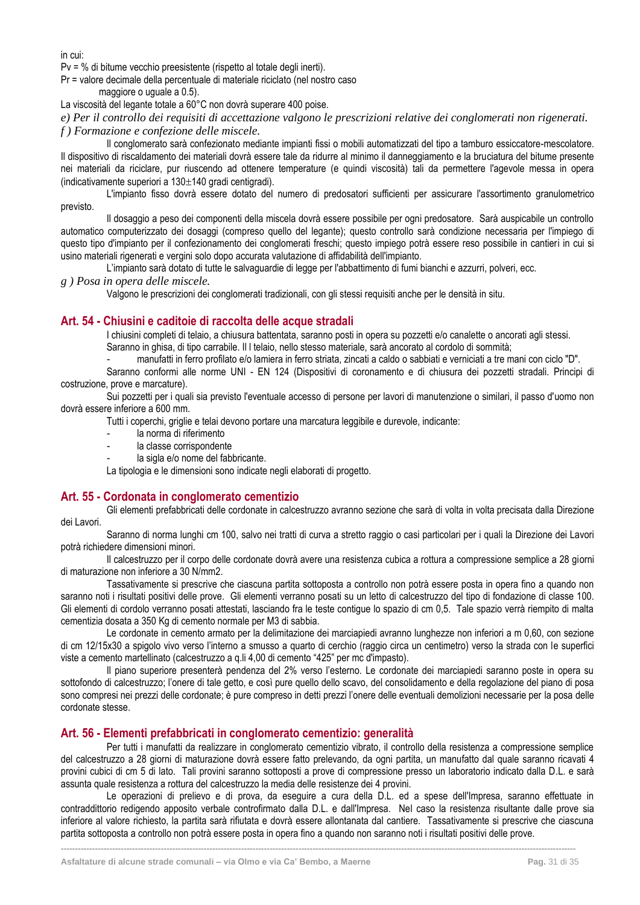in cui:

Pv = % di bitume vecchio preesistente (rispetto al totale degli inerti).

Pr = valore decimale della percentuale di materiale riciclato (nel nostro caso

maggiore o uguale a 0.5).

La viscosità del legante totale a 60°C non dovrà superare 400 poise.

*e) Per il controllo dei requisiti di accettazione valgono le prescrizioni relative dei conglomerati non rigenerati. f ) Formazione e confezione delle miscele.*

Il conglomerato sarà confezionato mediante impianti fissi o mobili automatizzati del tipo a tamburo essiccatore-mescolatore. Il dispositivo di riscaldamento dei materiali dovrà essere tale da ridurre al minimo il danneggiamento e la bruciatura del bitume presente nei materiali da riciclare, pur riuscendo ad ottenere temperature (e quindi viscosità) tali da permettere l'agevole messa in opera (indicativamente superiori a  $130 \pm 140$  gradi centigradi).

L'impianto fisso dovrà essere dotato del numero di predosatori sufficienti per assicurare l'assortimento granulometrico previsto.

Il dosaggio a peso dei componenti della miscela dovrà essere possibile per ogni predosatore. Sarà auspicabile un controllo automatico computerizzato dei dosaggi (compreso quello del legante); questo controllo sarà condizione necessaria per l'impiego di questo tipo d'impianto per il confezionamento dei conglomerati freschi; questo impiego potrà essere reso possibile in cantieri in cui si usino materiali rigenerati e vergini solo dopo accurata valutazione di affidabilità dell'impianto.

L'impianto sarà dotato di tutte le salvaguardie di legge per l'abbattimento di fumi bianchi e azzurri, polveri, ecc.

*g ) Posa in opera delle miscele.*

Valgono le prescrizioni dei conglomerati tradizionali, con gli stessi requisiti anche per le densità in situ.

# <span id="page-31-0"></span>**Art. 54 - Chiusini e caditoie di raccolta delle acque stradali**

I chiusini completi di telaio, a chiusura battentata, saranno posti in opera su pozzetti e/o canalette o ancorati agli stessi. Saranno in ghisa, di tipo carrabile. Il l telaio, nello stesso materiale, sarà ancorato al cordolo di sommità;

- manufatti in ferro profilato e/o lamiera in ferro striata, zincati a caldo o sabbiati e verniciati a tre mani con ciclo "D". Saranno conformi alle norme UNI - EN 124 (Dispositivi di coronamento e di chiusura dei pozzetti stradali. Principi di costruzione, prove e marcature).

Sui pozzetti per i quali sia previsto l'eventuale accesso di persone per lavori di manutenzione o similari, il passo d'uomo non dovrà essere inferiore a 600 mm.

Tutti i coperchi, griglie e telai devono portare una marcatura leggibile e durevole, indicante:

- la norma di riferimento
- la classe corrispondente
- la sigla e/o nome del fabbricante.

La tipologia e le dimensioni sono indicate negli elaborati di progetto.

# <span id="page-31-1"></span>**Art. 55 - Cordonata in conglomerato cementizio**

Gli elementi prefabbricati delle cordonate in calcestruzzo avranno sezione che sarà di volta in volta precisata dalla Direzione dei Lavori.

Saranno di norma lunghi cm 100, salvo nei tratti di curva a stretto raggio o casi particolari per i quali la Direzione dei Lavori potrà richiedere dimensioni minori.

Il calcestruzzo per il corpo delle cordonate dovrà avere una resistenza cubica a rottura a compressione semplice a 28 giorni di maturazione non inferiore a 30 N/mm2.

Tassativamente si prescrive che ciascuna partita sottoposta a controllo non potrà essere posta in opera fino a quando non saranno noti i risultati positivi delle prove. Gli elementi verranno posati su un letto di calcestruzzo del tipo di fondazione di classe 100. Gli elementi di cordolo verranno posati attestati, lasciando fra le teste contigue lo spazio di cm 0,5. Tale spazio verrà riempito di malta cementizia dosata a 350 Kg di cemento normale per M3 di sabbia.

Le cordonate in cemento armato per la delimitazione dei marciapiedi avranno lunghezze non inferiori a m 0,60, con sezione di cm 12/15x30 a spigolo vivo verso l'interno a smusso a quarto di cerchio (raggio circa un centimetro) verso la strada con le superfici viste a cemento martellinato (calcestruzzo a q.li 4,00 di cemento "425" per mc d'impasto).

Il piano superiore presenterà pendenza del 2% verso l'esterno. Le cordonate dei marciapiedi saranno poste in opera su sottofondo di calcestruzzo; l'onere di tale getto, e così pure quello dello scavo, del consolidamento e della regolazione del piano di posa sono compresi nei prezzi delle cordonate; è pure compreso in detti prezzi l'onere delle eventuali demolizioni necessarie per la posa delle cordonate stesse.

# <span id="page-31-2"></span>**Art. 56 - Elementi prefabbricati in conglomerato cementizio: generalità**

Per tutti i manufatti da realizzare in conglomerato cementizio vibrato, il controllo della resistenza a compressione semplice del calcestruzzo a 28 giorni di maturazione dovrà essere fatto prelevando, da ogni partita, un manufatto dal quale saranno ricavati 4 provini cubici di cm 5 di lato. Tali provini saranno sottoposti a prove di compressione presso un laboratorio indicato dalla D.L. e sarà assunta quale resistenza a rottura del calcestruzzo la media delle resistenze dei 4 provini.

Le operazioni di prelievo e di prova, da eseguire a cura della D.L. ed a spese dell'Impresa, saranno effettuate in contraddittorio redigendo apposito verbale controfirmato dalla D.L. e dall'Impresa. Nel caso la resistenza risultante dalle prove sia inferiore al valore richiesto, la partita sarà rifiutata e dovrà essere allontanata dal cantiere. Tassativamente si prescrive che ciascuna partita sottoposta a controllo non potrà essere posta in opera fino a quando non saranno noti i risultati positivi delle prove.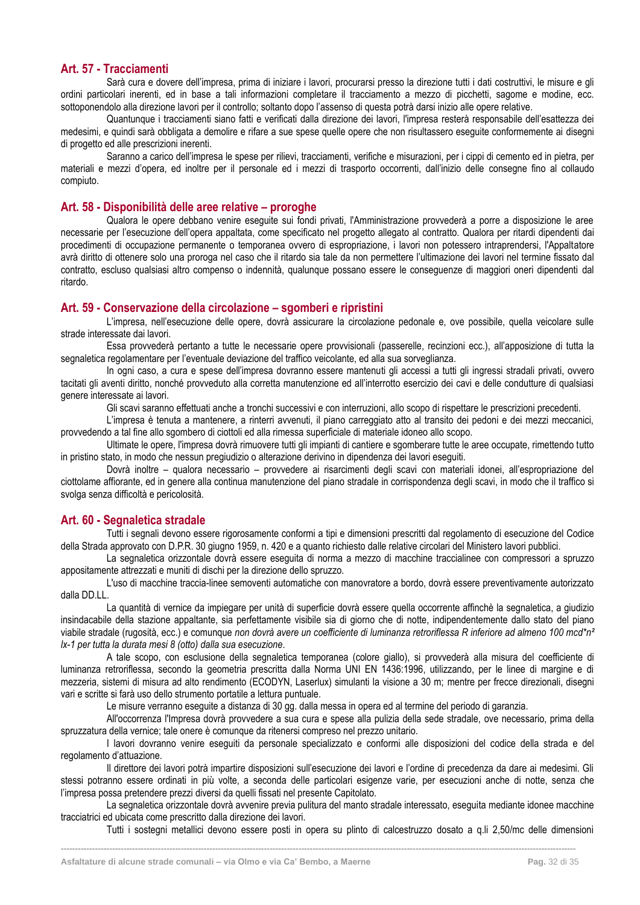# <span id="page-32-0"></span>**Art. 57 - Tracciamenti**

Sarà cura e dovere dell'impresa, prima di iniziare i lavori, procurarsi presso la direzione tutti i dati costruttivi, le misure e gli ordini particolari inerenti, ed in base a tali informazioni completare il tracciamento a mezzo di picchetti, sagome e modine, ecc. sottoponendolo alla direzione lavori per il controllo; soltanto dopo l'assenso di questa potrà darsi inizio alle opere relative.

Quantunque i tracciamenti siano fatti e verificati dalla direzione dei lavori, l'impresa resterà responsabile dell'esattezza dei medesimi, e quindi sarà obbligata a demolire e rifare a sue spese quelle opere che non risultassero eseguite conformemente ai disegni di progetto ed alle prescrizioni inerenti.

Saranno a carico dell'impresa le spese per rilievi, tracciamenti, verifiche e misurazioni, per i cippi di cemento ed in pietra, per materiali e mezzi d'opera, ed inoltre per il personale ed i mezzi di trasporto occorrenti, dall'inizio delle consegne fino al collaudo compiuto.

#### <span id="page-32-1"></span>**Art. 58 - Disponibilità delle aree relative – proroghe**

Qualora le opere debbano venire eseguite sui fondi privati, l'Amministrazione provvederà a porre a disposizione le aree necessarie per l'esecuzione dell'opera appaltata, come specificato nel progetto allegato al contratto. Qualora per ritardi dipendenti dai procedimenti di occupazione permanente o temporanea ovvero di espropriazione, i lavori non potessero intraprendersi, l'Appaltatore avrà diritto di ottenere solo una proroga nel caso che il ritardo sia tale da non permettere l'ultimazione dei lavori nel termine fissato dal contratto, escluso qualsiasi altro compenso o indennità, qualunque possano essere le conseguenze di maggiori oneri dipendenti dal ritardo.

# <span id="page-32-2"></span>**Art. 59 - Conservazione della circolazione – sgomberi e ripristini**

L'impresa, nell'esecuzione delle opere, dovrà assicurare la circolazione pedonale e, ove possibile, quella veicolare sulle strade interessate dai lavori.

Essa provvederà pertanto a tutte le necessarie opere provvisionali (passerelle, recinzioni ecc.), all'apposizione di tutta la segnaletica regolamentare per l'eventuale deviazione del traffico veicolante, ed alla sua sorveglianza.

In ogni caso, a cura e spese dell'impresa dovranno essere mantenuti gli accessi a tutti gli ingressi stradali privati, ovvero tacitati gli aventi diritto, nonché provveduto alla corretta manutenzione ed all'interrotto esercizio dei cavi e delle condutture di qualsiasi genere interessate ai lavori.

Gli scavi saranno effettuati anche a tronchi successivi e con interruzioni, allo scopo di rispettare le prescrizioni precedenti.

L'impresa è tenuta a mantenere, a rinterri avvenuti, il piano carreggiato atto al transito dei pedoni e dei mezzi meccanici, provvedendo a tal fine allo sgombero di ciottoli ed alla rimessa superficiale di materiale idoneo allo scopo.

Ultimate le opere, l'impresa dovrà rimuovere tutti gli impianti di cantiere e sgomberare tutte le aree occupate, rimettendo tutto in pristino stato, in modo che nessun pregiudizio o alterazione derivino in dipendenza dei lavori eseguiti.

Dovrà inoltre – qualora necessario – provvedere ai risarcimenti degli scavi con materiali idonei, all'espropriazione del ciottolame affiorante, ed in genere alla continua manutenzione del piano stradale in corrispondenza degli scavi, in modo che il traffico si svolga senza difficoltà e pericolosità.

# <span id="page-32-3"></span>**Art. 60 - Segnaletica stradale**

Tutti i segnali devono essere rigorosamente conformi a tipi e dimensioni prescritti dal regolamento di esecuzione del Codice della Strada approvato con D.P.R. 30 giugno 1959, n. 420 e a quanto richiesto dalle relative circolari del Ministero lavori pubblici.

La segnaletica orizzontale dovrà essere eseguita di norma a mezzo di macchine traccialinee con compressori a spruzzo appositamente attrezzati e muniti di dischi per la direzione dello spruzzo.

L'uso di macchine traccia-linee semoventi automatiche con manovratore a bordo, dovrà essere preventivamente autorizzato dalla DD.LL.

La quantità di vernice da impiegare per unità di superficie dovrà essere quella occorrente affinchè la segnaletica, a giudizio insindacabile della stazione appaltante, sia perfettamente visibile sia di giorno che di notte, indipendentemente dallo stato del piano viabile stradale (rugosità, ecc.) e comunque *non dovrà avere un coefficiente di luminanza retroriflessa R inferiore ad almeno 100 mcd\*n² lx-1 per tutta la durata mesi 8 (otto) dalla sua esecuzione*.

A tale scopo, con esclusione della segnaletica temporanea (colore giallo), si provvederà alla misura del coefficiente di luminanza retroriflessa, secondo la geometria prescritta dalla Norma UNI EN 1436:1996, utilizzando, per le linee di margine e di mezzeria, sistemi di misura ad alto rendimento (ECODYN, Laserlux) simulanti la visione a 30 m; mentre per frecce direzionali, disegni vari e scritte si farà uso dello strumento portatile a lettura puntuale.

Le misure verranno eseguite a distanza di 30 gg. dalla messa in opera ed al termine del periodo di garanzia.

All'occorrenza l'Impresa dovrà provvedere a sua cura e spese alla pulizia della sede stradale, ove necessario, prima della spruzzatura della vernice; tale onere è comunque da ritenersi compreso nel prezzo unitario.

I lavori dovranno venire eseguiti da personale specializzato e conformi alle disposizioni del codice della strada e del regolamento d'attuazione.

Il direttore dei lavori potrà impartire disposizioni sull'esecuzione dei lavori e l'ordine di precedenza da dare ai medesimi. Gli stessi potranno essere ordinati in più volte, a seconda delle particolari esigenze varie, per esecuzioni anche di notte, senza che l'impresa possa pretendere prezzi diversi da quelli fissati nel presente Capitolato.

La segnaletica orizzontale dovrà avvenire previa pulitura del manto stradale interessato, eseguita mediante idonee macchine tracciatrici ed ubicata come prescritto dalla direzione dei lavori.

**------------------------------------------------------------------------------------------------------------------------------------------------------------------------------------**

Tutti i sostegni metallici devono essere posti in opera su plinto di calcestruzzo dosato a q.li 2,50/mc delle dimensioni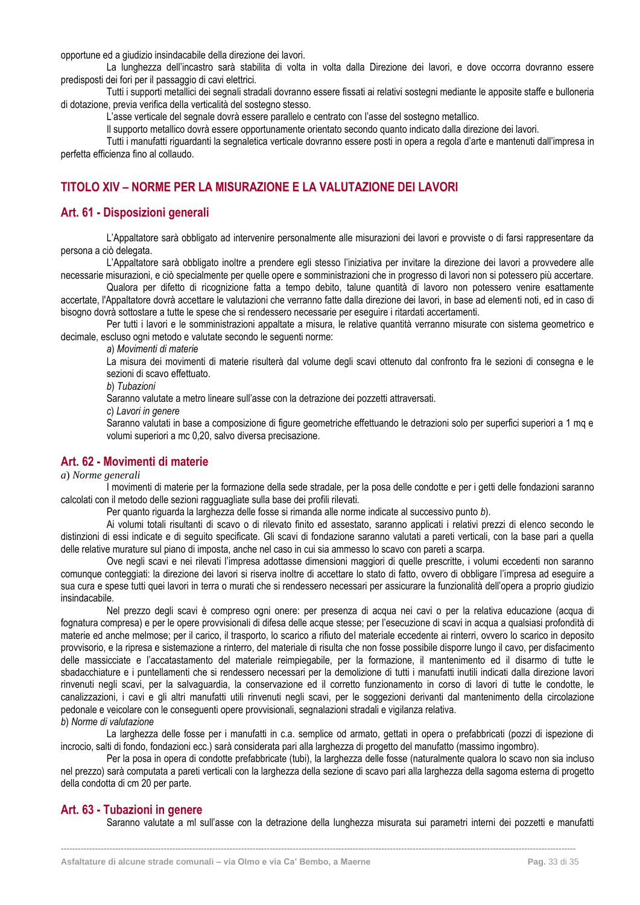opportune ed a giudizio insindacabile della direzione dei lavori.

La lunghezza dell'incastro sarà stabilita di volta in volta dalla Direzione dei lavori, e dove occorra dovranno essere predisposti dei fori per il passaggio di cavi elettrici.

Tutti i supporti metallici dei segnali stradali dovranno essere fissati ai relativi sostegni mediante le apposite staffe e bulloneria di dotazione, previa verifica della verticalità del sostegno stesso.

L'asse verticale del segnale dovrà essere parallelo e centrato con l'asse del sostegno metallico.

Il supporto metallico dovrà essere opportunamente orientato secondo quanto indicato dalla direzione dei lavori.

Tutti i manufatti riguardanti la segnaletica verticale dovranno essere posti in opera a regola d'arte e mantenuti dall'impresa in perfetta efficienza fino al collaudo.

# <span id="page-33-0"></span>**TITOLO XIV – NORME PER LA MISURAZIONE E LA VALUTAZIONE DEI LAVORI**

# <span id="page-33-1"></span>**Art. 61 - Disposizioni generali**

L'Appaltatore sarà obbligato ad intervenire personalmente alle misurazioni dei lavori e provviste o di farsi rappresentare da persona a ciò delegata.

L'Appaltatore sarà obbligato inoltre a prendere egli stesso l'iniziativa per invitare la direzione dei lavori a provvedere alle necessarie misurazioni, e ciò specialmente per quelle opere e somministrazioni che in progresso di lavori non si potessero più accertare.

Qualora per difetto di ricognizione fatta a tempo debito, talune quantità di lavoro non potessero venire esattamente accertate, l'Appaltatore dovrà accettare le valutazioni che verranno fatte dalla direzione dei lavori, in base ad elementi noti, ed in caso di bisogno dovrà sottostare a tutte le spese che si rendessero necessarie per eseguire i ritardati accertamenti.

Per tutti i lavori e le somministrazioni appaltate a misura, le relative quantità verranno misurate con sistema geometrico e decimale, escluso ogni metodo e valutate secondo le seguenti norme:

*a*) *Movimenti di materie*

La misura dei movimenti di materie risulterà dal volume degli scavi ottenuto dal confronto fra le sezioni di consegna e le sezioni di scavo effettuato.

*b*) *Tubazioni*

Saranno valutate a metro lineare sull'asse con la detrazione dei pozzetti attraversati.

*c*) *Lavori in genere*

Saranno valutati in base a composizione di figure geometriche effettuando le detrazioni solo per superfici superiori a 1 mq e volumi superiori a mc 0,20, salvo diversa precisazione.

# <span id="page-33-2"></span>**Art. 62 - Movimenti di materie**

#### *a*) *Norme generali*

I movimenti di materie per la formazione della sede stradale, per la posa delle condotte e per i getti delle fondazioni saranno calcolati con il metodo delle sezioni ragguagliate sulla base dei profili rilevati.

Per quanto riguarda la larghezza delle fosse si rimanda alle norme indicate al successivo punto *b*).

Ai volumi totali risultanti di scavo o di rilevato finito ed assestato, saranno applicati i relativi prezzi di elenco secondo le distinzioni di essi indicate e di seguito specificate. Gli scavi di fondazione saranno valutati a pareti verticali, con la base pari a quella delle relative murature sul piano di imposta, anche nel caso in cui sia ammesso lo scavo con pareti a scarpa.

Ove negli scavi e nei rilevati l'impresa adottasse dimensioni maggiori di quelle prescritte, i volumi eccedenti non saranno comunque conteggiati: la direzione dei lavori si riserva inoltre di accettare lo stato di fatto, ovvero di obbligare l'impresa ad eseguire a sua cura e spese tutti quei lavori in terra o murati che si rendessero necessari per assicurare la funzionalità dell'opera a proprio giudizio insindacabile.

Nel prezzo degli scavi è compreso ogni onere: per presenza di acqua nei cavi o per la relativa educazione (acqua di fognatura compresa) e per le opere provvisionali di difesa delle acque stesse; per l'esecuzione di scavi in acqua a qualsiasi profondità di materie ed anche melmose; per il carico, il trasporto, lo scarico a rifiuto del materiale eccedente ai rinterri, ovvero lo scarico in deposito provvisorio, e la ripresa e sistemazione a rinterro, del materiale di risulta che non fosse possibile disporre lungo il cavo, per disfacimento delle massicciate e l'accatastamento del materiale reimpiegabile, per la formazione, il mantenimento ed il disarmo di tutte le sbadacchiature e i puntellamenti che si rendessero necessari per la demolizione di tutti i manufatti inutili indicati dalla direzione lavori rinvenuti negli scavi, per la salvaguardia, la conservazione ed il corretto funzionamento in corso di lavori di tutte le condotte, le canalizzazioni, i cavi e gli altri manufatti utili rinvenuti negli scavi, per le soggezioni derivanti dal mantenimento della circolazione pedonale e veicolare con le conseguenti opere provvisionali, segnalazioni stradali e vigilanza relativa. *b*) *Norme di valutazione*

La larghezza delle fosse per i manufatti in c.a. semplice od armato, gettati in opera o prefabbricati (pozzi di ispezione di incrocio, salti di fondo, fondazioni ecc.) sarà considerata pari alla larghezza di progetto del manufatto (massimo ingombro).

Per la posa in opera di condotte prefabbricate (tubi), la larghezza delle fosse (naturalmente qualora lo scavo non sia incluso nel prezzo) sarà computata a pareti verticali con la larghezza della sezione di scavo pari alla larghezza della sagoma esterna di progetto della condotta di cm 20 per parte.

**------------------------------------------------------------------------------------------------------------------------------------------------------------------------------------**

#### <span id="page-33-3"></span>**Art. 63 - Tubazioni in genere**

Saranno valutate a ml sull'asse con la detrazione della lunghezza misurata sui parametri interni dei pozzetti e manufatti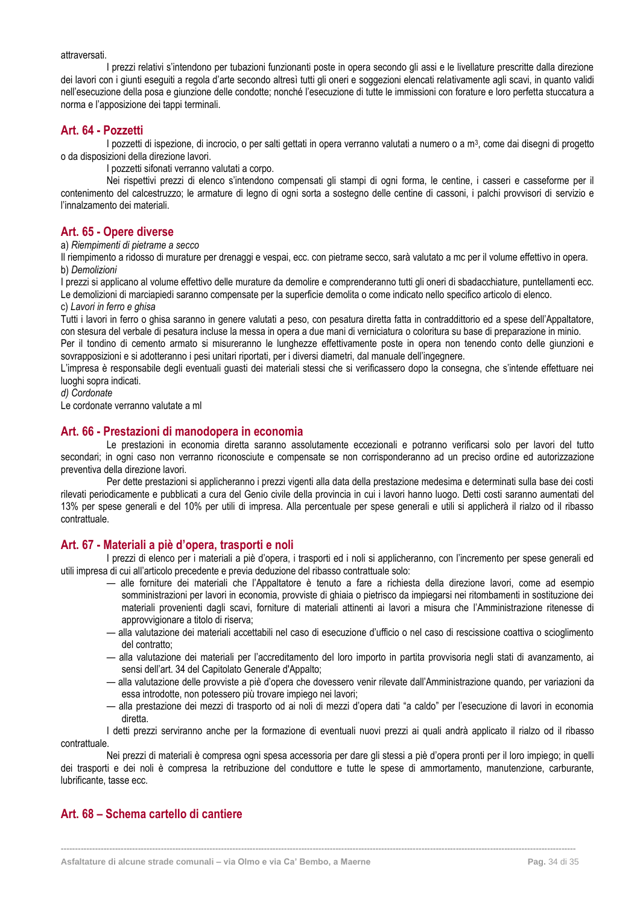#### attraversati.

I prezzi relativi s'intendono per tubazioni funzionanti poste in opera secondo gli assi e le livellature prescritte dalla direzione dei lavori con i giunti eseguiti a regola d'arte secondo altresì tutti gli oneri e soggezioni elencati relativamente agli scavi, in quanto validi nell'esecuzione della posa e giunzione delle condotte; nonché l'esecuzione di tutte le immissioni con forature e loro perfetta stuccatura a norma e l'apposizione dei tappi terminali.

#### <span id="page-34-0"></span>**Art. 64 - Pozzetti**

I pozzetti di ispezione, di incrocio, o per salti gettati in opera verranno valutati a numero o a m<sup>3</sup>, come dai disegni di progetto o da disposizioni della direzione lavori.

I pozzetti sifonati verranno valutati a corpo.

Nei rispettivi prezzi di elenco s'intendono compensati gli stampi di ogni forma, le centine, i casseri e casseforme per il contenimento del calcestruzzo; le armature di legno di ogni sorta a sostegno delle centine di cassoni, i palchi provvisori di servizio e l'innalzamento dei materiali.

### <span id="page-34-1"></span>**Art. 65 - Opere diverse**

a) *Riempimenti di pietrame a secco*

Il riempimento a ridosso di murature per drenaggi e vespai, ecc. con pietrame secco, sarà valutato a mc per il volume effettivo in opera. b) *Demolizioni*

I prezzi si applicano al volume effettivo delle murature da demolire e comprenderanno tutti gli oneri di sbadacchiature, puntellamenti ecc. Le demolizioni di marciapiedi saranno compensate per la superficie demolita o come indicato nello specifico articolo di elenco.

#### c) *Lavori in ferro e ghisa*

Tutti i lavori in ferro o ghisa saranno in genere valutati a peso, con pesatura diretta fatta in contraddittorio ed a spese dell'Appaltatore, con stesura del verbale di pesatura incluse la messa in opera a due mani di verniciatura o coloritura su base di preparazione in minio.

Per il tondino di cemento armato si misureranno le lunghezze effettivamente poste in opera non tenendo conto delle giunzioni e sovrapposizioni e si adotteranno i pesi unitari riportati, per i diversi diametri, dal manuale dell'ingegnere.

L'impresa è responsabile degli eventuali guasti dei materiali stessi che si verificassero dopo la consegna, che s'intende effettuare nei luoghi sopra indicati.

*d) Cordonate*

Le cordonate verranno valutate a ml

#### <span id="page-34-2"></span>**Art. 66 - Prestazioni di manodopera in economia**

Le prestazioni in economia diretta saranno assolutamente eccezionali e potranno verificarsi solo per lavori del tutto secondari; in ogni caso non verranno riconosciute e compensate se non corrisponderanno ad un preciso ordine ed autorizzazione preventiva della direzione lavori.

Per dette prestazioni si applicheranno i prezzi vigenti alla data della prestazione medesima e determinati sulla base dei costi rilevati periodicamente e pubblicati a cura del Genio civile della provincia in cui i lavori hanno luogo. Detti costi saranno aumentati del 13% per spese generali e del 10% per utili di impresa. Alla percentuale per spese generali e utili si applicherà il rialzo od il ribasso contrattuale.

# <span id="page-34-3"></span>**Art. 67 - Materiali a piè d'opera, trasporti e noli**

I prezzi di elenco per i materiali a piè d'opera, i trasporti ed i noli si applicheranno, con l'incremento per spese generali ed utili impresa di cui all'articolo precedente e previa deduzione del ribasso contrattuale solo:

- alle forniture dei materiali che l'Appaltatore è tenuto a fare a richiesta della direzione lavori, come ad esempio somministrazioni per lavori in economia, provviste di ghiaia o pietrisco da impiegarsi nei ritombamenti in sostituzione dei materiali provenienti dagli scavi, forniture di materiali attinenti ai lavori a misura che l'Amministrazione ritenesse di approvvigionare a titolo di riserva;
- alla valutazione dei materiali accettabili nel caso di esecuzione d'ufficio o nel caso di rescissione coattiva o scioglimento del contratto;
- alla valutazione dei materiali per l'accreditamento del loro importo in partita provvisoria negli stati di avanzamento, ai sensi dell'art. 34 del Capitolato Generale d'Appalto;
- alla valutazione delle provviste a piè d'opera che dovessero venir rilevate dall'Amministrazione quando, per variazioni da essa introdotte, non potessero più trovare impiego nei lavori;
- alla prestazione dei mezzi di trasporto od ai noli di mezzi d'opera dati "a caldo" per l'esecuzione di lavori in economia diretta.

I detti prezzi serviranno anche per la formazione di eventuali nuovi prezzi ai quali andrà applicato il rialzo od il ribasso contrattuale.

Nei prezzi di materiali è compresa ogni spesa accessoria per dare gli stessi a piè d'opera pronti per il loro impiego; in quelli dei trasporti e dei noli è compresa la retribuzione del conduttore e tutte le spese di ammortamento, manutenzione, carburante, lubrificante, tasse ecc.

**------------------------------------------------------------------------------------------------------------------------------------------------------------------------------------**

# <span id="page-34-4"></span>**Art. 68 – Schema cartello di cantiere**